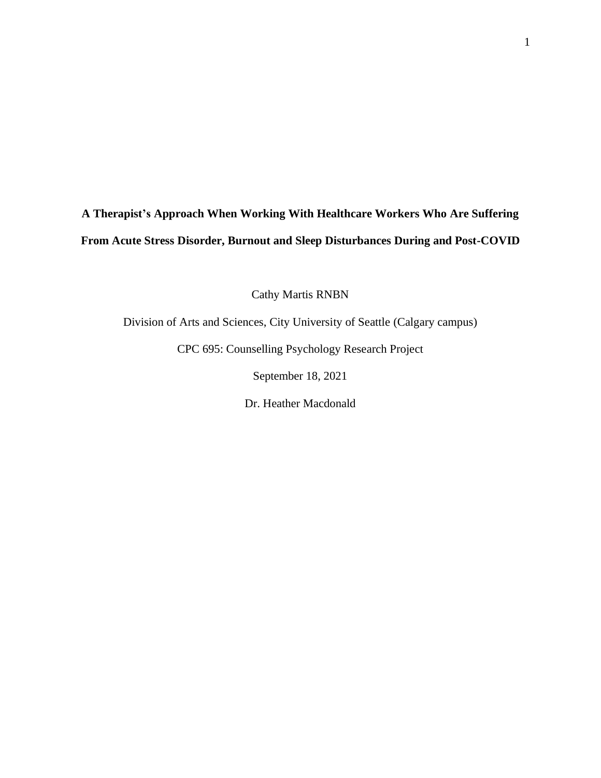# **A Therapist's Approach When Working With Healthcare Workers Who Are Suffering From Acute Stress Disorder, Burnout and Sleep Disturbances During and Post-COVID**

Cathy Martis RNBN

Division of Arts and Sciences, City University of Seattle (Calgary campus)

CPC 695: Counselling Psychology Research Project

September 18, 2021

Dr. Heather Macdonald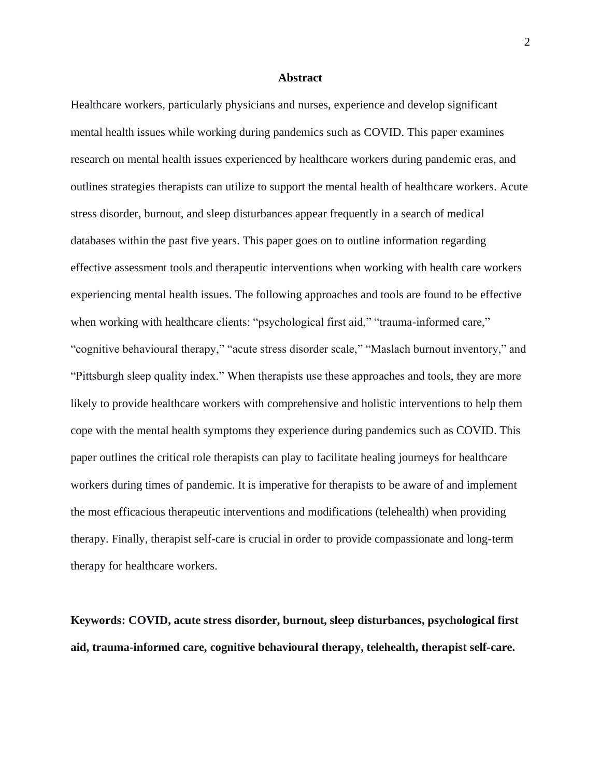## **Abstract**

Healthcare workers, particularly physicians and nurses, experience and develop significant mental health issues while working during pandemics such as COVID. This paper examines research on mental health issues experienced by healthcare workers during pandemic eras, and outlines strategies therapists can utilize to support the mental health of healthcare workers. Acute stress disorder, burnout, and sleep disturbances appear frequently in a search of medical databases within the past five years. This paper goes on to outline information regarding effective assessment tools and therapeutic interventions when working with health care workers experiencing mental health issues. The following approaches and tools are found to be effective when working with healthcare clients: "psychological first aid," "trauma-informed care," "cognitive behavioural therapy," "acute stress disorder scale," "Maslach burnout inventory," and "Pittsburgh sleep quality index." When therapists use these approaches and tools, they are more likely to provide healthcare workers with comprehensive and holistic interventions to help them cope with the mental health symptoms they experience during pandemics such as COVID. This paper outlines the critical role therapists can play to facilitate healing journeys for healthcare workers during times of pandemic. It is imperative for therapists to be aware of and implement the most efficacious therapeutic interventions and modifications (telehealth) when providing therapy. Finally, therapist self-care is crucial in order to provide compassionate and long-term therapy for healthcare workers.

**Keywords: COVID, acute stress disorder, burnout, sleep disturbances, psychological first aid, trauma-informed care, cognitive behavioural therapy, telehealth, therapist self-care.**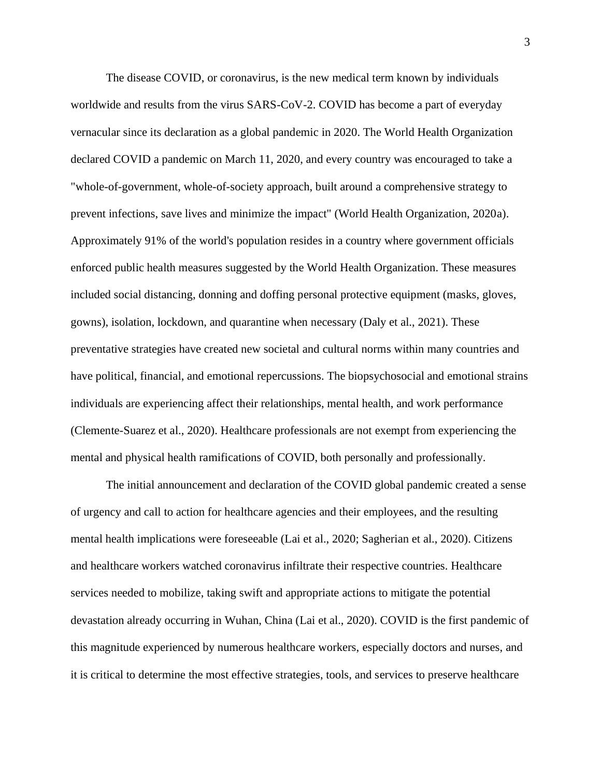The disease COVID, or coronavirus, is the new medical term known by individuals worldwide and results from the virus SARS-CoV-2. COVID has become a part of everyday vernacular since its declaration as a global pandemic in 2020. The World Health Organization declared COVID a pandemic on March 11, 2020, and every country was encouraged to take a "whole-of-government, whole-of-society approach, built around a comprehensive strategy to prevent infections, save lives and minimize the impact" (World Health Organization, 2020a). Approximately 91% of the world's population resides in a country where government officials enforced public health measures suggested by the World Health Organization. These measures included social distancing, donning and doffing personal protective equipment (masks, gloves, gowns), isolation, lockdown, and quarantine when necessary (Daly et al., 2021). These preventative strategies have created new societal and cultural norms within many countries and have political, financial, and emotional repercussions. The biopsychosocial and emotional strains individuals are experiencing affect their relationships, mental health, and work performance (Clemente-Suarez et al., 2020). Healthcare professionals are not exempt from experiencing the mental and physical health ramifications of COVID, both personally and professionally.

The initial announcement and declaration of the COVID global pandemic created a sense of urgency and call to action for healthcare agencies and their employees, and the resulting mental health implications were foreseeable (Lai et al., 2020; Sagherian et al., 2020). Citizens and healthcare workers watched coronavirus infiltrate their respective countries. Healthcare services needed to mobilize, taking swift and appropriate actions to mitigate the potential devastation already occurring in Wuhan, China (Lai et al., 2020). COVID is the first pandemic of this magnitude experienced by numerous healthcare workers, especially doctors and nurses, and it is critical to determine the most effective strategies, tools, and services to preserve healthcare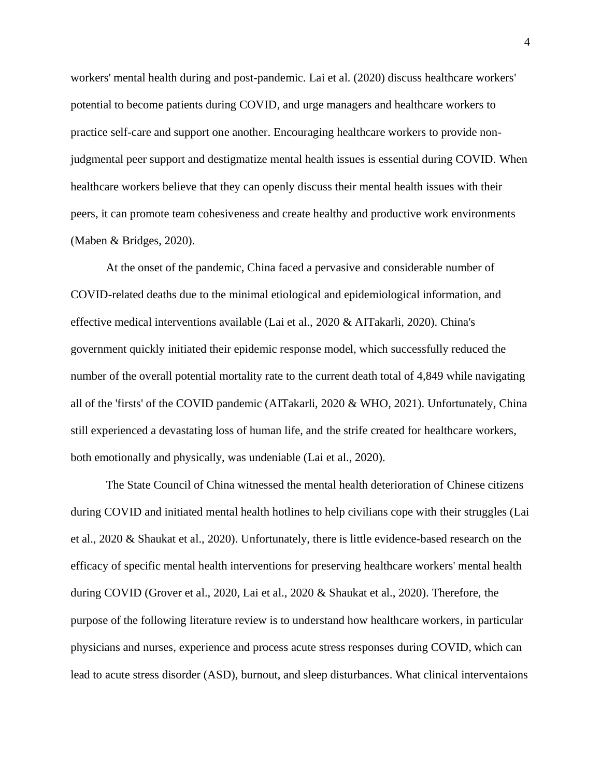workers' mental health during and post-pandemic. Lai et al. (2020) discuss healthcare workers' potential to become patients during COVID, and urge managers and healthcare workers to practice self-care and support one another. Encouraging healthcare workers to provide nonjudgmental peer support and destigmatize mental health issues is essential during COVID. When healthcare workers believe that they can openly discuss their mental health issues with their peers, it can promote team cohesiveness and create healthy and productive work environments (Maben & Bridges, 2020).

At the onset of the pandemic, China faced a pervasive and considerable number of COVID-related deaths due to the minimal etiological and epidemiological information, and effective medical interventions available (Lai et al., 2020 & AITakarli, 2020). China's government quickly initiated their epidemic response model, which successfully reduced the number of the overall potential mortality rate to the current death total of 4,849 while navigating all of the 'firsts' of the COVID pandemic (AITakarli, 2020 & WHO, 2021). Unfortunately, China still experienced a devastating loss of human life, and the strife created for healthcare workers, both emotionally and physically, was undeniable (Lai et al., 2020).

The State Council of China witnessed the mental health deterioration of Chinese citizens during COVID and initiated mental health hotlines to help civilians cope with their struggles (Lai et al., 2020 & Shaukat et al., 2020). Unfortunately, there is little evidence-based research on the efficacy of specific mental health interventions for preserving healthcare workers' mental health during COVID (Grover et al., 2020, Lai et al., 2020 & Shaukat et al., 2020). Therefore, the purpose of the following literature review is to understand how healthcare workers, in particular physicians and nurses, experience and process acute stress responses during COVID, which can lead to acute stress disorder (ASD), burnout, and sleep disturbances. What clinical interventaions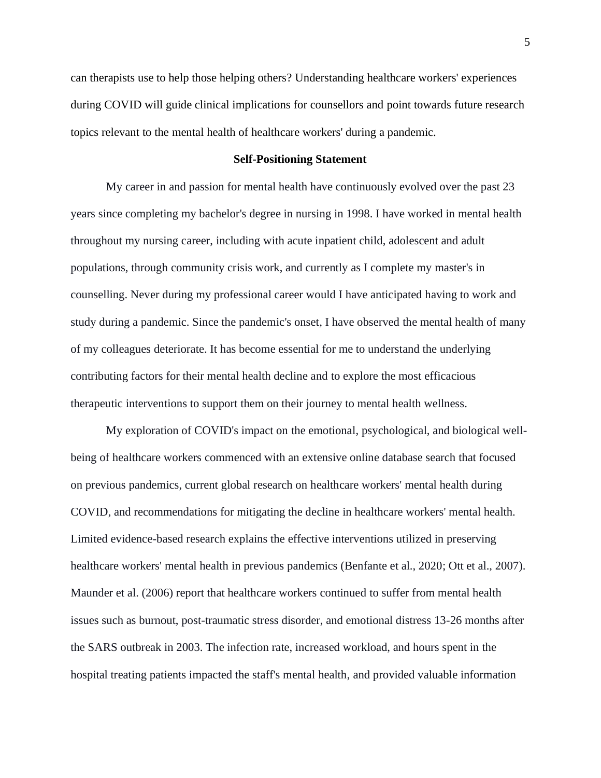can therapists use to help those helping others? Understanding healthcare workers' experiences during COVID will guide clinical implications for counsellors and point towards future research topics relevant to the mental health of healthcare workers' during a pandemic.

## **Self-Positioning Statement**

My career in and passion for mental health have continuously evolved over the past 23 years since completing my bachelor's degree in nursing in 1998. I have worked in mental health throughout my nursing career, including with acute inpatient child, adolescent and adult populations, through community crisis work, and currently as I complete my master's in counselling. Never during my professional career would I have anticipated having to work and study during a pandemic. Since the pandemic's onset, I have observed the mental health of many of my colleagues deteriorate. It has become essential for me to understand the underlying contributing factors for their mental health decline and to explore the most efficacious therapeutic interventions to support them on their journey to mental health wellness.

My exploration of COVID's impact on the emotional, psychological, and biological wellbeing of healthcare workers commenced with an extensive online database search that focused on previous pandemics, current global research on healthcare workers' mental health during COVID, and recommendations for mitigating the decline in healthcare workers' mental health. Limited evidence-based research explains the effective interventions utilized in preserving healthcare workers' mental health in previous pandemics (Benfante et al., 2020; Ott et al., 2007). Maunder et al. (2006) report that healthcare workers continued to suffer from mental health issues such as burnout, post-traumatic stress disorder, and emotional distress 13-26 months after the SARS outbreak in 2003. The infection rate, increased workload, and hours spent in the hospital treating patients impacted the staff's mental health, and provided valuable information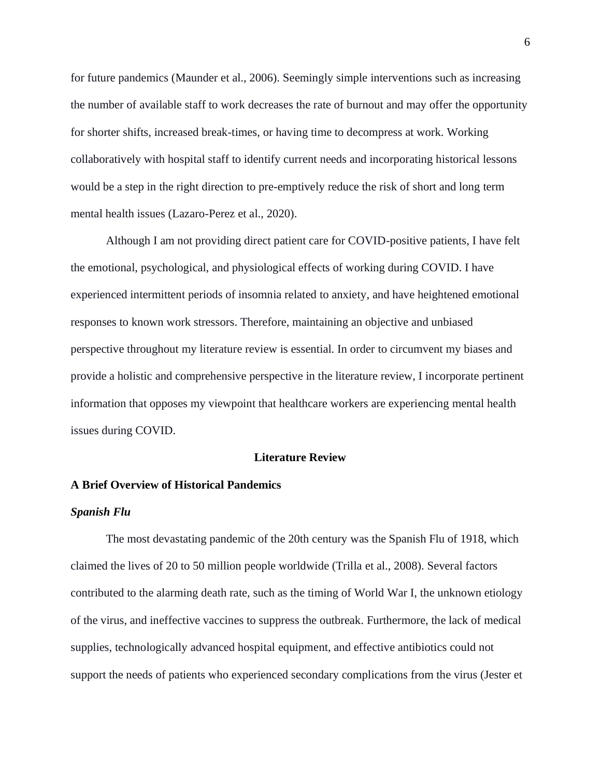for future pandemics (Maunder et al., 2006). Seemingly simple interventions such as increasing the number of available staff to work decreases the rate of burnout and may offer the opportunity for shorter shifts, increased break-times, or having time to decompress at work. Working collaboratively with hospital staff to identify current needs and incorporating historical lessons would be a step in the right direction to pre-emptively reduce the risk of short and long term mental health issues (Lazaro-Perez et al., 2020).

Although I am not providing direct patient care for COVID-positive patients, I have felt the emotional, psychological, and physiological effects of working during COVID. I have experienced intermittent periods of insomnia related to anxiety, and have heightened emotional responses to known work stressors. Therefore, maintaining an objective and unbiased perspective throughout my literature review is essential. In order to circumvent my biases and provide a holistic and comprehensive perspective in the literature review, I incorporate pertinent information that opposes my viewpoint that healthcare workers are experiencing mental health issues during COVID.

## **Literature Review**

## **A Brief Overview of Historical Pandemics**

#### *Spanish Flu*

The most devastating pandemic of the 20th century was the Spanish Flu of 1918, which claimed the lives of 20 to 50 million people worldwide (Trilla et al., 2008). Several factors contributed to the alarming death rate, such as the timing of World War I, the unknown etiology of the virus, and ineffective vaccines to suppress the outbreak. Furthermore, the lack of medical supplies, technologically advanced hospital equipment, and effective antibiotics could not support the needs of patients who experienced secondary complications from the virus (Jester et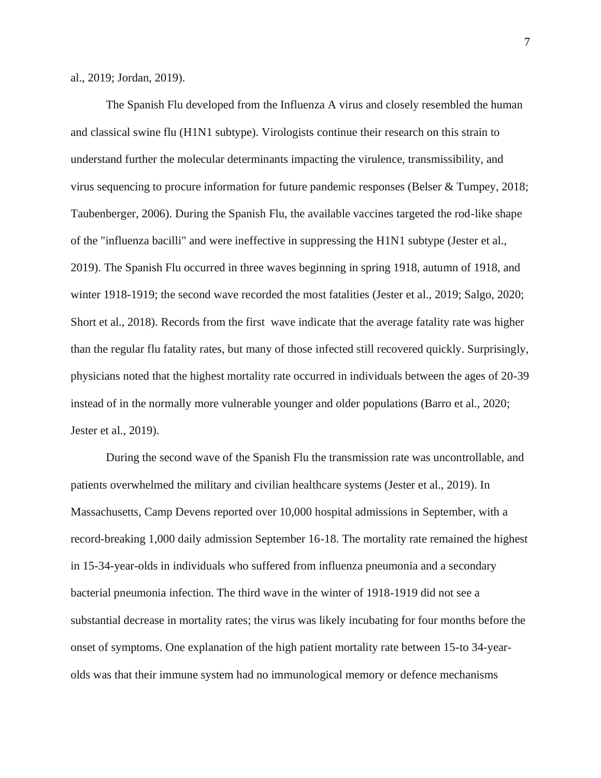al., 2019; Jordan, 2019).

The Spanish Flu developed from the Influenza A virus and closely resembled the human and classical swine flu (H1N1 subtype). Virologists continue their research on this strain to understand further the molecular determinants impacting the virulence, transmissibility, and virus sequencing to procure information for future pandemic responses (Belser & Tumpey, 2018; Taubenberger, 2006). During the Spanish Flu, the available vaccines targeted the rod-like shape of the "influenza bacilli" and were ineffective in suppressing the H1N1 subtype (Jester et al., 2019). The Spanish Flu occurred in three waves beginning in spring 1918, autumn of 1918, and winter 1918-1919; the second wave recorded the most fatalities (Jester et al., 2019; Salgo, 2020; Short et al., 2018). Records from the first wave indicate that the average fatality rate was higher than the regular flu fatality rates, but many of those infected still recovered quickly. Surprisingly, physicians noted that the highest mortality rate occurred in individuals between the ages of 20-39 instead of in the normally more vulnerable younger and older populations (Barro et al., 2020; Jester et al., 2019).

During the second wave of the Spanish Flu the transmission rate was uncontrollable, and patients overwhelmed the military and civilian healthcare systems (Jester et al., 2019). In Massachusetts, Camp Devens reported over 10,000 hospital admissions in September, with a record-breaking 1,000 daily admission September 16-18. The mortality rate remained the highest in 15-34-year-olds in individuals who suffered from influenza pneumonia and a secondary bacterial pneumonia infection. The third wave in the winter of 1918-1919 did not see a substantial decrease in mortality rates; the virus was likely incubating for four months before the onset of symptoms. One explanation of the high patient mortality rate between 15-to 34-yearolds was that their immune system had no immunological memory or defence mechanisms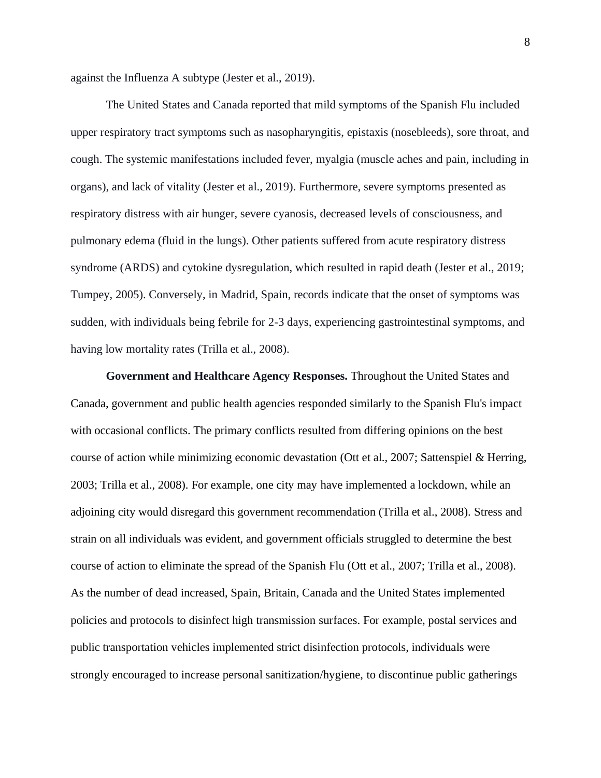against the Influenza A subtype (Jester et al., 2019).

The United States and Canada reported that mild symptoms of the Spanish Flu included upper respiratory tract symptoms such as nasopharyngitis, epistaxis (nosebleeds), sore throat, and cough. The systemic manifestations included fever, myalgia (muscle aches and pain, including in organs), and lack of vitality (Jester et al., 2019). Furthermore, severe symptoms presented as respiratory distress with air hunger, severe cyanosis, decreased levels of consciousness, and pulmonary edema (fluid in the lungs). Other patients suffered from acute respiratory distress syndrome (ARDS) and cytokine dysregulation, which resulted in rapid death (Jester et al., 2019; Tumpey, 2005). Conversely, in Madrid, Spain, records indicate that the onset of symptoms was sudden, with individuals being febrile for 2-3 days, experiencing gastrointestinal symptoms, and having low mortality rates (Trilla et al., 2008).

**Government and Healthcare Agency Responses.** Throughout the United States and Canada, government and public health agencies responded similarly to the Spanish Flu's impact with occasional conflicts. The primary conflicts resulted from differing opinions on the best course of action while minimizing economic devastation (Ott et al., 2007; Sattenspiel & Herring, 2003; Trilla et al., 2008). For example, one city may have implemented a lockdown, while an adjoining city would disregard this government recommendation (Trilla et al., 2008). Stress and strain on all individuals was evident, and government officials struggled to determine the best course of action to eliminate the spread of the Spanish Flu (Ott et al., 2007; Trilla et al., 2008). As the number of dead increased, Spain, Britain, Canada and the United States implemented policies and protocols to disinfect high transmission surfaces. For example, postal services and public transportation vehicles implemented strict disinfection protocols, individuals were strongly encouraged to increase personal sanitization/hygiene, to discontinue public gatherings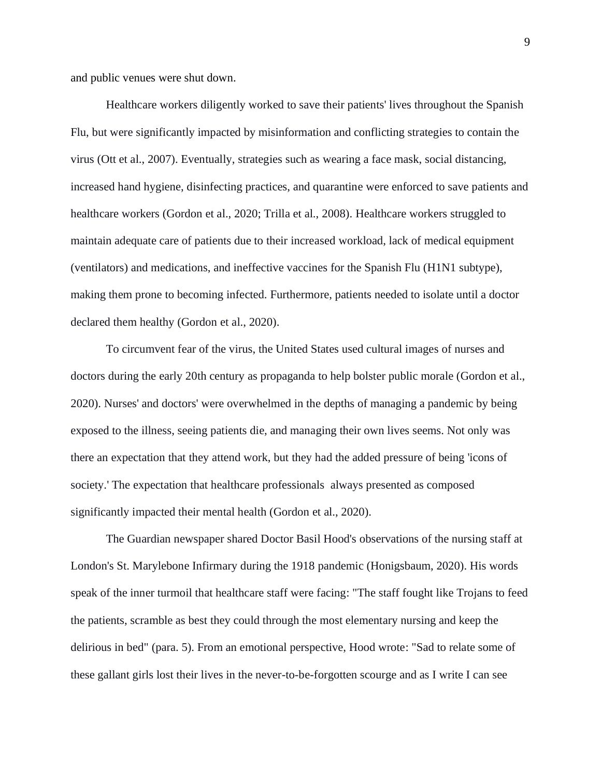and public venues were shut down.

Healthcare workers diligently worked to save their patients' lives throughout the Spanish Flu, but were significantly impacted by misinformation and conflicting strategies to contain the virus (Ott et al., 2007). Eventually, strategies such as wearing a face mask, social distancing, increased hand hygiene, disinfecting practices, and quarantine were enforced to save patients and healthcare workers (Gordon et al., 2020; Trilla et al., 2008). Healthcare workers struggled to maintain adequate care of patients due to their increased workload, lack of medical equipment (ventilators) and medications, and ineffective vaccines for the Spanish Flu (H1N1 subtype), making them prone to becoming infected. Furthermore, patients needed to isolate until a doctor declared them healthy (Gordon et al., 2020).

To circumvent fear of the virus, the United States used cultural images of nurses and doctors during the early 20th century as propaganda to help bolster public morale (Gordon et al., 2020). Nurses' and doctors' were overwhelmed in the depths of managing a pandemic by being exposed to the illness, seeing patients die, and managing their own lives seems. Not only was there an expectation that they attend work, but they had the added pressure of being 'icons of society.' The expectation that healthcare professionals always presented as composed significantly impacted their mental health (Gordon et al., 2020).

The Guardian newspaper shared Doctor Basil Hood's observations of the nursing staff at London's St. Marylebone Infirmary during the 1918 pandemic (Honigsbaum, 2020). His words speak of the inner turmoil that healthcare staff were facing: "The staff fought like Trojans to feed the patients, scramble as best they could through the most elementary nursing and keep the delirious in bed" (para. 5). From an emotional perspective, Hood wrote: "Sad to relate some of these gallant girls lost their lives in the never-to-be-forgotten scourge and as I write I can see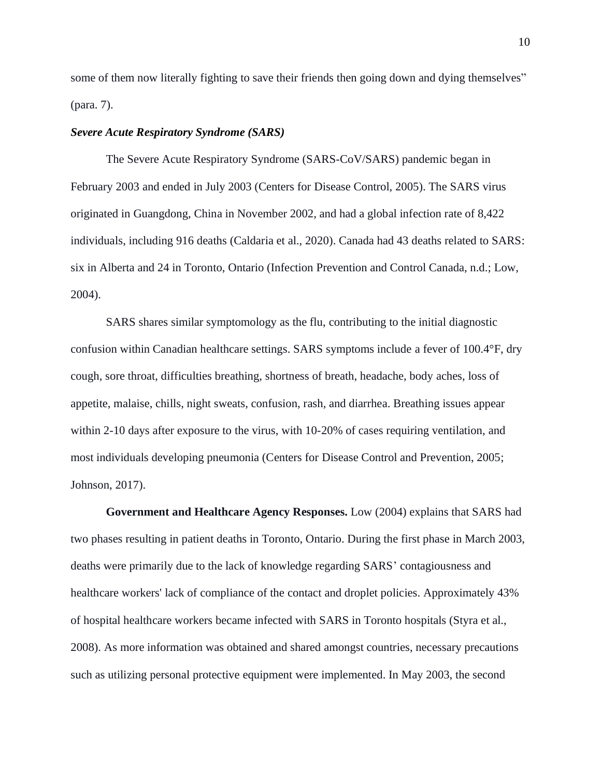some of them now literally fighting to save their friends then going down and dying themselves" (para. 7).

## *Severe Acute Respiratory Syndrome (SARS)*

The Severe Acute Respiratory Syndrome (SARS-CoV/SARS) pandemic began in February 2003 and ended in July 2003 (Centers for Disease Control, 2005). The SARS virus originated in Guangdong, China in November 2002, and had a global infection rate of 8,422 individuals, including 916 deaths (Caldaria et al., 2020). Canada had 43 deaths related to SARS: six in Alberta and 24 in Toronto, Ontario (Infection Prevention and Control Canada, n.d.; Low, 2004).

SARS shares similar symptomology as the flu, contributing to the initial diagnostic confusion within Canadian healthcare settings. SARS symptoms include a fever of 100.4°F, dry cough, sore throat, difficulties breathing, shortness of breath, headache, body aches, loss of appetite, malaise, chills, night sweats, confusion, rash, and diarrhea. Breathing issues appear within 2-10 days after exposure to the virus, with 10-20% of cases requiring ventilation, and most individuals developing pneumonia (Centers for Disease Control and Prevention, 2005; Johnson, 2017).

**Government and Healthcare Agency Responses.** Low (2004) explains that SARS had two phases resulting in patient deaths in Toronto, Ontario. During the first phase in March 2003, deaths were primarily due to the lack of knowledge regarding SARS' contagiousness and healthcare workers' lack of compliance of the contact and droplet policies. Approximately 43% of hospital healthcare workers became infected with SARS in Toronto hospitals (Styra et al., 2008). As more information was obtained and shared amongst countries, necessary precautions such as utilizing personal protective equipment were implemented. In May 2003, the second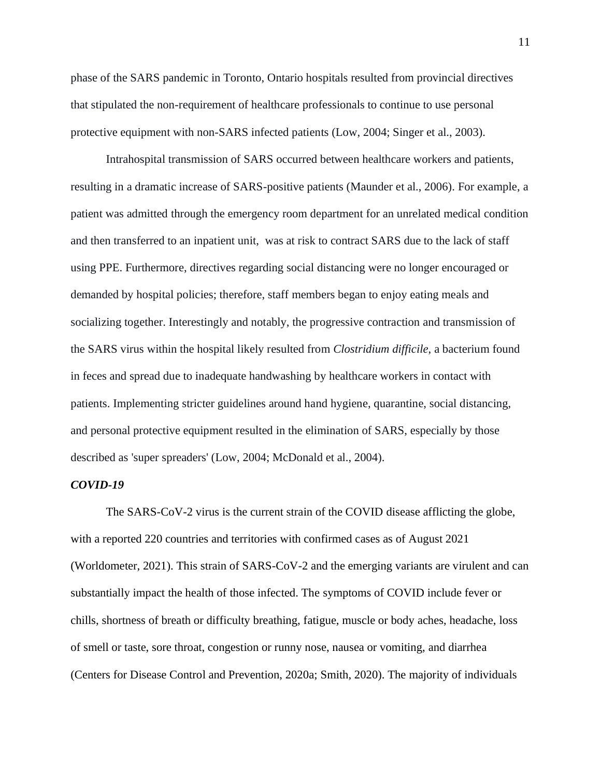phase of the SARS pandemic in Toronto, Ontario hospitals resulted from provincial directives that stipulated the non-requirement of healthcare professionals to continue to use personal protective equipment with non-SARS infected patients (Low, 2004; Singer et al., 2003).

Intrahospital transmission of SARS occurred between healthcare workers and patients, resulting in a dramatic increase of SARS-positive patients (Maunder et al., 2006). For example, a patient was admitted through the emergency room department for an unrelated medical condition and then transferred to an inpatient unit, was at risk to contract SARS due to the lack of staff using PPE. Furthermore, directives regarding social distancing were no longer encouraged or demanded by hospital policies; therefore, staff members began to enjoy eating meals and socializing together. Interestingly and notably, the progressive contraction and transmission of the SARS virus within the hospital likely resulted from *Clostridium difficile*, a bacterium found in feces and spread due to inadequate handwashing by healthcare workers in contact with patients. Implementing stricter guidelines around hand hygiene, quarantine, social distancing, and personal protective equipment resulted in the elimination of SARS, especially by those described as 'super spreaders' (Low, 2004; McDonald et al., 2004).

## *COVID-19*

The SARS-CoV-2 virus is the current strain of the COVID disease afflicting the globe, with a reported 220 countries and territories with confirmed cases as of August 2021 (Worldometer, 2021). This strain of SARS-CoV-2 and the emerging variants are virulent and can substantially impact the health of those infected. The symptoms of COVID include fever or chills, shortness of breath or difficulty breathing, fatigue, muscle or body aches, headache, loss of smell or taste, sore throat, congestion or runny nose, nausea or vomiting, and diarrhea (Centers for Disease Control and Prevention, 2020a; Smith, 2020). The majority of individuals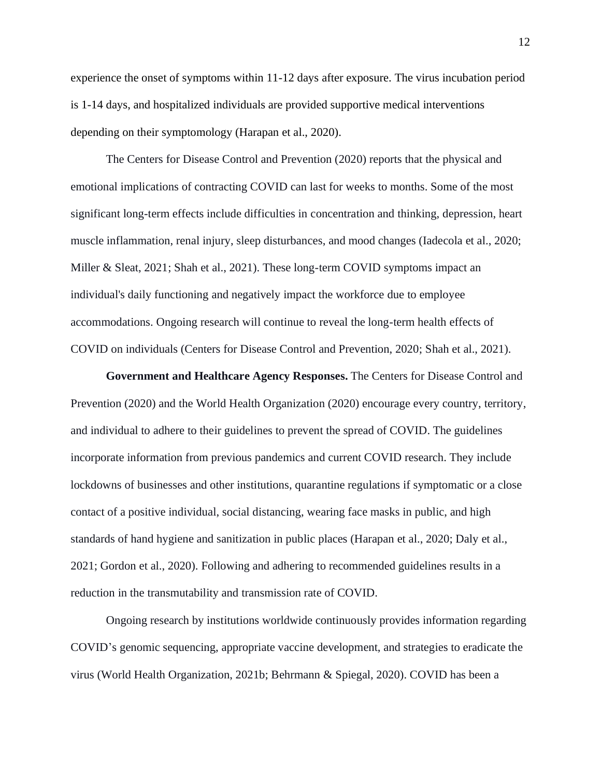experience the onset of symptoms within 11-12 days after exposure. The virus incubation period is 1-14 days, and hospitalized individuals are provided supportive medical interventions depending on their symptomology (Harapan et al., 2020).

The Centers for Disease Control and Prevention (2020) reports that the physical and emotional implications of contracting COVID can last for weeks to months. Some of the most significant long-term effects include difficulties in concentration and thinking, depression, heart muscle inflammation, renal injury, sleep disturbances, and mood changes (Iadecola et al., 2020; Miller & Sleat,  $2021$ ; Shah et al.,  $2021$ ). These long-term COVID symptoms impact an individual's daily functioning and negatively impact the workforce due to employee accommodations. Ongoing research will continue to reveal the long-term health effects of COVID on individuals (Centers for Disease Control and Prevention, 2020; Shah et al., 2021).

**Government and Healthcare Agency Responses.** The Centers for Disease Control and Prevention (2020) and the World Health Organization (2020) encourage every country, territory, and individual to adhere to their guidelines to prevent the spread of COVID. The guidelines incorporate information from previous pandemics and current COVID research. They include lockdowns of businesses and other institutions, quarantine regulations if symptomatic or a close contact of a positive individual, social distancing, wearing face masks in public, and high standards of hand hygiene and sanitization in public places (Harapan et al., 2020; Daly et al., 2021; Gordon et al., 2020). Following and adhering to recommended guidelines results in a reduction in the transmutability and transmission rate of COVID.

Ongoing research by institutions worldwide continuously provides information regarding COVID's genomic sequencing, appropriate vaccine development, and strategies to eradicate the virus (World Health Organization, 2021b; Behrmann & Spiegal, 2020). COVID has been a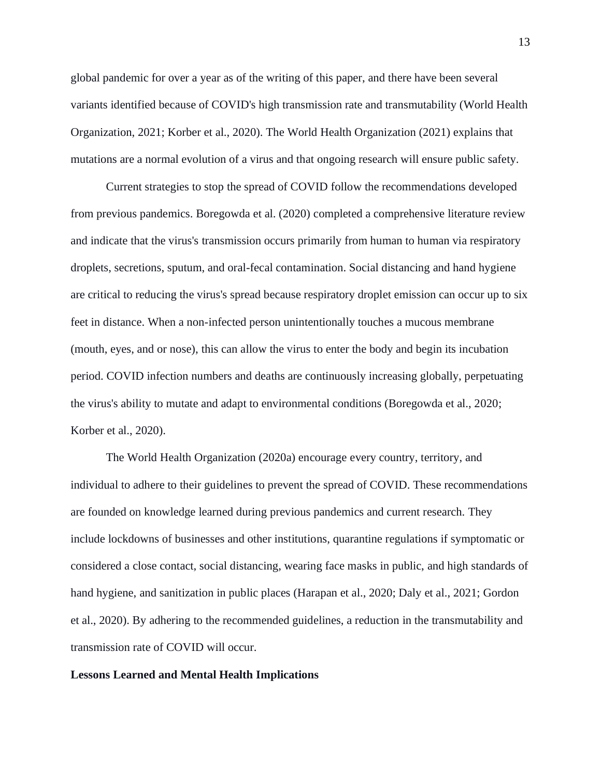global pandemic for over a year as of the writing of this paper, and there have been several variants identified because of COVID's high transmission rate and transmutability (World Health Organization, 2021; Korber et al., 2020). The World Health Organization (2021) explains that mutations are a normal evolution of a virus and that ongoing research will ensure public safety.

Current strategies to stop the spread of COVID follow the recommendations developed from previous pandemics. Boregowda et al. (2020) completed a comprehensive literature review and indicate that the virus's transmission occurs primarily from human to human via respiratory droplets, secretions, sputum, and oral-fecal contamination. Social distancing and hand hygiene are critical to reducing the virus's spread because respiratory droplet emission can occur up to six feet in distance. When a non-infected person unintentionally touches a mucous membrane (mouth, eyes, and or nose), this can allow the virus to enter the body and begin its incubation period. COVID infection numbers and deaths are continuously increasing globally, perpetuating the virus's ability to mutate and adapt to environmental conditions (Boregowda et al., 2020; Korber et al., 2020).

The World Health Organization (2020a) encourage every country, territory, and individual to adhere to their guidelines to prevent the spread of COVID. These recommendations are founded on knowledge learned during previous pandemics and current research. They include lockdowns of businesses and other institutions, quarantine regulations if symptomatic or considered a close contact, social distancing, wearing face masks in public, and high standards of hand hygiene, and sanitization in public places (Harapan et al., 2020; Daly et al., 2021; Gordon et al., 2020). By adhering to the recommended guidelines, a reduction in the transmutability and transmission rate of COVID will occur.

## **Lessons Learned and Mental Health Implications**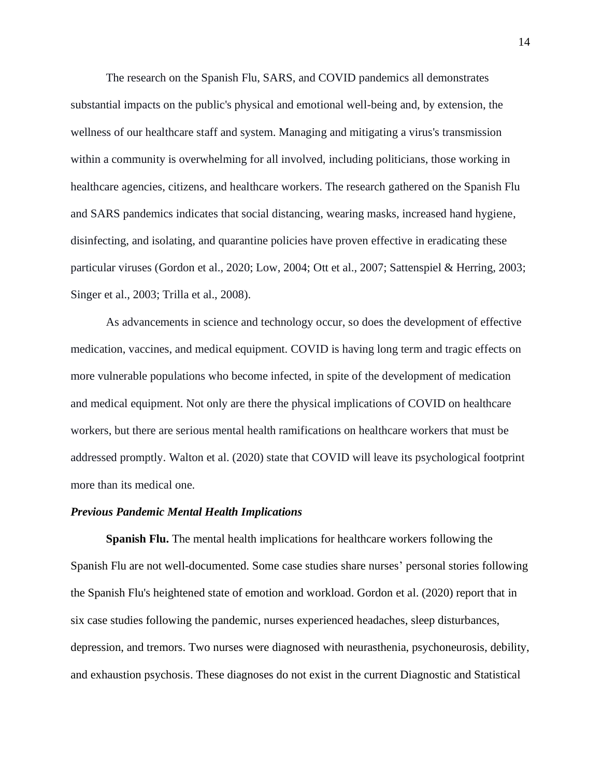The research on the Spanish Flu, SARS, and COVID pandemics all demonstrates substantial impacts on the public's physical and emotional well-being and, by extension, the wellness of our healthcare staff and system. Managing and mitigating a virus's transmission within a community is overwhelming for all involved, including politicians, those working in healthcare agencies, citizens, and healthcare workers. The research gathered on the Spanish Flu and SARS pandemics indicates that social distancing, wearing masks, increased hand hygiene, disinfecting, and isolating, and quarantine policies have proven effective in eradicating these particular viruses (Gordon et al., 2020; Low, 2004; Ott et al., 2007; Sattenspiel & Herring, 2003; Singer et al., 2003; Trilla et al., 2008).

As advancements in science and technology occur, so does the development of effective medication, vaccines, and medical equipment. COVID is having long term and tragic effects on more vulnerable populations who become infected, in spite of the development of medication and medical equipment. Not only are there the physical implications of COVID on healthcare workers, but there are serious mental health ramifications on healthcare workers that must be addressed promptly. Walton et al. (2020) state that COVID will leave its psychological footprint more than its medical one.

#### *Previous Pandemic Mental Health Implications*

**Spanish Flu.** The mental health implications for healthcare workers following the Spanish Flu are not well-documented. Some case studies share nurses' personal stories following the Spanish Flu's heightened state of emotion and workload. Gordon et al. (2020) report that in six case studies following the pandemic, nurses experienced headaches, sleep disturbances, depression, and tremors. Two nurses were diagnosed with neurasthenia, psychoneurosis, debility, and exhaustion psychosis. These diagnoses do not exist in the current Diagnostic and Statistical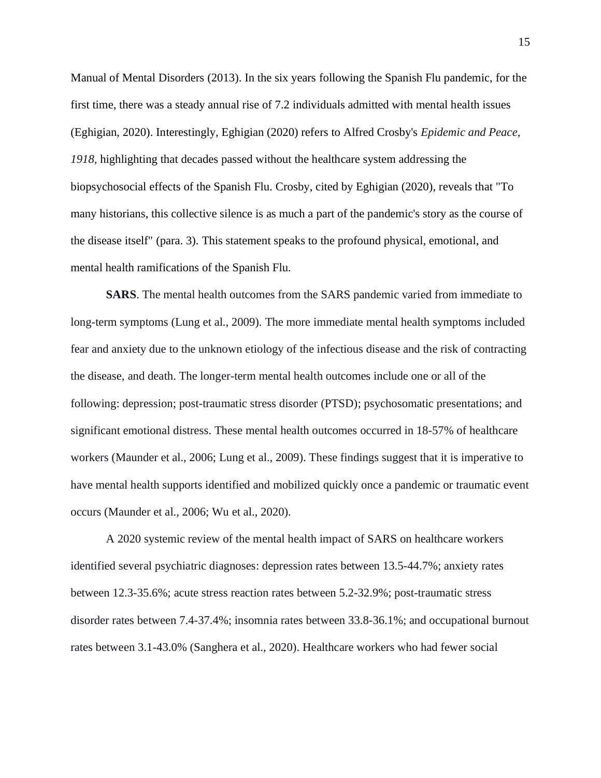Manual of Mental Disorders (2013). In the six years following the Spanish Flu pandemic, for the first time, there was a steady annual rise of 7.2 individuals admitted with mental health issues (Eghigian, 2020). Interestingly, Eghigian (2020) refers to Alfred Crosby's *Epidemic and Peace, 1918,* highlighting that decades passed without the healthcare system addressing the biopsychosocial effects of the Spanish Flu. Crosby, cited by Eghigian (2020), reveals that "To many historians, this collective silence is as much a part of the pandemic's story as the course of the disease itself" (para. 3). This statement speaks to the profound physical, emotional, and mental health ramifications of the Spanish Flu.

**SARS**. The mental health outcomes from the SARS pandemic varied from immediate to long-term symptoms (Lung et al., 2009). The more immediate mental health symptoms included fear and anxiety due to the unknown etiology of the infectious disease and the risk of contracting the disease, and death. The longer-term mental health outcomes include one or all of the following: depression; post-traumatic stress disorder (PTSD); psychosomatic presentations; and significant emotional distress. These mental health outcomes occurred in 18-57% of healthcare workers (Maunder et al., 2006; Lung et al., 2009). These findings suggest that it is imperative to have mental health supports identified and mobilized quickly once a pandemic or traumatic event occurs (Maunder et al., 2006; Wu et al., 2020).

A 2020 systemic review of the mental health impact of SARS on healthcare workers identified several psychiatric diagnoses: depression rates between 13.5-44.7%; anxiety rates between 12.3-35.6%; acute stress reaction rates between 5.2-32.9%; post-traumatic stress disorder rates between 7.4-37.4%; insomnia rates between 33.8-36.1%; and occupational burnout rates between 3.1-43.0% (Sanghera et al., 2020). Healthcare workers who had fewer social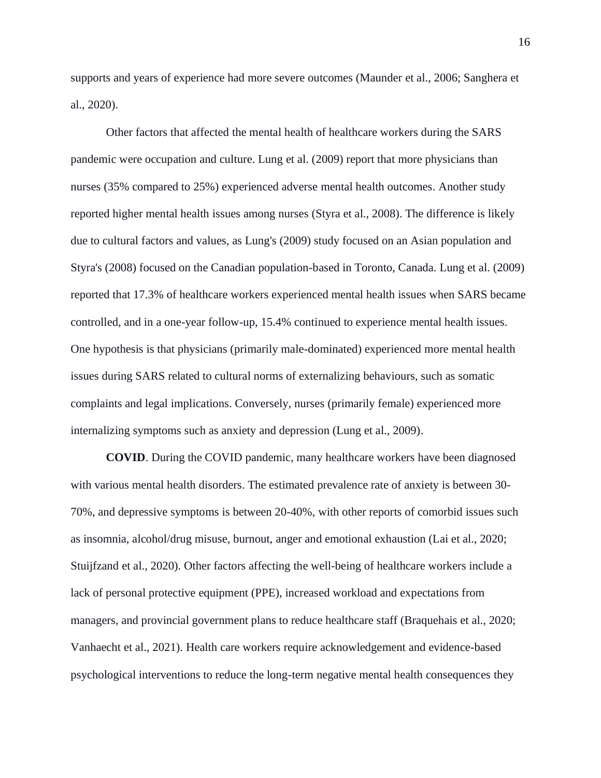supports and years of experience had more severe outcomes (Maunder et al., 2006; Sanghera et al., 2020).

Other factors that affected the mental health of healthcare workers during the SARS pandemic were occupation and culture. Lung et al. (2009) report that more physicians than nurses (35% compared to 25%) experienced adverse mental health outcomes. Another study reported higher mental health issues among nurses (Styra et al., 2008). The difference is likely due to cultural factors and values, as Lung's (2009) study focused on an Asian population and Styra's (2008) focused on the Canadian population-based in Toronto, Canada. Lung et al. (2009) reported that 17.3% of healthcare workers experienced mental health issues when SARS became controlled, and in a one-year follow-up, 15.4% continued to experience mental health issues. One hypothesis is that physicians (primarily male-dominated) experienced more mental health issues during SARS related to cultural norms of externalizing behaviours, such as somatic complaints and legal implications. Conversely, nurses (primarily female) experienced more internalizing symptoms such as anxiety and depression (Lung et al., 2009).

**COVID**. During the COVID pandemic, many healthcare workers have been diagnosed with various mental health disorders. The estimated prevalence rate of anxiety is between 30- 70%, and depressive symptoms is between 20-40%, with other reports of comorbid issues such as insomnia, alcohol/drug misuse, burnout, anger and emotional exhaustion (Lai et al., 2020; Stuijfzand et al., 2020). Other factors affecting the well-being of healthcare workers include a lack of personal protective equipment (PPE), increased workload and expectations from managers, and provincial government plans to reduce healthcare staff (Braquehais et al., 2020; Vanhaecht et al., 2021). Health care workers require acknowledgement and evidence-based psychological interventions to reduce the long-term negative mental health consequences they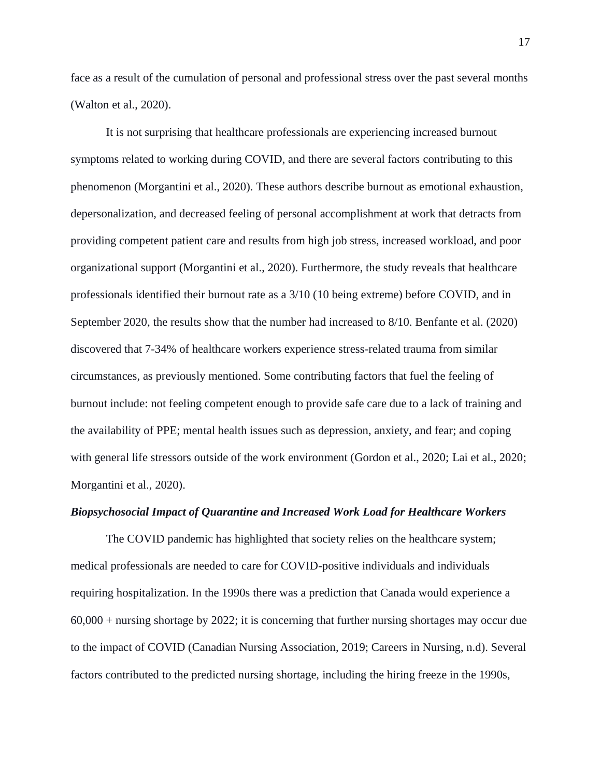face as a result of the cumulation of personal and professional stress over the past several months (Walton et al., 2020).

It is not surprising that healthcare professionals are experiencing increased burnout symptoms related to working during COVID, and there are several factors contributing to this phenomenon (Morgantini et al., 2020). These authors describe burnout as emotional exhaustion, depersonalization, and decreased feeling of personal accomplishment at work that detracts from providing competent patient care and results from high job stress, increased workload, and poor organizational support (Morgantini et al., 2020). Furthermore, the study reveals that healthcare professionals identified their burnout rate as a 3/10 (10 being extreme) before COVID, and in September 2020, the results show that the number had increased to 8/10. Benfante et al. (2020) discovered that 7-34% of healthcare workers experience stress-related trauma from similar circumstances, as previously mentioned. Some contributing factors that fuel the feeling of burnout include: not feeling competent enough to provide safe care due to a lack of training and the availability of PPE; mental health issues such as depression, anxiety, and fear; and coping with general life stressors outside of the work environment (Gordon et al., 2020; Lai et al., 2020; Morgantini et al., 2020).

## *Biopsychosocial Impact of Quarantine and Increased Work Load for Healthcare Workers*

The COVID pandemic has highlighted that society relies on the healthcare system; medical professionals are needed to care for COVID-positive individuals and individuals requiring hospitalization. In the 1990s there was a prediction that Canada would experience a 60,000 + nursing shortage by 2022; it is concerning that further nursing shortages may occur due to the impact of COVID (Canadian Nursing Association, 2019; Careers in Nursing, n.d). Several factors contributed to the predicted nursing shortage, including the hiring freeze in the 1990s,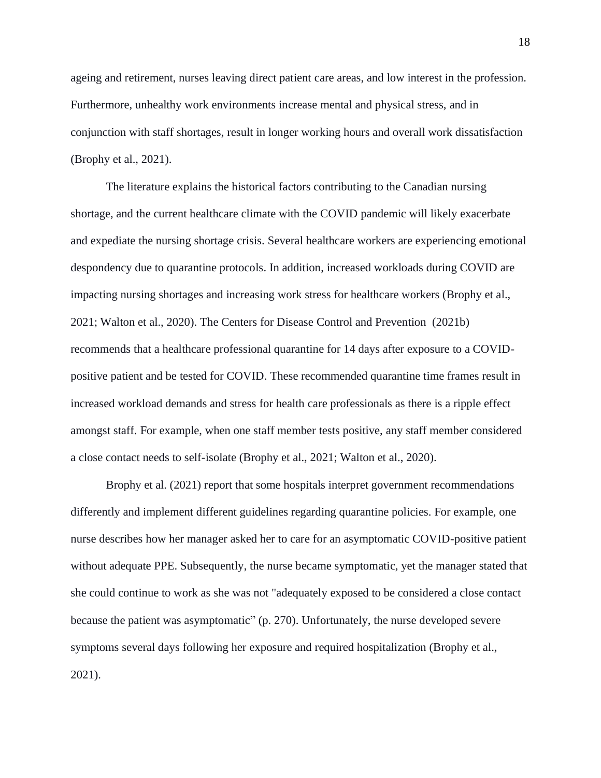ageing and retirement, nurses leaving direct patient care areas, and low interest in the profession. Furthermore, unhealthy work environments increase mental and physical stress, and in conjunction with staff shortages, result in longer working hours and overall work dissatisfaction (Brophy et al., 2021).

The literature explains the historical factors contributing to the Canadian nursing shortage, and the current healthcare climate with the COVID pandemic will likely exacerbate and expediate the nursing shortage crisis. Several healthcare workers are experiencing emotional despondency due to quarantine protocols. In addition, increased workloads during COVID are impacting nursing shortages and increasing work stress for healthcare workers (Brophy et al., 2021; Walton et al., 2020). The Centers for Disease Control and Prevention (2021b) recommends that a healthcare professional quarantine for 14 days after exposure to a COVIDpositive patient and be tested for COVID. These recommended quarantine time frames result in increased workload demands and stress for health care professionals as there is a ripple effect amongst staff. For example, when one staff member tests positive, any staff member considered a close contact needs to self-isolate (Brophy et al., 2021; Walton et al., 2020).

Brophy et al. (2021) report that some hospitals interpret government recommendations differently and implement different guidelines regarding quarantine policies. For example, one nurse describes how her manager asked her to care for an asymptomatic COVID-positive patient without adequate PPE. Subsequently, the nurse became symptomatic, yet the manager stated that she could continue to work as she was not "adequately exposed to be considered a close contact because the patient was asymptomatic" (p. 270). Unfortunately, the nurse developed severe symptoms several days following her exposure and required hospitalization (Brophy et al., 2021).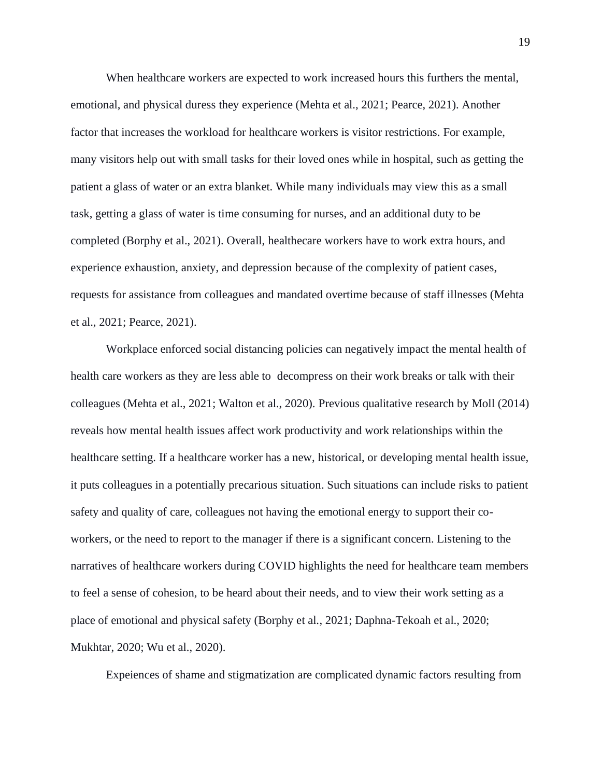When healthcare workers are expected to work increased hours this furthers the mental, emotional, and physical duress they experience (Mehta et al., 2021; Pearce, 2021). Another factor that increases the workload for healthcare workers is visitor restrictions. For example, many visitors help out with small tasks for their loved ones while in hospital, such as getting the patient a glass of water or an extra blanket. While many individuals may view this as a small task, getting a glass of water is time consuming for nurses, and an additional duty to be completed (Borphy et al., 2021). Overall, healthecare workers have to work extra hours, and experience exhaustion, anxiety, and depression because of the complexity of patient cases, requests for assistance from colleagues and mandated overtime because of staff illnesses (Mehta et al., 2021; Pearce, 2021).

Workplace enforced social distancing policies can negatively impact the mental health of health care workers as they are less able to decompress on their work breaks or talk with their colleagues (Mehta et al., 2021; Walton et al., 2020). Previous qualitative research by Moll (2014) reveals how mental health issues affect work productivity and work relationships within the healthcare setting. If a healthcare worker has a new, historical, or developing mental health issue, it puts colleagues in a potentially precarious situation. Such situations can include risks to patient safety and quality of care, colleagues not having the emotional energy to support their coworkers, or the need to report to the manager if there is a significant concern. Listening to the narratives of healthcare workers during COVID highlights the need for healthcare team members to feel a sense of cohesion, to be heard about their needs, and to view their work setting as a place of emotional and physical safety (Borphy et al., 2021; Daphna-Tekoah et al., 2020; Mukhtar, 2020; Wu et al., 2020).

Expeiences of shame and stigmatization are complicated dynamic factors resulting from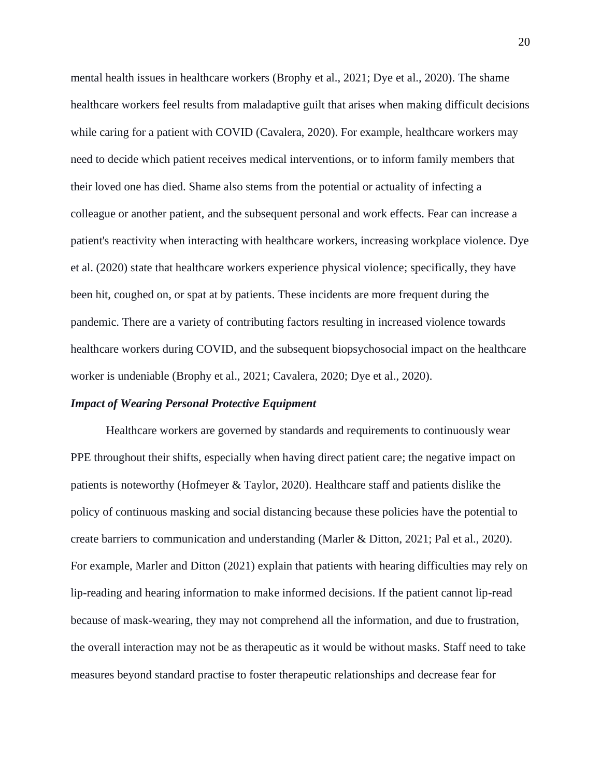mental health issues in healthcare workers (Brophy et al., 2021; Dye et al., 2020). The shame healthcare workers feel results from maladaptive guilt that arises when making difficult decisions while caring for a patient with COVID (Cavalera, 2020). For example, healthcare workers may need to decide which patient receives medical interventions, or to inform family members that their loved one has died. Shame also stems from the potential or actuality of infecting a colleague or another patient, and the subsequent personal and work effects. Fear can increase a patient's reactivity when interacting with healthcare workers, increasing workplace violence. Dye et al. (2020) state that healthcare workers experience physical violence; specifically, they have been hit, coughed on, or spat at by patients. These incidents are more frequent during the pandemic. There are a variety of contributing factors resulting in increased violence towards healthcare workers during COVID, and the subsequent biopsychosocial impact on the healthcare worker is undeniable (Brophy et al., 2021; Cavalera, 2020; Dye et al., 2020).

#### *Impact of Wearing Personal Protective Equipment*

Healthcare workers are governed by standards and requirements to continuously wear PPE throughout their shifts, especially when having direct patient care; the negative impact on patients is noteworthy (Hofmeyer & Taylor, 2020). Healthcare staff and patients dislike the policy of continuous masking and social distancing because these policies have the potential to create barriers to communication and understanding (Marler & Ditton, 2021; Pal et al., 2020). For example, Marler and Ditton (2021) explain that patients with hearing difficulties may rely on lip-reading and hearing information to make informed decisions. If the patient cannot lip-read because of mask-wearing, they may not comprehend all the information, and due to frustration, the overall interaction may not be as therapeutic as it would be without masks. Staff need to take measures beyond standard practise to foster therapeutic relationships and decrease fear for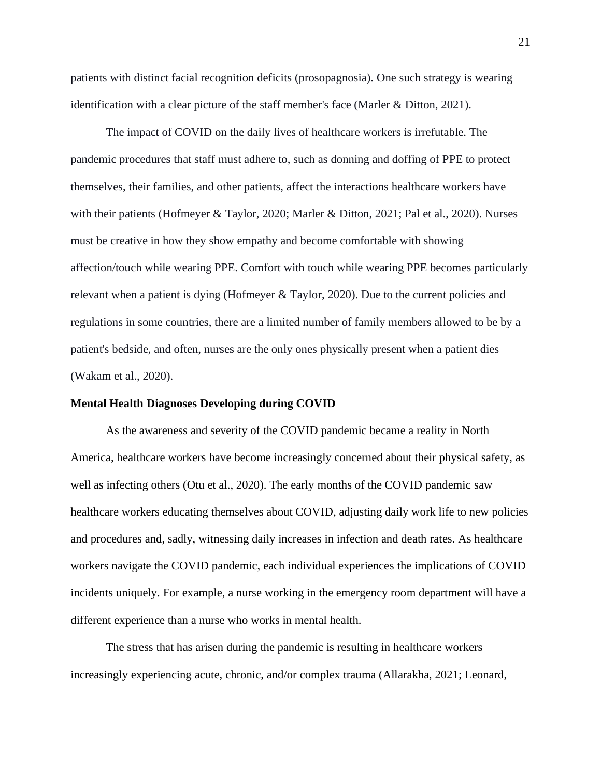patients with distinct facial recognition deficits (prosopagnosia). One such strategy is wearing identification with a clear picture of the staff member's face (Marler & Ditton, 2021).

The impact of COVID on the daily lives of healthcare workers is irrefutable. The pandemic procedures that staff must adhere to, such as donning and doffing of PPE to protect themselves, their families, and other patients, affect the interactions healthcare workers have with their patients (Hofmeyer & Taylor, 2020; Marler & Ditton, 2021; Pal et al., 2020). Nurses must be creative in how they show empathy and become comfortable with showing affection/touch while wearing PPE. Comfort with touch while wearing PPE becomes particularly relevant when a patient is dying (Hofmeyer & Taylor, 2020). Due to the current policies and regulations in some countries, there are a limited number of family members allowed to be by a patient's bedside, and often, nurses are the only ones physically present when a patient dies (Wakam et al., 2020).

## **Mental Health Diagnoses Developing during COVID**

As the awareness and severity of the COVID pandemic became a reality in North America, healthcare workers have become increasingly concerned about their physical safety, as well as infecting others (Otu et al., 2020). The early months of the COVID pandemic saw healthcare workers educating themselves about COVID, adjusting daily work life to new policies and procedures and, sadly, witnessing daily increases in infection and death rates. As healthcare workers navigate the COVID pandemic, each individual experiences the implications of COVID incidents uniquely. For example, a nurse working in the emergency room department will have a different experience than a nurse who works in mental health.

The stress that has arisen during the pandemic is resulting in healthcare workers increasingly experiencing acute, chronic, and/or complex trauma (Allarakha, 2021; Leonard,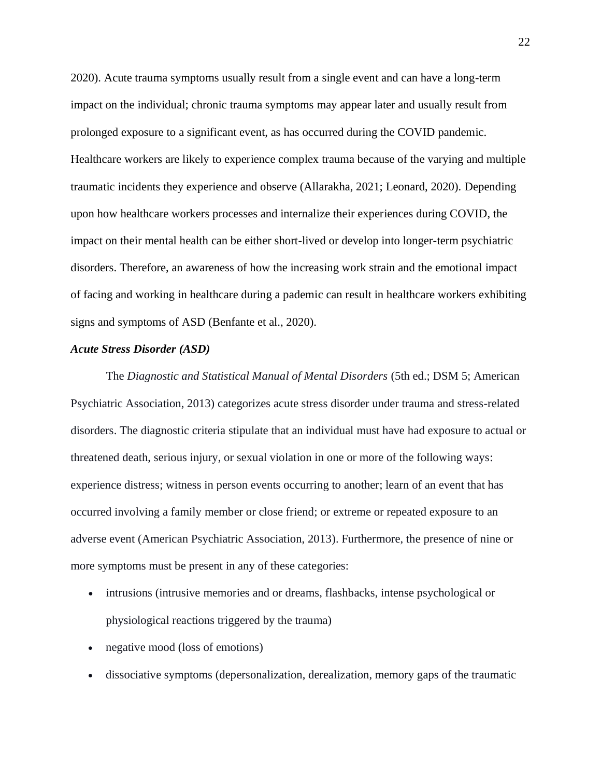2020). Acute trauma symptoms usually result from a single event and can have a long-term impact on the individual; chronic trauma symptoms may appear later and usually result from prolonged exposure to a significant event, as has occurred during the COVID pandemic. Healthcare workers are likely to experience complex trauma because of the varying and multiple traumatic incidents they experience and observe (Allarakha, 2021; Leonard, 2020). Depending upon how healthcare workers processes and internalize their experiences during COVID, the impact on their mental health can be either short-lived or develop into longer-term psychiatric disorders. Therefore, an awareness of how the increasing work strain and the emotional impact of facing and working in healthcare during a pademic can result in healthcare workers exhibiting signs and symptoms of ASD (Benfante et al., 2020).

## *Acute Stress Disorder (ASD)*

The *Diagnostic and Statistical Manual of Mental Disorders* (5th ed.; DSM 5; American Psychiatric Association, 2013) categorizes acute stress disorder under trauma and stress-related disorders. The diagnostic criteria stipulate that an individual must have had exposure to actual or threatened death, serious injury, or sexual violation in one or more of the following ways: experience distress; witness in person events occurring to another; learn of an event that has occurred involving a family member or close friend; or extreme or repeated exposure to an adverse event (American Psychiatric Association, 2013). Furthermore, the presence of nine or more symptoms must be present in any of these categories:

- intrusions (intrusive memories and or dreams, flashbacks, intense psychological or physiological reactions triggered by the trauma)
- negative mood (loss of emotions)
- dissociative symptoms (depersonalization, derealization, memory gaps of the traumatic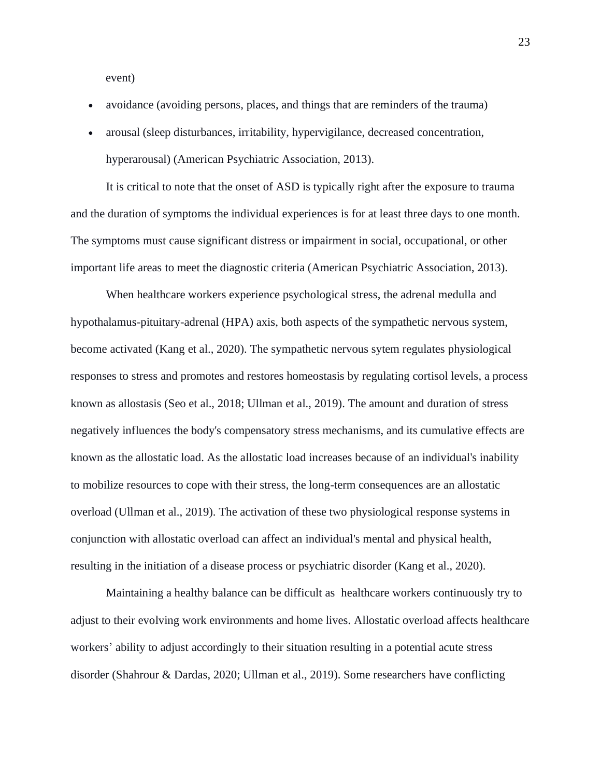event)

- avoidance (avoiding persons, places, and things that are reminders of the trauma)
- arousal (sleep disturbances, irritability, hypervigilance, decreased concentration, hyperarousal) (American Psychiatric Association, 2013).

It is critical to note that the onset of ASD is typically right after the exposure to trauma and the duration of symptoms the individual experiences is for at least three days to one month. The symptoms must cause significant distress or impairment in social, occupational, or other important life areas to meet the diagnostic criteria (American Psychiatric Association, 2013).

 When healthcare workers experience psychological stress, the adrenal medulla and hypothalamus-pituitary-adrenal (HPA) axis, both aspects of the sympathetic nervous system, become activated (Kang et al., 2020). The sympathetic nervous sytem regulates physiological responses to stress and promotes and restores homeostasis by regulating cortisol levels, a process known as allostasis (Seo et al., 2018; Ullman et al., 2019). The amount and duration of stress negatively influences the body's compensatory stress mechanisms, and its cumulative effects are known as the allostatic load. As the allostatic load increases because of an individual's inability to mobilize resources to cope with their stress, the long-term consequences are an allostatic overload (Ullman et al., 2019). The activation of these two physiological response systems in conjunction with allostatic overload can affect an individual's mental and physical health, resulting in the initiation of a disease process or psychiatric disorder (Kang et al., 2020).

Maintaining a healthy balance can be difficult as healthcare workers continuously try to adjust to their evolving work environments and home lives. Allostatic overload affects healthcare workers' ability to adjust accordingly to their situation resulting in a potential acute stress disorder (Shahrour & Dardas, 2020; Ullman et al., 2019). Some researchers have conflicting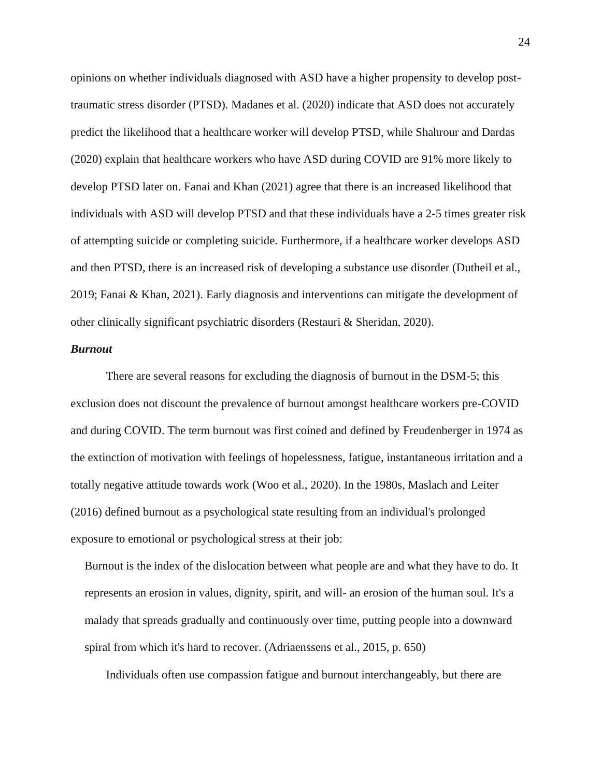opinions on whether individuals diagnosed with ASD have a higher propensity to develop posttraumatic stress disorder (PTSD). Madanes et al. (2020) indicate that ASD does not accurately predict the likelihood that a healthcare worker will develop PTSD, while Shahrour and Dardas (2020) explain that healthcare workers who have ASD during COVID are 91% more likely to develop PTSD later on. Fanai and Khan (2021) agree that there is an increased likelihood that individuals with ASD will develop PTSD and that these individuals have a 2-5 times greater risk of attempting suicide or completing suicide. Furthermore, if a healthcare worker develops ASD and then PTSD, there is an increased risk of developing a substance use disorder (Dutheil et al., 2019; Fanai & Khan, 2021). Early diagnosis and interventions can mitigate the development of other clinically significant psychiatric disorders (Restauri & Sheridan, 2020).

## *Burnout*

There are several reasons for excluding the diagnosis of burnout in the DSM-5; this exclusion does not discount the prevalence of burnout amongst healthcare workers pre-COVID and during COVID. The term burnout was first coined and defined by Freudenberger in 1974 as the extinction of motivation with feelings of hopelessness, fatigue, instantaneous irritation and a totally negative attitude towards work (Woo et al., 2020). In the 1980s, Maslach and Leiter (2016) defined burnout as a psychological state resulting from an individual's prolonged exposure to emotional or psychological stress at their job:

Burnout is the index of the dislocation between what people are and what they have to do. It represents an erosion in values, dignity, spirit, and will- an erosion of the human soul. It's a malady that spreads gradually and continuously over time, putting people into a downward spiral from which it's hard to recover. (Adriaenssens et al., 2015, p. 650)

Individuals often use compassion fatigue and burnout interchangeably, but there are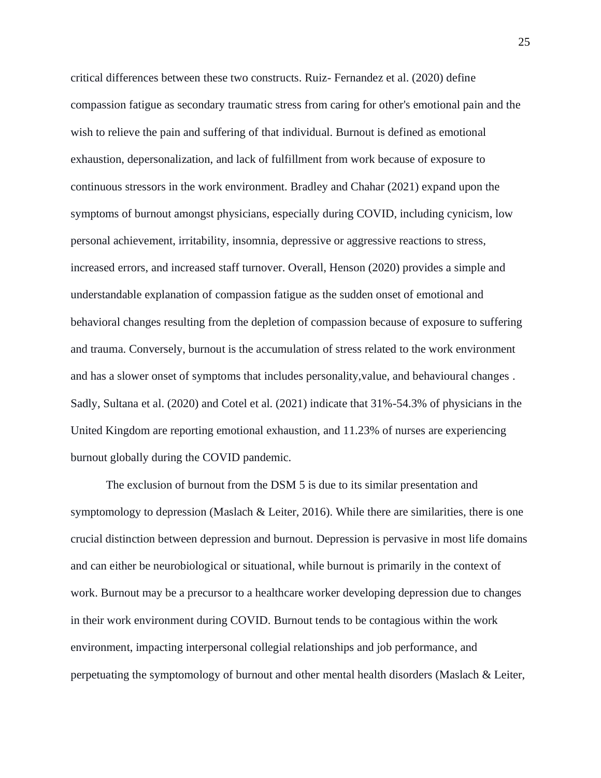critical differences between these two constructs. Ruiz- Fernandez et al. (2020) define compassion fatigue as secondary traumatic stress from caring for other's emotional pain and the wish to relieve the pain and suffering of that individual. Burnout is defined as emotional exhaustion, depersonalization, and lack of fulfillment from work because of exposure to continuous stressors in the work environment. Bradley and Chahar (2021) expand upon the symptoms of burnout amongst physicians, especially during COVID, including cynicism, low personal achievement, irritability, insomnia, depressive or aggressive reactions to stress, increased errors, and increased staff turnover. Overall, Henson (2020) provides a simple and understandable explanation of compassion fatigue as the sudden onset of emotional and behavioral changes resulting from the depletion of compassion because of exposure to suffering and trauma. Conversely, burnout is the accumulation of stress related to the work environment and has a slower onset of symptoms that includes personality,value, and behavioural changes . Sadly, Sultana et al. (2020) and Cotel et al. (2021) indicate that 31%-54.3% of physicians in the United Kingdom are reporting emotional exhaustion, and 11.23% of nurses are experiencing burnout globally during the COVID pandemic.

The exclusion of burnout from the DSM 5 is due to its similar presentation and symptomology to depression (Maslach & Leiter, 2016). While there are similarities, there is one crucial distinction between depression and burnout. Depression is pervasive in most life domains and can either be neurobiological or situational, while burnout is primarily in the context of work. Burnout may be a precursor to a healthcare worker developing depression due to changes in their work environment during COVID. Burnout tends to be contagious within the work environment, impacting interpersonal collegial relationships and job performance, and perpetuating the symptomology of burnout and other mental health disorders (Maslach & Leiter,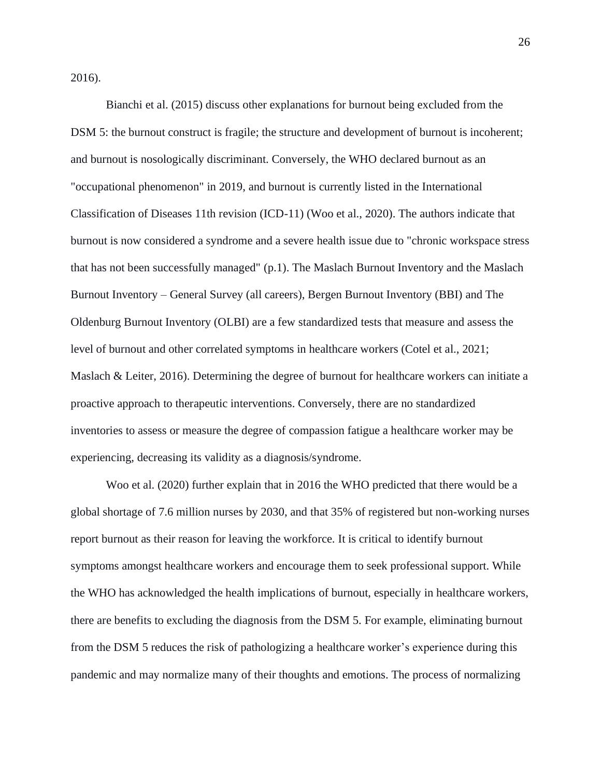2016).

Bianchi et al. (2015) discuss other explanations for burnout being excluded from the DSM 5: the burnout construct is fragile; the structure and development of burnout is incoherent; and burnout is nosologically discriminant. Conversely, the WHO declared burnout as an "occupational phenomenon" in 2019, and burnout is currently listed in the International Classification of Diseases 11th revision (ICD-11) (Woo et al., 2020). The authors indicate that burnout is now considered a syndrome and a severe health issue due to "chronic workspace stress that has not been successfully managed" (p.1). The Maslach Burnout Inventory and the Maslach Burnout Inventory – General Survey (all careers), Bergen Burnout Inventory (BBI) and The Oldenburg Burnout Inventory (OLBI) are a few standardized tests that measure and assess the level of burnout and other correlated symptoms in healthcare workers (Cotel et al., 2021; Maslach & Leiter, 2016). Determining the degree of burnout for healthcare workers can initiate a proactive approach to therapeutic interventions. Conversely, there are no standardized inventories to assess or measure the degree of compassion fatigue a healthcare worker may be experiencing, decreasing its validity as a diagnosis/syndrome.

Woo et al. (2020) further explain that in 2016 the WHO predicted that there would be a global shortage of 7.6 million nurses by 2030, and that 35% of registered but non-working nurses report burnout as their reason for leaving the workforce. It is critical to identify burnout symptoms amongst healthcare workers and encourage them to seek professional support. While the WHO has acknowledged the health implications of burnout, especially in healthcare workers, there are benefits to excluding the diagnosis from the DSM 5. For example, eliminating burnout from the DSM 5 reduces the risk of pathologizing a healthcare worker's experience during this pandemic and may normalize many of their thoughts and emotions. The process of normalizing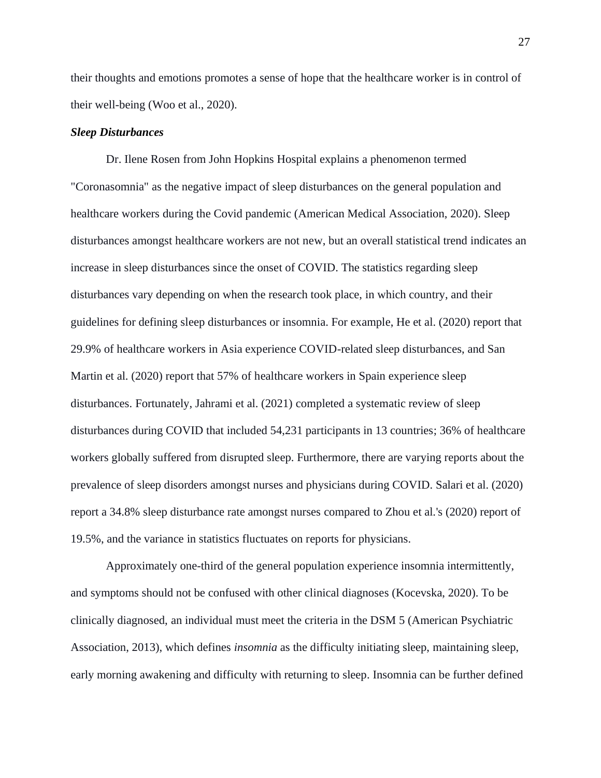their thoughts and emotions promotes a sense of hope that the healthcare worker is in control of their well-being (Woo et al., 2020).

## *Sleep Disturbances*

Dr. Ilene Rosen from John Hopkins Hospital explains a phenomenon termed "Coronasomnia" as the negative impact of sleep disturbances on the general population and healthcare workers during the Covid pandemic (American Medical Association, 2020). Sleep disturbances amongst healthcare workers are not new, but an overall statistical trend indicates an increase in sleep disturbances since the onset of COVID. The statistics regarding sleep disturbances vary depending on when the research took place, in which country, and their guidelines for defining sleep disturbances or insomnia. For example, He et al. (2020) report that 29.9% of healthcare workers in Asia experience COVID-related sleep disturbances, and San Martin et al. (2020) report that 57% of healthcare workers in Spain experience sleep disturbances. Fortunately, Jahrami et al. (2021) completed a systematic review of sleep disturbances during COVID that included 54,231 participants in 13 countries; 36% of healthcare workers globally suffered from disrupted sleep. Furthermore, there are varying reports about the prevalence of sleep disorders amongst nurses and physicians during COVID. Salari et al. (2020) report a 34.8% sleep disturbance rate amongst nurses compared to Zhou et al.'s (2020) report of 19.5%, and the variance in statistics fluctuates on reports for physicians.

Approximately one-third of the general population experience insomnia intermittently, and symptoms should not be confused with other clinical diagnoses (Kocevska, 2020). To be clinically diagnosed, an individual must meet the criteria in the DSM 5 (American Psychiatric Association, 2013), which defines *insomnia* as the difficulty initiating sleep, maintaining sleep, early morning awakening and difficulty with returning to sleep. Insomnia can be further defined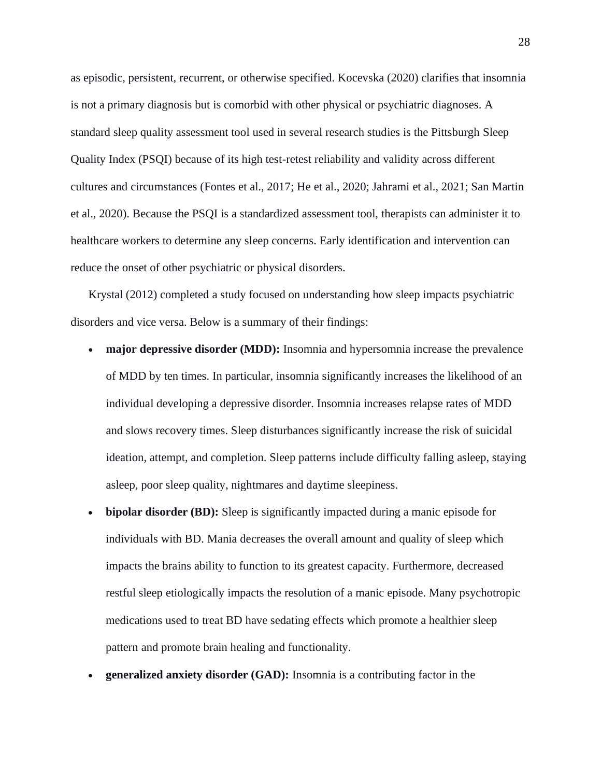as episodic, persistent, recurrent, or otherwise specified. Kocevska (2020) clarifies that insomnia is not a primary diagnosis but is comorbid with other physical or psychiatric diagnoses. A standard sleep quality assessment tool used in several research studies is the Pittsburgh Sleep Quality Index (PSQI) because of its high test-retest reliability and validity across different cultures and circumstances (Fontes et al., 2017; He et al., 2020; Jahrami et al., 2021; San Martin et al., 2020). Because the PSQI is a standardized assessment tool, therapists can administer it to healthcare workers to determine any sleep concerns. Early identification and intervention can reduce the onset of other psychiatric or physical disorders.

Krystal (2012) completed a study focused on understanding how sleep impacts psychiatric disorders and vice versa. Below is a summary of their findings:

- **major depressive disorder (MDD):** Insomnia and hypersomnia increase the prevalence of MDD by ten times. In particular, insomnia significantly increases the likelihood of an individual developing a depressive disorder. Insomnia increases relapse rates of MDD and slows recovery times. Sleep disturbances significantly increase the risk of suicidal ideation, attempt, and completion. Sleep patterns include difficulty falling asleep, staying asleep, poor sleep quality, nightmares and daytime sleepiness.
- **bipolar disorder (BD):** Sleep is significantly impacted during a manic episode for individuals with BD. Mania decreases the overall amount and quality of sleep which impacts the brains ability to function to its greatest capacity. Furthermore, decreased restful sleep etiologically impacts the resolution of a manic episode. Many psychotropic medications used to treat BD have sedating effects which promote a healthier sleep pattern and promote brain healing and functionality.
- **generalized anxiety disorder (GAD):** Insomnia is a contributing factor in the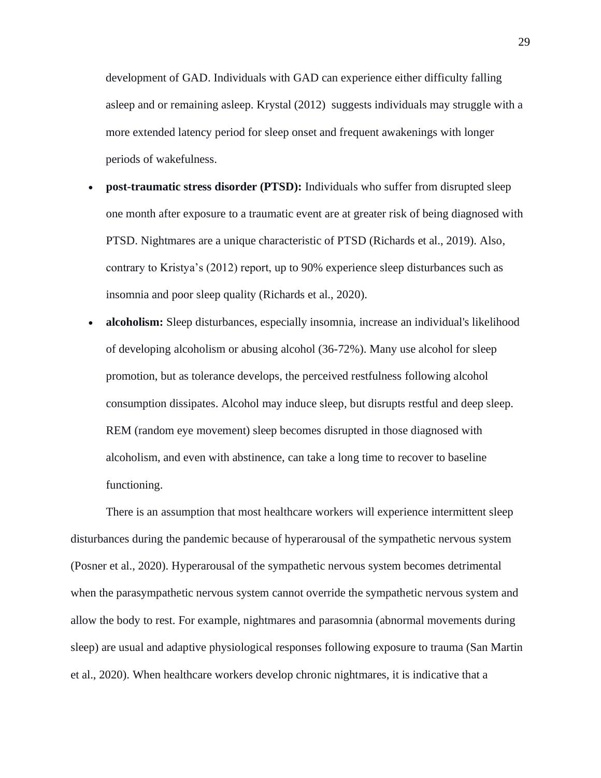development of GAD. Individuals with GAD can experience either difficulty falling asleep and or remaining asleep. Krystal (2012) suggests individuals may struggle with a more extended latency period for sleep onset and frequent awakenings with longer periods of wakefulness.

- **post-traumatic stress disorder (PTSD):** Individuals who suffer from disrupted sleep one month after exposure to a traumatic event are at greater risk of being diagnosed with PTSD. Nightmares are a unique characteristic of PTSD (Richards et al., 2019). Also, contrary to Kristya's (2012) report, up to 90% experience sleep disturbances such as insomnia and poor sleep quality (Richards et al., 2020).
- **alcoholism:** Sleep disturbances, especially insomnia, increase an individual's likelihood of developing alcoholism or abusing alcohol (36-72%). Many use alcohol for sleep promotion, but as tolerance develops, the perceived restfulness following alcohol consumption dissipates. Alcohol may induce sleep, but disrupts restful and deep sleep. REM (random eye movement) sleep becomes disrupted in those diagnosed with alcoholism, and even with abstinence, can take a long time to recover to baseline functioning.

There is an assumption that most healthcare workers will experience intermittent sleep disturbances during the pandemic because of hyperarousal of the sympathetic nervous system (Posner et al., 2020). Hyperarousal of the sympathetic nervous system becomes detrimental when the parasympathetic nervous system cannot override the sympathetic nervous system and allow the body to rest. For example, nightmares and parasomnia (abnormal movements during sleep) are usual and adaptive physiological responses following exposure to trauma (San Martin et al., 2020). When healthcare workers develop chronic nightmares, it is indicative that a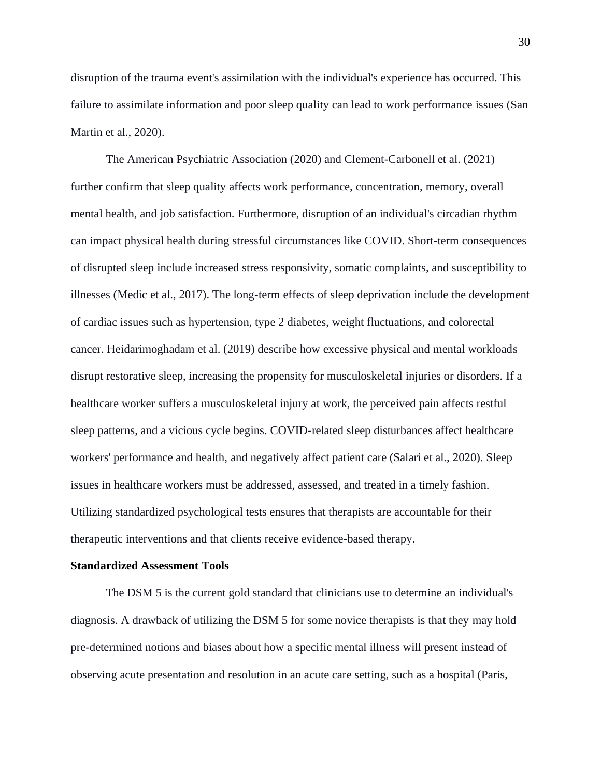disruption of the trauma event's assimilation with the individual's experience has occurred. This failure to assimilate information and poor sleep quality can lead to work performance issues (San Martin et al., 2020).

The American Psychiatric Association (2020) and Clement-Carbonell et al. (2021) further confirm that sleep quality affects work performance, concentration, memory, overall mental health, and job satisfaction. Furthermore, disruption of an individual's circadian rhythm can impact physical health during stressful circumstances like COVID. Short-term consequences of disrupted sleep include increased stress responsivity, somatic complaints, and susceptibility to illnesses (Medic et al., 2017). The long-term effects of sleep deprivation include the development of cardiac issues such as hypertension, type 2 diabetes, weight fluctuations, and colorectal cancer. Heidarimoghadam et al. (2019) describe how excessive physical and mental workloads disrupt restorative sleep, increasing the propensity for musculoskeletal injuries or disorders. If a healthcare worker suffers a musculoskeletal injury at work, the perceived pain affects restful sleep patterns, and a vicious cycle begins. COVID-related sleep disturbances affect healthcare workers' performance and health, and negatively affect patient care (Salari et al., 2020). Sleep issues in healthcare workers must be addressed, assessed, and treated in a timely fashion. Utilizing standardized psychological tests ensures that therapists are accountable for their therapeutic interventions and that clients receive evidence-based therapy.

## **Standardized Assessment Tools**

The DSM 5 is the current gold standard that clinicians use to determine an individual's diagnosis. A drawback of utilizing the DSM 5 for some novice therapists is that they may hold pre-determined notions and biases about how a specific mental illness will present instead of observing acute presentation and resolution in an acute care setting, such as a hospital (Paris,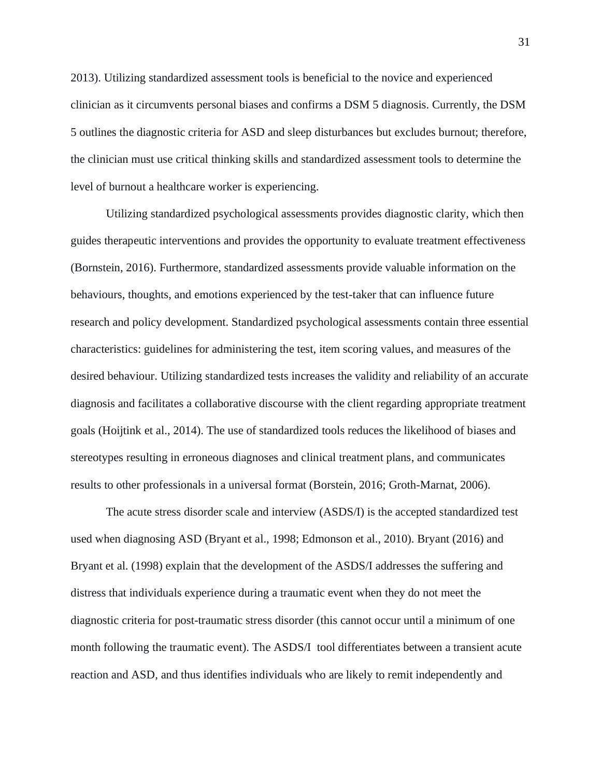2013). Utilizing standardized assessment tools is beneficial to the novice and experienced clinician as it circumvents personal biases and confirms a DSM 5 diagnosis. Currently, the DSM 5 outlines the diagnostic criteria for ASD and sleep disturbances but excludes burnout; therefore, the clinician must use critical thinking skills and standardized assessment tools to determine the level of burnout a healthcare worker is experiencing.

Utilizing standardized psychological assessments provides diagnostic clarity, which then guides therapeutic interventions and provides the opportunity to evaluate treatment effectiveness (Bornstein, 2016). Furthermore, standardized assessments provide valuable information on the behaviours, thoughts, and emotions experienced by the test-taker that can influence future research and policy development. Standardized psychological assessments contain three essential characteristics: guidelines for administering the test, item scoring values, and measures of the desired behaviour. Utilizing standardized tests increases the validity and reliability of an accurate diagnosis and facilitates a collaborative discourse with the client regarding appropriate treatment goals (Hoijtink et al., 2014). The use of standardized tools reduces the likelihood of biases and stereotypes resulting in erroneous diagnoses and clinical treatment plans, and communicates results to other professionals in a universal format (Borstein, 2016; Groth-Marnat, 2006).

The acute stress disorder scale and interview (ASDS/I) is the accepted standardized test used when diagnosing ASD (Bryant et al., 1998; Edmonson et al., 2010). Bryant (2016) and Bryant et al. (1998) explain that the development of the ASDS/I addresses the suffering and distress that individuals experience during a traumatic event when they do not meet the diagnostic criteria for post-traumatic stress disorder (this cannot occur until a minimum of one month following the traumatic event). The ASDS/I tool differentiates between a transient acute reaction and ASD, and thus identifies individuals who are likely to remit independently and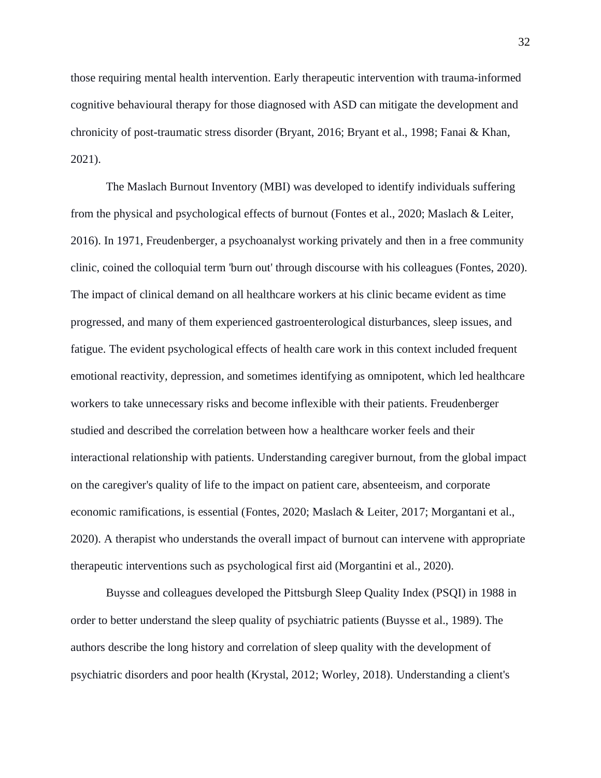those requiring mental health intervention. Early therapeutic intervention with trauma-informed cognitive behavioural therapy for those diagnosed with ASD can mitigate the development and chronicity of post-traumatic stress disorder (Bryant, 2016; Bryant et al., 1998; Fanai & Khan, 2021).

The Maslach Burnout Inventory (MBI) was developed to identify individuals suffering from the physical and psychological effects of burnout (Fontes et al., 2020; Maslach & Leiter, 2016). In 1971, Freudenberger, a psychoanalyst working privately and then in a free community clinic, coined the colloquial term 'burn out' through discourse with his colleagues (Fontes, 2020). The impact of clinical demand on all healthcare workers at his clinic became evident as time progressed, and many of them experienced gastroenterological disturbances, sleep issues, and fatigue. The evident psychological effects of health care work in this context included frequent emotional reactivity, depression, and sometimes identifying as omnipotent, which led healthcare workers to take unnecessary risks and become inflexible with their patients. Freudenberger studied and described the correlation between how a healthcare worker feels and their interactional relationship with patients. Understanding caregiver burnout, from the global impact on the caregiver's quality of life to the impact on patient care, absenteeism, and corporate economic ramifications, is essential (Fontes, 2020; Maslach & Leiter, 2017; Morgantani et al., 2020). A therapist who understands the overall impact of burnout can intervene with appropriate therapeutic interventions such as psychological first aid (Morgantini et al., 2020).

Buysse and colleagues developed the Pittsburgh Sleep Quality Index (PSQI) in 1988 in order to better understand the sleep quality of psychiatric patients (Buysse et al., 1989). The authors describe the long history and correlation of sleep quality with the development of psychiatric disorders and poor health (Krystal, 2012; Worley, 2018). Understanding a client's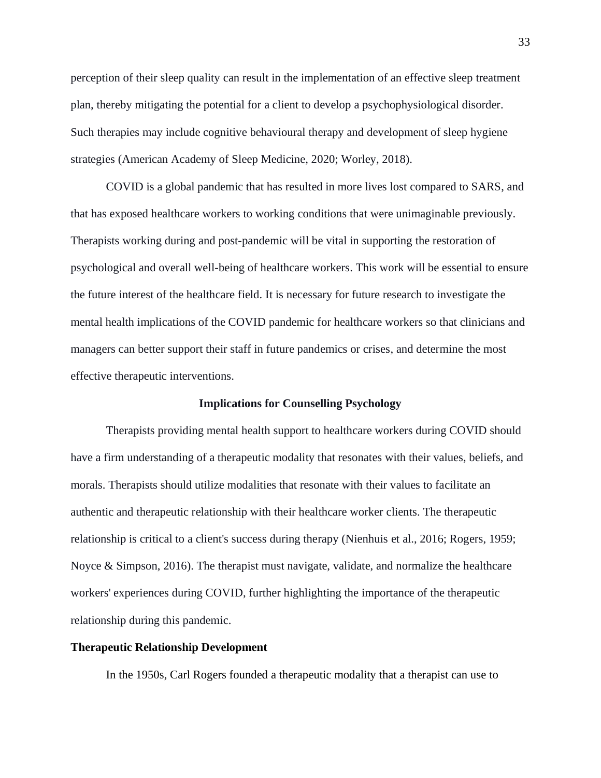perception of their sleep quality can result in the implementation of an effective sleep treatment plan, thereby mitigating the potential for a client to develop a psychophysiological disorder. Such therapies may include cognitive behavioural therapy and development of sleep hygiene strategies (American Academy of Sleep Medicine, 2020; Worley, 2018).

COVID is a global pandemic that has resulted in more lives lost compared to SARS, and that has exposed healthcare workers to working conditions that were unimaginable previously. Therapists working during and post-pandemic will be vital in supporting the restoration of psychological and overall well-being of healthcare workers. This work will be essential to ensure the future interest of the healthcare field. It is necessary for future research to investigate the mental health implications of the COVID pandemic for healthcare workers so that clinicians and managers can better support their staff in future pandemics or crises, and determine the most effective therapeutic interventions.

## **Implications for Counselling Psychology**

Therapists providing mental health support to healthcare workers during COVID should have a firm understanding of a therapeutic modality that resonates with their values, beliefs, and morals. Therapists should utilize modalities that resonate with their values to facilitate an authentic and therapeutic relationship with their healthcare worker clients. The therapeutic relationship is critical to a client's success during therapy (Nienhuis et al., 2016; Rogers, 1959; Noyce & Simpson, 2016). The therapist must navigate, validate, and normalize the healthcare workers' experiences during COVID, further highlighting the importance of the therapeutic relationship during this pandemic.

# **Therapeutic Relationship Development**

In the 1950s, Carl Rogers founded a therapeutic modality that a therapist can use to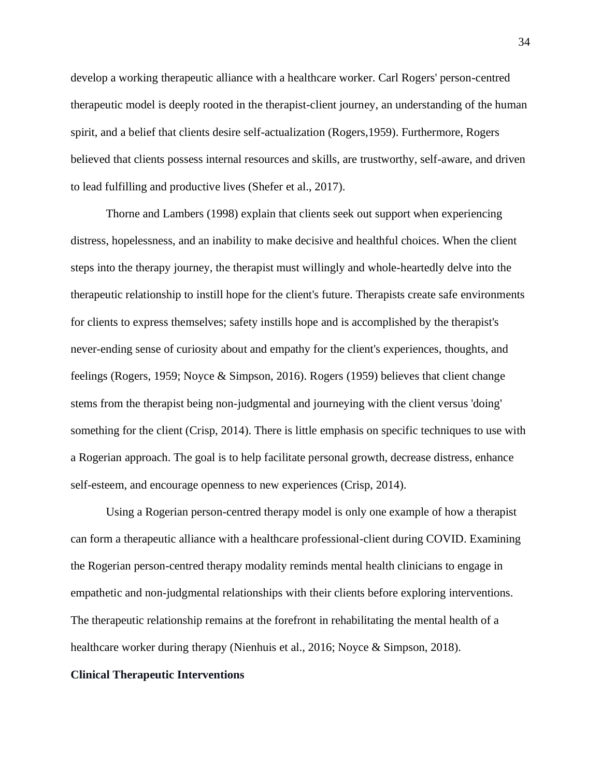develop a working therapeutic alliance with a healthcare worker. Carl Rogers' person-centred therapeutic model is deeply rooted in the therapist-client journey, an understanding of the human spirit, and a belief that clients desire self-actualization (Rogers,1959). Furthermore, Rogers believed that clients possess internal resources and skills, are trustworthy, self-aware, and driven to lead fulfilling and productive lives (Shefer et al., 2017).

Thorne and Lambers (1998) explain that clients seek out support when experiencing distress, hopelessness, and an inability to make decisive and healthful choices. When the client steps into the therapy journey, the therapist must willingly and whole-heartedly delve into the therapeutic relationship to instill hope for the client's future. Therapists create safe environments for clients to express themselves; safety instills hope and is accomplished by the therapist's never-ending sense of curiosity about and empathy for the client's experiences, thoughts, and feelings (Rogers, 1959; Noyce & Simpson, 2016). Rogers (1959) believes that client change stems from the therapist being non-judgmental and journeying with the client versus 'doing' something for the client (Crisp, 2014). There is little emphasis on specific techniques to use with a Rogerian approach. The goal is to help facilitate personal growth, decrease distress, enhance self-esteem, and encourage openness to new experiences (Crisp, 2014).

Using a Rogerian person-centred therapy model is only one example of how a therapist can form a therapeutic alliance with a healthcare professional-client during COVID. Examining the Rogerian person-centred therapy modality reminds mental health clinicians to engage in empathetic and non-judgmental relationships with their clients before exploring interventions. The therapeutic relationship remains at the forefront in rehabilitating the mental health of a healthcare worker during therapy (Nienhuis et al., 2016; Noyce & Simpson, 2018).

# **Clinical Therapeutic Interventions**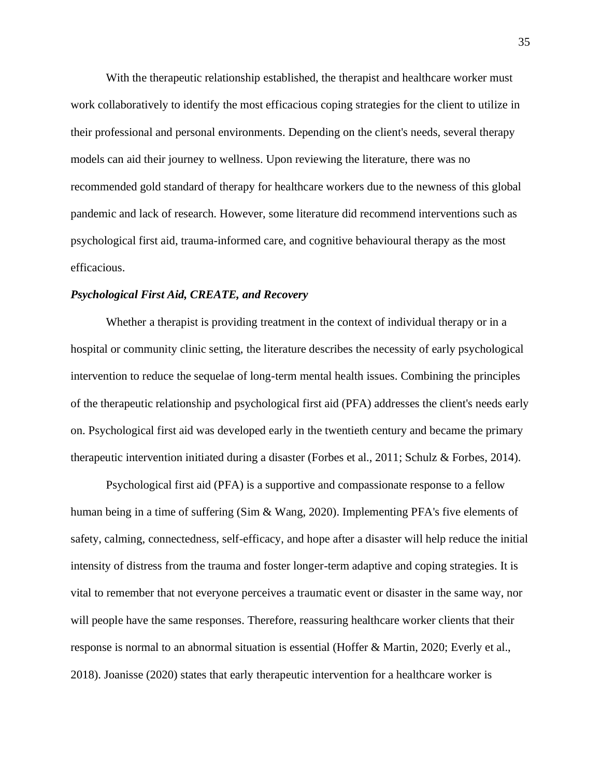With the therapeutic relationship established, the therapist and healthcare worker must work collaboratively to identify the most efficacious coping strategies for the client to utilize in their professional and personal environments. Depending on the client's needs, several therapy models can aid their journey to wellness. Upon reviewing the literature, there was no recommended gold standard of therapy for healthcare workers due to the newness of this global pandemic and lack of research. However, some literature did recommend interventions such as psychological first aid, trauma-informed care, and cognitive behavioural therapy as the most efficacious.

# *Psychological First Aid, CREATE, and Recovery*

Whether a therapist is providing treatment in the context of individual therapy or in a hospital or community clinic setting, the literature describes the necessity of early psychological intervention to reduce the sequelae of long-term mental health issues. Combining the principles of the therapeutic relationship and psychological first aid (PFA) addresses the client's needs early on. Psychological first aid was developed early in the twentieth century and became the primary therapeutic intervention initiated during a disaster (Forbes et al., 2011; Schulz & Forbes, 2014).

Psychological first aid (PFA) is a supportive and compassionate response to a fellow human being in a time of suffering (Sim & Wang, 2020). Implementing PFA's five elements of safety, calming, connectedness, self-efficacy, and hope after a disaster will help reduce the initial intensity of distress from the trauma and foster longer-term adaptive and coping strategies. It is vital to remember that not everyone perceives a traumatic event or disaster in the same way, nor will people have the same responses. Therefore, reassuring healthcare worker clients that their response is normal to an abnormal situation is essential (Hoffer & Martin, 2020; Everly et al., 2018). Joanisse (2020) states that early therapeutic intervention for a healthcare worker is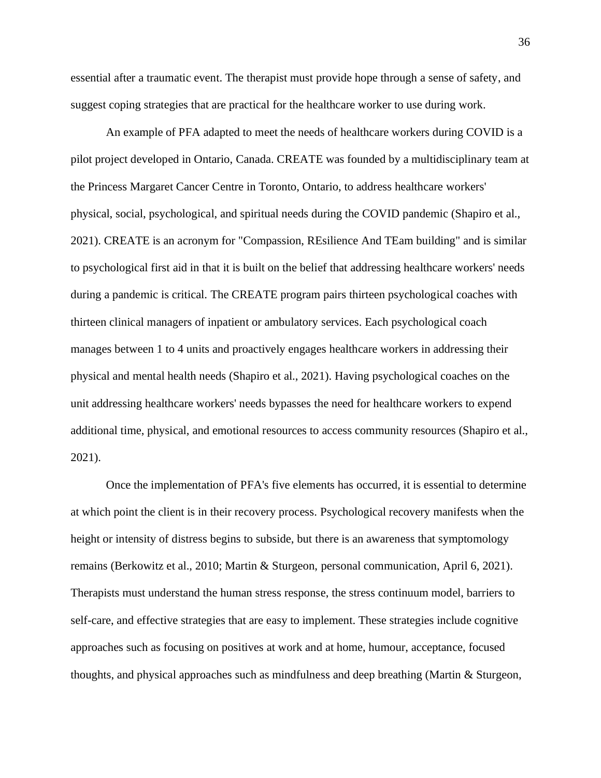essential after a traumatic event. The therapist must provide hope through a sense of safety, and suggest coping strategies that are practical for the healthcare worker to use during work.

An example of PFA adapted to meet the needs of healthcare workers during COVID is a pilot project developed in Ontario, Canada. CREATE was founded by a multidisciplinary team at the Princess Margaret Cancer Centre in Toronto, Ontario, to address healthcare workers' physical, social, psychological, and spiritual needs during the COVID pandemic (Shapiro et al., 2021). CREATE is an acronym for "Compassion, REsilience And TEam building" and is similar to psychological first aid in that it is built on the belief that addressing healthcare workers' needs during a pandemic is critical. The CREATE program pairs thirteen psychological coaches with thirteen clinical managers of inpatient or ambulatory services. Each psychological coach manages between 1 to 4 units and proactively engages healthcare workers in addressing their physical and mental health needs (Shapiro et al., 2021). Having psychological coaches on the unit addressing healthcare workers' needs bypasses the need for healthcare workers to expend additional time, physical, and emotional resources to access community resources (Shapiro et al., 2021).

Once the implementation of PFA's five elements has occurred, it is essential to determine at which point the client is in their recovery process. Psychological recovery manifests when the height or intensity of distress begins to subside, but there is an awareness that symptomology remains (Berkowitz et al., 2010; Martin & Sturgeon, personal communication, April 6, 2021). Therapists must understand the human stress response, the stress continuum model, barriers to self-care, and effective strategies that are easy to implement. These strategies include cognitive approaches such as focusing on positives at work and at home, humour, acceptance, focused thoughts, and physical approaches such as mindfulness and deep breathing (Martin & Sturgeon,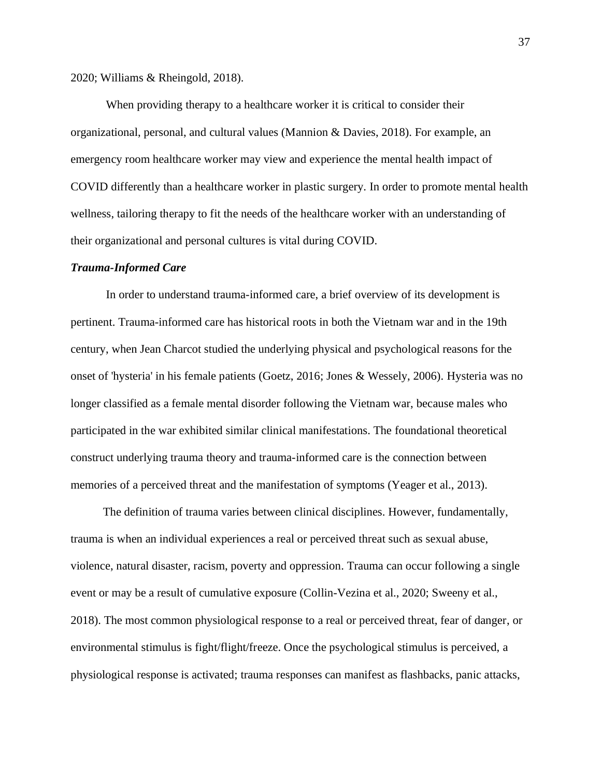2020; Williams & Rheingold, 2018).

When providing therapy to a healthcare worker it is critical to consider their organizational, personal, and cultural values (Mannion & Davies, 2018). For example, an emergency room healthcare worker may view and experience the mental health impact of COVID differently than a healthcare worker in plastic surgery. In order to promote mental health wellness, tailoring therapy to fit the needs of the healthcare worker with an understanding of their organizational and personal cultures is vital during COVID.

#### *Trauma-Informed Care*

In order to understand trauma-informed care, a brief overview of its development is pertinent. Trauma-informed care has historical roots in both the Vietnam war and in the 19th century, when Jean Charcot studied the underlying physical and psychological reasons for the onset of 'hysteria' in his female patients (Goetz, 2016; Jones & Wessely, 2006). Hysteria was no longer classified as a female mental disorder following the Vietnam war, because males who participated in the war exhibited similar clinical manifestations. The foundational theoretical construct underlying trauma theory and trauma-informed care is the connection between memories of a perceived threat and the manifestation of symptoms (Yeager et al., 2013).

 The definition of trauma varies between clinical disciplines. However, fundamentally, trauma is when an individual experiences a real or perceived threat such as sexual abuse, violence, natural disaster, racism, poverty and oppression. Trauma can occur following a single event or may be a result of cumulative exposure (Collin-Vezina et al., 2020; Sweeny et al., 2018). The most common physiological response to a real or perceived threat, fear of danger, or environmental stimulus is fight/flight/freeze. Once the psychological stimulus is perceived, a physiological response is activated; trauma responses can manifest as flashbacks, panic attacks,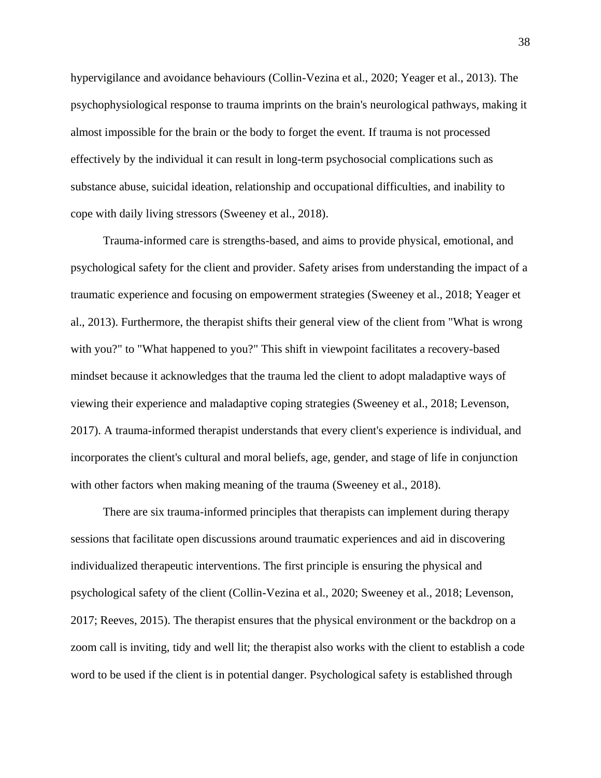hypervigilance and avoidance behaviours (Collin-Vezina et al., 2020; Yeager et al., 2013). The psychophysiological response to trauma imprints on the brain's neurological pathways, making it almost impossible for the brain or the body to forget the event. If trauma is not processed effectively by the individual it can result in long-term psychosocial complications such as substance abuse, suicidal ideation, relationship and occupational difficulties, and inability to cope with daily living stressors (Sweeney et al., 2018).

 Trauma-informed care is strengths-based, and aims to provide physical, emotional, and psychological safety for the client and provider. Safety arises from understanding the impact of a traumatic experience and focusing on empowerment strategies (Sweeney et al., 2018; Yeager et al., 2013). Furthermore, the therapist shifts their general view of the client from "What is wrong with you?" to "What happened to you?" This shift in viewpoint facilitates a recovery-based mindset because it acknowledges that the trauma led the client to adopt maladaptive ways of viewing their experience and maladaptive coping strategies (Sweeney et al., 2018; Levenson, 2017). A trauma-informed therapist understands that every client's experience is individual, and incorporates the client's cultural and moral beliefs, age, gender, and stage of life in conjunction with other factors when making meaning of the trauma (Sweeney et al., 2018).

 There are six trauma-informed principles that therapists can implement during therapy sessions that facilitate open discussions around traumatic experiences and aid in discovering individualized therapeutic interventions. The first principle is ensuring the physical and psychological safety of the client (Collin-Vezina et al., 2020; Sweeney et al., 2018; Levenson, 2017; Reeves, 2015). The therapist ensures that the physical environment or the backdrop on a zoom call is inviting, tidy and well lit; the therapist also works with the client to establish a code word to be used if the client is in potential danger. Psychological safety is established through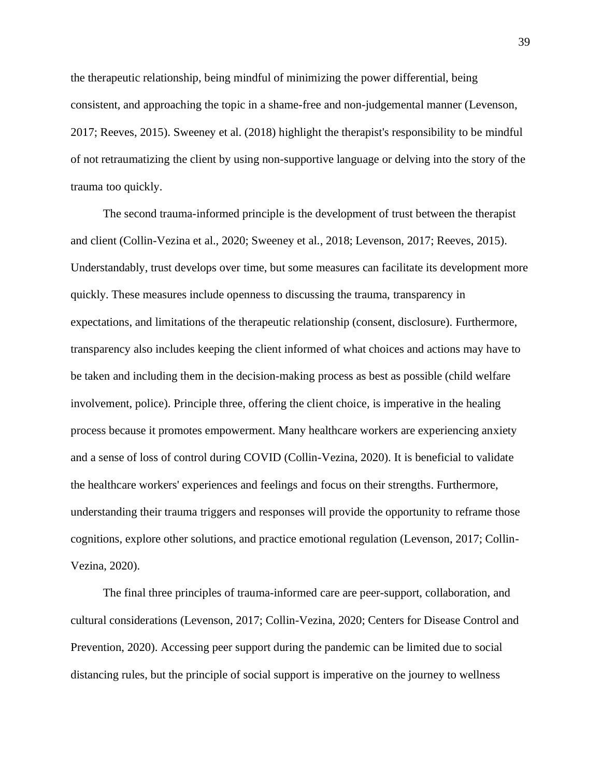the therapeutic relationship, being mindful of minimizing the power differential, being consistent, and approaching the topic in a shame-free and non-judgemental manner (Levenson, 2017; Reeves, 2015). Sweeney et al. (2018) highlight the therapist's responsibility to be mindful of not retraumatizing the client by using non-supportive language or delving into the story of the trauma too quickly.

 The second trauma-informed principle is the development of trust between the therapist and client (Collin-Vezina et al., 2020; Sweeney et al., 2018; Levenson, 2017; Reeves, 2015). Understandably, trust develops over time, but some measures can facilitate its development more quickly. These measures include openness to discussing the trauma, transparency in expectations, and limitations of the therapeutic relationship (consent, disclosure). Furthermore, transparency also includes keeping the client informed of what choices and actions may have to be taken and including them in the decision-making process as best as possible (child welfare involvement, police). Principle three, offering the client choice, is imperative in the healing process because it promotes empowerment. Many healthcare workers are experiencing anxiety and a sense of loss of control during COVID (Collin-Vezina, 2020). It is beneficial to validate the healthcare workers' experiences and feelings and focus on their strengths. Furthermore, understanding their trauma triggers and responses will provide the opportunity to reframe those cognitions, explore other solutions, and practice emotional regulation (Levenson, 2017; Collin-Vezina, 2020).

 The final three principles of trauma-informed care are peer-support, collaboration, and cultural considerations (Levenson, 2017; Collin-Vezina, 2020; Centers for Disease Control and Prevention, 2020). Accessing peer support during the pandemic can be limited due to social distancing rules, but the principle of social support is imperative on the journey to wellness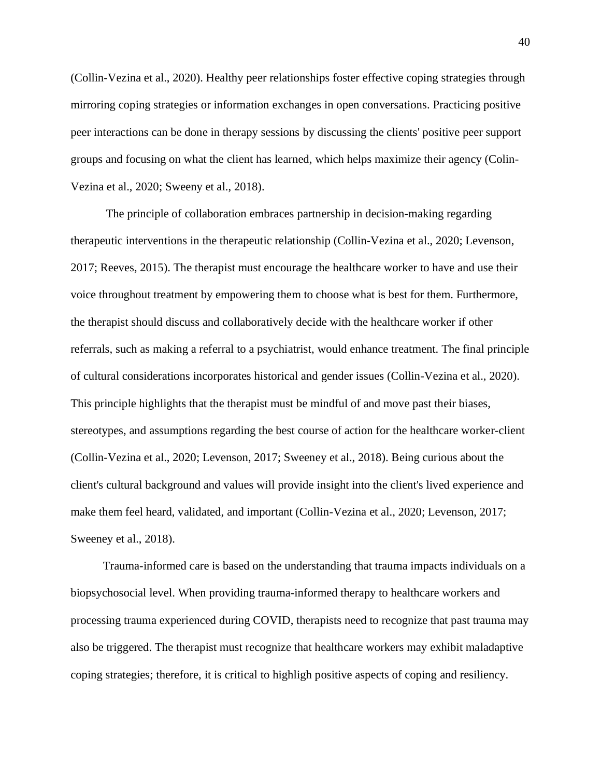(Collin-Vezina et al., 2020). Healthy peer relationships foster effective coping strategies through mirroring coping strategies or information exchanges in open conversations. Practicing positive peer interactions can be done in therapy sessions by discussing the clients' positive peer support groups and focusing on what the client has learned, which helps maximize their agency (Colin-Vezina et al., 2020; Sweeny et al., 2018).

The principle of collaboration embraces partnership in decision-making regarding therapeutic interventions in the therapeutic relationship (Collin-Vezina et al., 2020; Levenson, 2017; Reeves, 2015). The therapist must encourage the healthcare worker to have and use their voice throughout treatment by empowering them to choose what is best for them. Furthermore, the therapist should discuss and collaboratively decide with the healthcare worker if other referrals, such as making a referral to a psychiatrist, would enhance treatment. The final principle of cultural considerations incorporates historical and gender issues (Collin-Vezina et al., 2020). This principle highlights that the therapist must be mindful of and move past their biases, stereotypes, and assumptions regarding the best course of action for the healthcare worker-client (Collin-Vezina et al., 2020; Levenson, 2017; Sweeney et al., 2018). Being curious about the client's cultural background and values will provide insight into the client's lived experience and make them feel heard, validated, and important (Collin-Vezina et al., 2020; Levenson, 2017; Sweeney et al., 2018).

 Trauma-informed care is based on the understanding that trauma impacts individuals on a biopsychosocial level. When providing trauma-informed therapy to healthcare workers and processing trauma experienced during COVID, therapists need to recognize that past trauma may also be triggered. The therapist must recognize that healthcare workers may exhibit maladaptive coping strategies; therefore, it is critical to highligh positive aspects of coping and resiliency.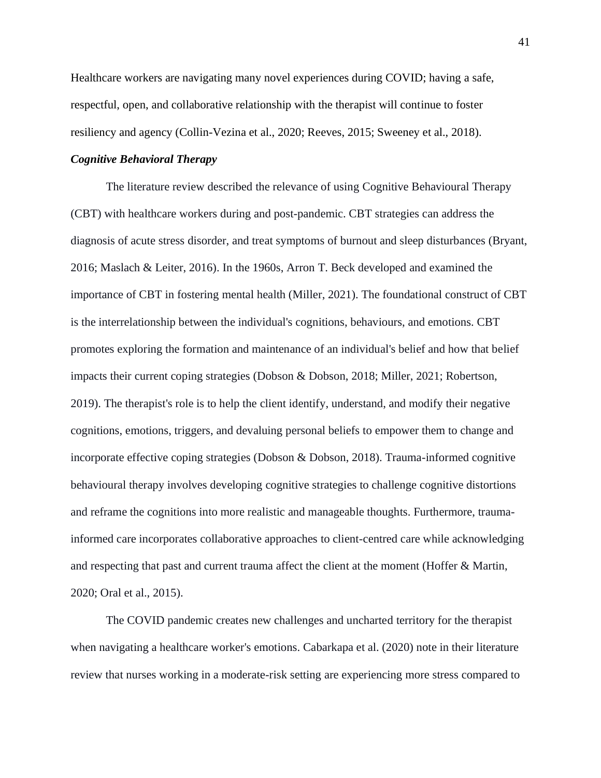Healthcare workers are navigating many novel experiences during COVID; having a safe, respectful, open, and collaborative relationship with the therapist will continue to foster resiliency and agency (Collin-Vezina et al., 2020; Reeves, 2015; Sweeney et al., 2018).

# *Cognitive Behavioral Therapy*

The literature review described the relevance of using Cognitive Behavioural Therapy (CBT) with healthcare workers during and post-pandemic. CBT strategies can address the diagnosis of acute stress disorder, and treat symptoms of burnout and sleep disturbances (Bryant, 2016; Maslach & Leiter, 2016). In the 1960s, Arron T. Beck developed and examined the importance of CBT in fostering mental health (Miller, 2021). The foundational construct of CBT is the interrelationship between the individual's cognitions, behaviours, and emotions. CBT promotes exploring the formation and maintenance of an individual's belief and how that belief impacts their current coping strategies (Dobson & Dobson, 2018; Miller, 2021; Robertson, 2019). The therapist's role is to help the client identify, understand, and modify their negative cognitions, emotions, triggers, and devaluing personal beliefs to empower them to change and incorporate effective coping strategies (Dobson & Dobson, 2018). Trauma-informed cognitive behavioural therapy involves developing cognitive strategies to challenge cognitive distortions and reframe the cognitions into more realistic and manageable thoughts. Furthermore, traumainformed care incorporates collaborative approaches to client-centred care while acknowledging and respecting that past and current trauma affect the client at the moment (Hoffer & Martin, 2020; Oral et al., 2015).

The COVID pandemic creates new challenges and uncharted territory for the therapist when navigating a healthcare worker's emotions. Cabarkapa et al. (2020) note in their literature review that nurses working in a moderate-risk setting are experiencing more stress compared to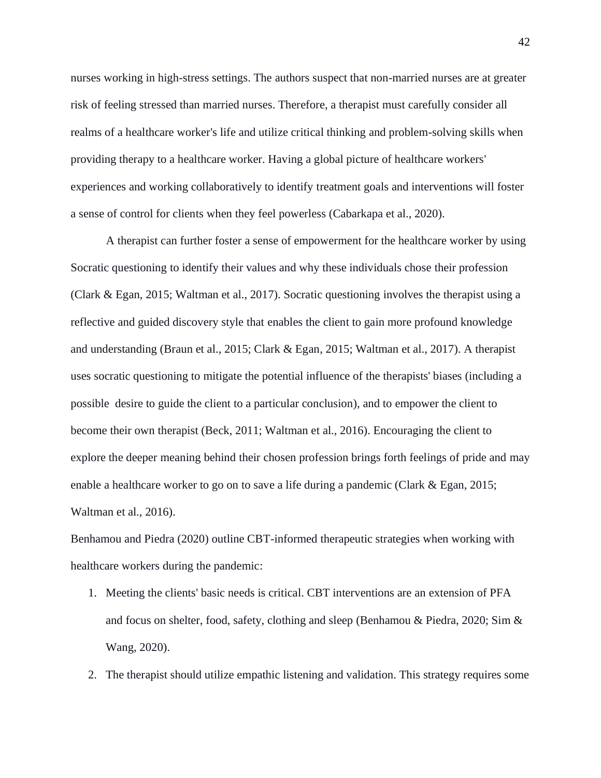nurses working in high-stress settings. The authors suspect that non-married nurses are at greater risk of feeling stressed than married nurses. Therefore, a therapist must carefully consider all realms of a healthcare worker's life and utilize critical thinking and problem-solving skills when providing therapy to a healthcare worker. Having a global picture of healthcare workers' experiences and working collaboratively to identify treatment goals and interventions will foster a sense of control for clients when they feel powerless (Cabarkapa et al., 2020).

A therapist can further foster a sense of empowerment for the healthcare worker by using Socratic questioning to identify their values and why these individuals chose their profession (Clark & Egan, 2015; Waltman et al., 2017). Socratic questioning involves the therapist using a reflective and guided discovery style that enables the client to gain more profound knowledge and understanding (Braun et al., 2015; Clark & Egan, 2015; Waltman et al., 2017). A therapist uses socratic questioning to mitigate the potential influence of the therapists' biases (including a possible desire to guide the client to a particular conclusion), and to empower the client to become their own therapist (Beck, 2011; Waltman et al., 2016). Encouraging the client to explore the deeper meaning behind their chosen profession brings forth feelings of pride and may enable a healthcare worker to go on to save a life during a pandemic (Clark & Egan, 2015; Waltman et al., 2016).

Benhamou and Piedra (2020) outline CBT-informed therapeutic strategies when working with healthcare workers during the pandemic:

- 1. Meeting the clients' basic needs is critical. CBT interventions are an extension of PFA and focus on shelter, food, safety, clothing and sleep (Benhamou & Piedra, 2020; Sim & Wang, 2020).
- 2. The therapist should utilize empathic listening and validation. This strategy requires some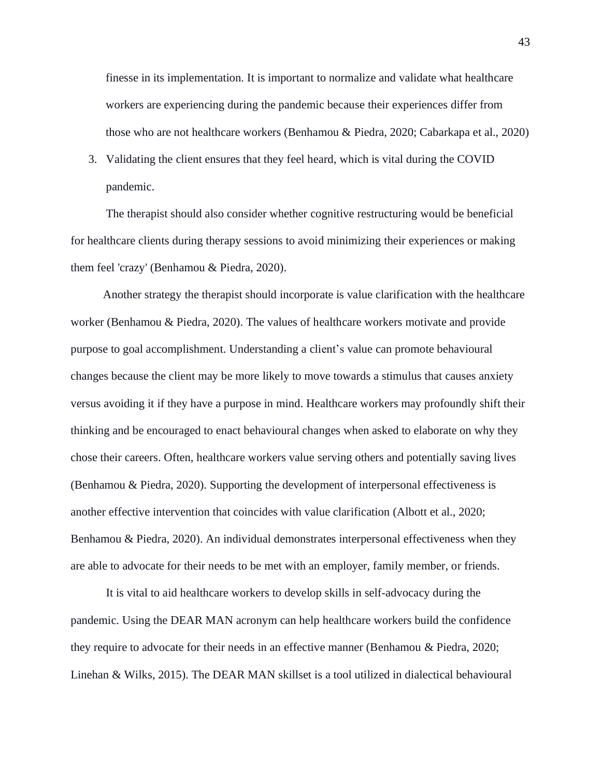finesse in its implementation. It is important to normalize and validate what healthcare workers are experiencing during the pandemic because their experiences differ from those who are not healthcare workers (Benhamou & Piedra, 2020; Cabarkapa et al., 2020)

3. Validating the client ensures that they feel heard, which is vital during the COVID pandemic.

The therapist should also consider whether cognitive restructuring would be beneficial for healthcare clients during therapy sessions to avoid minimizing their experiences or making them feel 'crazy' (Benhamou & Piedra, 2020).

Another strategy the therapist should incorporate is value clarification with the healthcare worker (Benhamou & Piedra, 2020). The values of healthcare workers motivate and provide purpose to goal accomplishment. Understanding a client's value can promote behavioural changes because the client may be more likely to move towards a stimulus that causes anxiety versus avoiding it if they have a purpose in mind. Healthcare workers may profoundly shift their thinking and be encouraged to enact behavioural changes when asked to elaborate on why they chose their careers. Often, healthcare workers value serving others and potentially saving lives (Benhamou & Piedra, 2020). Supporting the development of interpersonal effectiveness is another effective intervention that coincides with value clarification (Albott et al., 2020; Benhamou & Piedra, 2020). An individual demonstrates interpersonal effectiveness when they are able to advocate for their needs to be met with an employer, family member, or friends.

It is vital to aid healthcare workers to develop skills in self-advocacy during the pandemic. Using the DEAR MAN acronym can help healthcare workers build the confidence they require to advocate for their needs in an effective manner (Benhamou & Piedra, 2020; Linehan & Wilks, 2015). The DEAR MAN skillset is a tool utilized in dialectical behavioural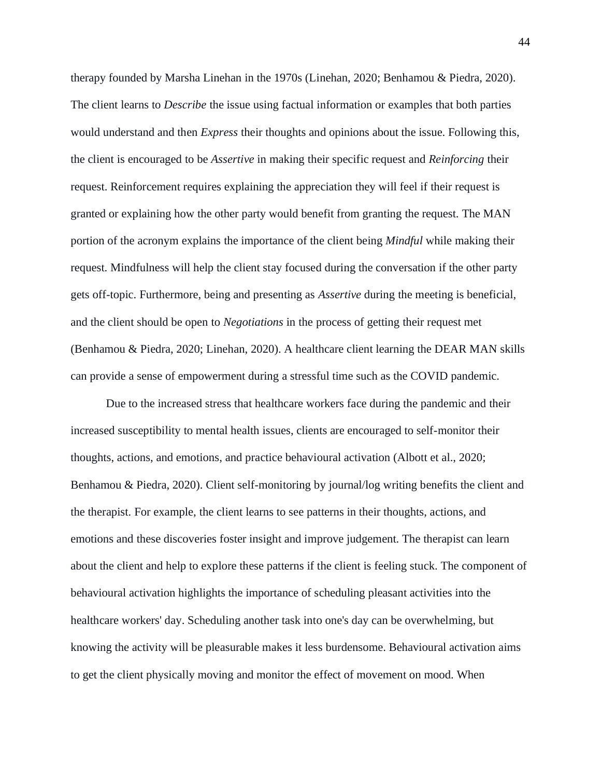therapy founded by Marsha Linehan in the 1970s (Linehan, 2020; Benhamou & Piedra, 2020). The client learns to *Describe* the issue using factual information or examples that both parties would understand and then *Express* their thoughts and opinions about the issue. Following this, the client is encouraged to be *Assertive* in making their specific request and *Reinforcing* their request. Reinforcement requires explaining the appreciation they will feel if their request is granted or explaining how the other party would benefit from granting the request. The MAN portion of the acronym explains the importance of the client being *Mindful* while making their request. Mindfulness will help the client stay focused during the conversation if the other party gets off-topic. Furthermore, being and presenting as *Assertive* during the meeting is beneficial, and the client should be open to *Negotiations* in the process of getting their request met (Benhamou & Piedra, 2020; Linehan, 2020). A healthcare client learning the DEAR MAN skills can provide a sense of empowerment during a stressful time such as the COVID pandemic.

Due to the increased stress that healthcare workers face during the pandemic and their increased susceptibility to mental health issues, clients are encouraged to self-monitor their thoughts, actions, and emotions, and practice behavioural activation (Albott et al., 2020; Benhamou & Piedra, 2020). Client self-monitoring by journal/log writing benefits the client and the therapist. For example, the client learns to see patterns in their thoughts, actions, and emotions and these discoveries foster insight and improve judgement. The therapist can learn about the client and help to explore these patterns if the client is feeling stuck. The component of behavioural activation highlights the importance of scheduling pleasant activities into the healthcare workers' day. Scheduling another task into one's day can be overwhelming, but knowing the activity will be pleasurable makes it less burdensome. Behavioural activation aims to get the client physically moving and monitor the effect of movement on mood. When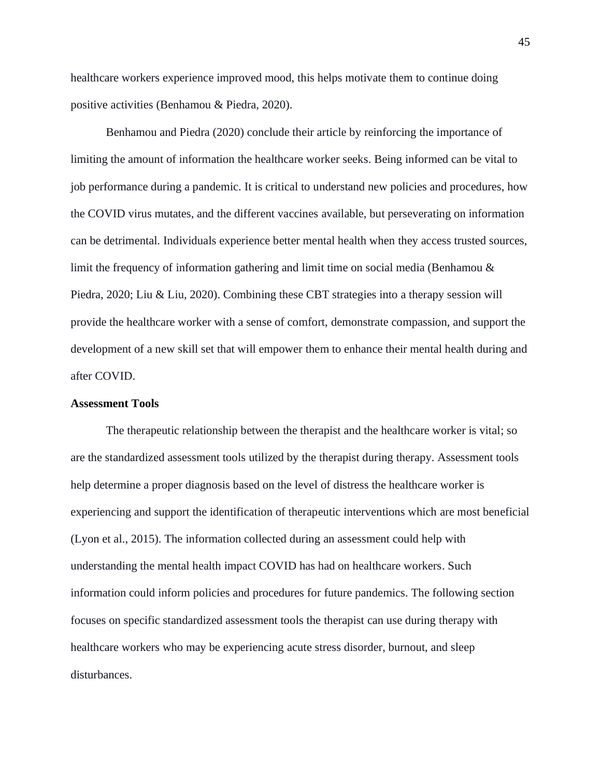healthcare workers experience improved mood, this helps motivate them to continue doing positive activities (Benhamou & Piedra, 2020).

Benhamou and Piedra (2020) conclude their article by reinforcing the importance of limiting the amount of information the healthcare worker seeks. Being informed can be vital to job performance during a pandemic. It is critical to understand new policies and procedures, how the COVID virus mutates, and the different vaccines available, but perseverating on information can be detrimental. Individuals experience better mental health when they access trusted sources, limit the frequency of information gathering and limit time on social media (Benhamou  $\&$ Piedra, 2020; Liu & Liu, 2020). Combining these CBT strategies into a therapy session will provide the healthcare worker with a sense of comfort, demonstrate compassion, and support the development of a new skill set that will empower them to enhance their mental health during and after COVID.

#### **Assessment Tools**

The therapeutic relationship between the therapist and the healthcare worker is vital; so are the standardized assessment tools utilized by the therapist during therapy. Assessment tools help determine a proper diagnosis based on the level of distress the healthcare worker is experiencing and support the identification of therapeutic interventions which are most beneficial (Lyon et al., 2015). The information collected during an assessment could help with understanding the mental health impact COVID has had on healthcare workers. Such information could inform policies and procedures for future pandemics. The following section focuses on specific standardized assessment tools the therapist can use during therapy with healthcare workers who may be experiencing acute stress disorder, burnout, and sleep disturbances.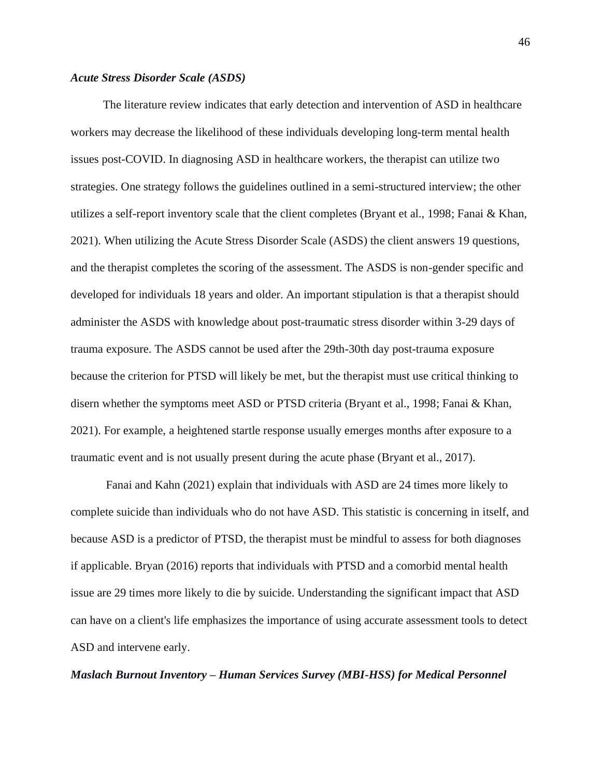#### *Acute Stress Disorder Scale (ASDS)*

The literature review indicates that early detection and intervention of ASD in healthcare workers may decrease the likelihood of these individuals developing long-term mental health issues post-COVID. In diagnosing ASD in healthcare workers, the therapist can utilize two strategies. One strategy follows the guidelines outlined in a semi-structured interview; the other utilizes a self-report inventory scale that the client completes (Bryant et al., 1998; Fanai & Khan, 2021). When utilizing the Acute Stress Disorder Scale (ASDS) the client answers 19 questions, and the therapist completes the scoring of the assessment. The ASDS is non-gender specific and developed for individuals 18 years and older. An important stipulation is that a therapist should administer the ASDS with knowledge about post-traumatic stress disorder within 3-29 days of trauma exposure. The ASDS cannot be used after the 29th-30th day post-trauma exposure because the criterion for PTSD will likely be met, but the therapist must use critical thinking to disern whether the symptoms meet ASD or PTSD criteria (Bryant et al., 1998; Fanai & Khan, 2021). For example, a heightened startle response usually emerges months after exposure to a traumatic event and is not usually present during the acute phase (Bryant et al., 2017).

Fanai and Kahn (2021) explain that individuals with ASD are 24 times more likely to complete suicide than individuals who do not have ASD. This statistic is concerning in itself, and because ASD is a predictor of PTSD, the therapist must be mindful to assess for both diagnoses if applicable. Bryan (2016) reports that individuals with PTSD and a comorbid mental health issue are 29 times more likely to die by suicide. Understanding the significant impact that ASD can have on a client's life emphasizes the importance of using accurate assessment tools to detect ASD and intervene early.

# *Maslach Burnout Inventory – Human Services Survey (MBI-HSS) for Medical Personnel*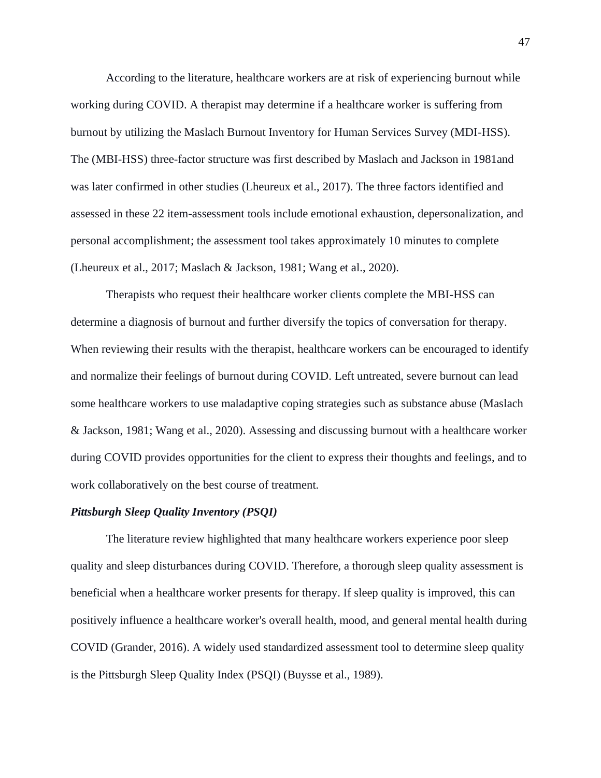According to the literature, healthcare workers are at risk of experiencing burnout while working during COVID. A therapist may determine if a healthcare worker is suffering from burnout by utilizing the Maslach Burnout Inventory for Human Services Survey (MDI-HSS). The (MBI-HSS) three-factor structure was first described by Maslach and Jackson in 1981and was later confirmed in other studies (Lheureux et al., 2017). The three factors identified and assessed in these 22 item-assessment tools include emotional exhaustion, depersonalization, and personal accomplishment; the assessment tool takes approximately 10 minutes to complete (Lheureux et al., 2017; Maslach & Jackson, 1981; Wang et al., 2020).

Therapists who request their healthcare worker clients complete the MBI-HSS can determine a diagnosis of burnout and further diversify the topics of conversation for therapy. When reviewing their results with the therapist, healthcare workers can be encouraged to identify and normalize their feelings of burnout during COVID. Left untreated, severe burnout can lead some healthcare workers to use maladaptive coping strategies such as substance abuse (Maslach & Jackson, 1981; Wang et al., 2020). Assessing and discussing burnout with a healthcare worker during COVID provides opportunities for the client to express their thoughts and feelings, and to work collaboratively on the best course of treatment.

## *Pittsburgh Sleep Quality Inventory (PSQI)*

The literature review highlighted that many healthcare workers experience poor sleep quality and sleep disturbances during COVID. Therefore, a thorough sleep quality assessment is beneficial when a healthcare worker presents for therapy. If sleep quality is improved, this can positively influence a healthcare worker's overall health, mood, and general mental health during COVID (Grander, 2016). A widely used standardized assessment tool to determine sleep quality is the Pittsburgh Sleep Quality Index (PSQI) (Buysse et al., 1989).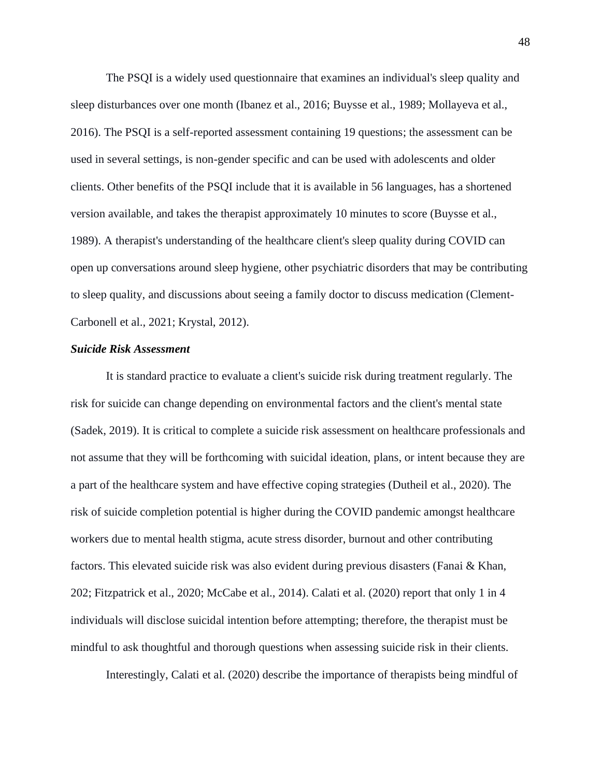The PSQI is a widely used questionnaire that examines an individual's sleep quality and sleep disturbances over one month (Ibanez et al., 2016; Buysse et al., 1989; Mollayeva et al., 2016). The PSQI is a self-reported assessment containing 19 questions; the assessment can be used in several settings, is non-gender specific and can be used with adolescents and older clients. Other benefits of the PSQI include that it is available in 56 languages, has a shortened version available, and takes the therapist approximately 10 minutes to score (Buysse et al., 1989). A therapist's understanding of the healthcare client's sleep quality during COVID can open up conversations around sleep hygiene, other psychiatric disorders that may be contributing to sleep quality, and discussions about seeing a family doctor to discuss medication (Clement-Carbonell et al., 2021; Krystal, 2012).

### *Suicide Risk Assessment*

It is standard practice to evaluate a client's suicide risk during treatment regularly. The risk for suicide can change depending on environmental factors and the client's mental state (Sadek, 2019). It is critical to complete a suicide risk assessment on healthcare professionals and not assume that they will be forthcoming with suicidal ideation, plans, or intent because they are a part of the healthcare system and have effective coping strategies (Dutheil et al., 2020). The risk of suicide completion potential is higher during the COVID pandemic amongst healthcare workers due to mental health stigma, acute stress disorder, burnout and other contributing factors. This elevated suicide risk was also evident during previous disasters (Fanai & Khan, 202; Fitzpatrick et al., 2020; McCabe et al., 2014). Calati et al. (2020) report that only 1 in 4 individuals will disclose suicidal intention before attempting; therefore, the therapist must be mindful to ask thoughtful and thorough questions when assessing suicide risk in their clients.

Interestingly, Calati et al. (2020) describe the importance of therapists being mindful of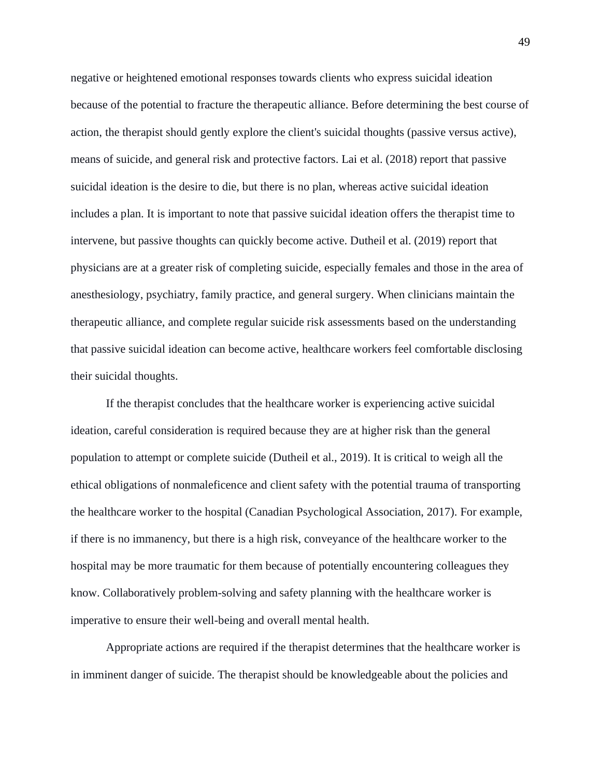negative or heightened emotional responses towards clients who express suicidal ideation because of the potential to fracture the therapeutic alliance. Before determining the best course of action, the therapist should gently explore the client's suicidal thoughts (passive versus active), means of suicide, and general risk and protective factors. Lai et al. (2018) report that passive suicidal ideation is the desire to die, but there is no plan, whereas active suicidal ideation includes a plan. It is important to note that passive suicidal ideation offers the therapist time to intervene, but passive thoughts can quickly become active. Dutheil et al. (2019) report that physicians are at a greater risk of completing suicide, especially females and those in the area of anesthesiology, psychiatry, family practice, and general surgery. When clinicians maintain the therapeutic alliance, and complete regular suicide risk assessments based on the understanding that passive suicidal ideation can become active, healthcare workers feel comfortable disclosing their suicidal thoughts.

If the therapist concludes that the healthcare worker is experiencing active suicidal ideation, careful consideration is required because they are at higher risk than the general population to attempt or complete suicide (Dutheil et al., 2019). It is critical to weigh all the ethical obligations of nonmaleficence and client safety with the potential trauma of transporting the healthcare worker to the hospital (Canadian Psychological Association, 2017). For example, if there is no immanency, but there is a high risk, conveyance of the healthcare worker to the hospital may be more traumatic for them because of potentially encountering colleagues they know. Collaboratively problem-solving and safety planning with the healthcare worker is imperative to ensure their well-being and overall mental health.

Appropriate actions are required if the therapist determines that the healthcare worker is in imminent danger of suicide. The therapist should be knowledgeable about the policies and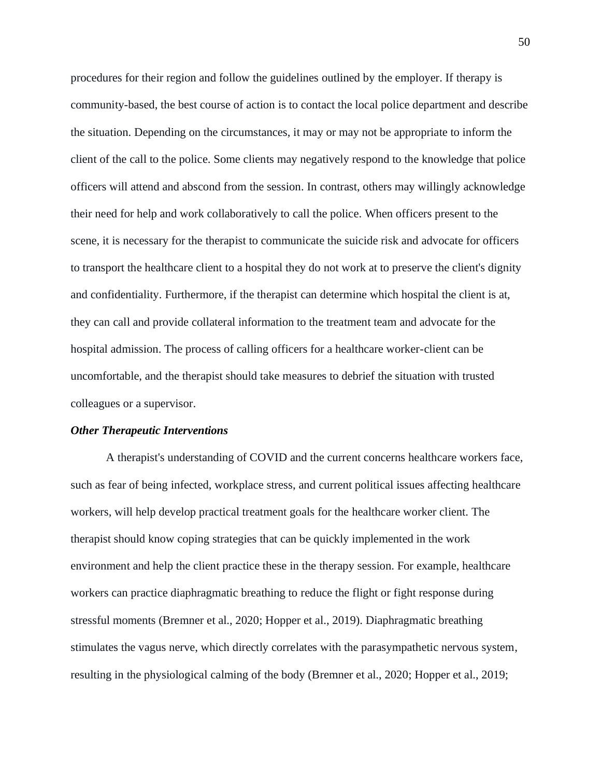procedures for their region and follow the guidelines outlined by the employer. If therapy is community-based, the best course of action is to contact the local police department and describe the situation. Depending on the circumstances, it may or may not be appropriate to inform the client of the call to the police. Some clients may negatively respond to the knowledge that police officers will attend and abscond from the session. In contrast, others may willingly acknowledge their need for help and work collaboratively to call the police. When officers present to the scene, it is necessary for the therapist to communicate the suicide risk and advocate for officers to transport the healthcare client to a hospital they do not work at to preserve the client's dignity and confidentiality. Furthermore, if the therapist can determine which hospital the client is at, they can call and provide collateral information to the treatment team and advocate for the hospital admission. The process of calling officers for a healthcare worker-client can be uncomfortable, and the therapist should take measures to debrief the situation with trusted colleagues or a supervisor.

### *Other Therapeutic Interventions*

A therapist's understanding of COVID and the current concerns healthcare workers face, such as fear of being infected, workplace stress, and current political issues affecting healthcare workers, will help develop practical treatment goals for the healthcare worker client. The therapist should know coping strategies that can be quickly implemented in the work environment and help the client practice these in the therapy session. For example, healthcare workers can practice diaphragmatic breathing to reduce the flight or fight response during stressful moments (Bremner et al., 2020; Hopper et al., 2019). Diaphragmatic breathing stimulates the vagus nerve, which directly correlates with the parasympathetic nervous system, resulting in the physiological calming of the body (Bremner et al., 2020; Hopper et al., 2019;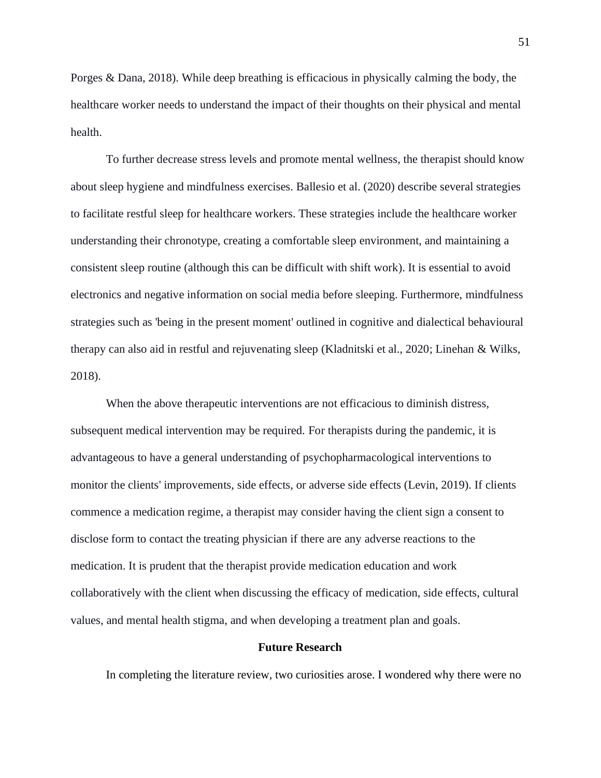Porges & Dana, 2018). While deep breathing is efficacious in physically calming the body, the healthcare worker needs to understand the impact of their thoughts on their physical and mental health.

To further decrease stress levels and promote mental wellness, the therapist should know about sleep hygiene and mindfulness exercises. Ballesio et al. (2020) describe several strategies to facilitate restful sleep for healthcare workers. These strategies include the healthcare worker understanding their chronotype, creating a comfortable sleep environment, and maintaining a consistent sleep routine (although this can be difficult with shift work). It is essential to avoid electronics and negative information on social media before sleeping. Furthermore, mindfulness strategies such as 'being in the present moment' outlined in cognitive and dialectical behavioural therapy can also aid in restful and rejuvenating sleep (Kladnitski et al., 2020; Linehan & Wilks, 2018).

When the above therapeutic interventions are not efficacious to diminish distress, subsequent medical intervention may be required. For therapists during the pandemic, it is advantageous to have a general understanding of psychopharmacological interventions to monitor the clients' improvements, side effects, or adverse side effects (Levin, 2019). If clients commence a medication regime, a therapist may consider having the client sign a consent to disclose form to contact the treating physician if there are any adverse reactions to the medication. It is prudent that the therapist provide medication education and work collaboratively with the client when discussing the efficacy of medication, side effects, cultural values, and mental health stigma, and when developing a treatment plan and goals.

# **Future Research**

In completing the literature review, two curiosities arose. I wondered why there were no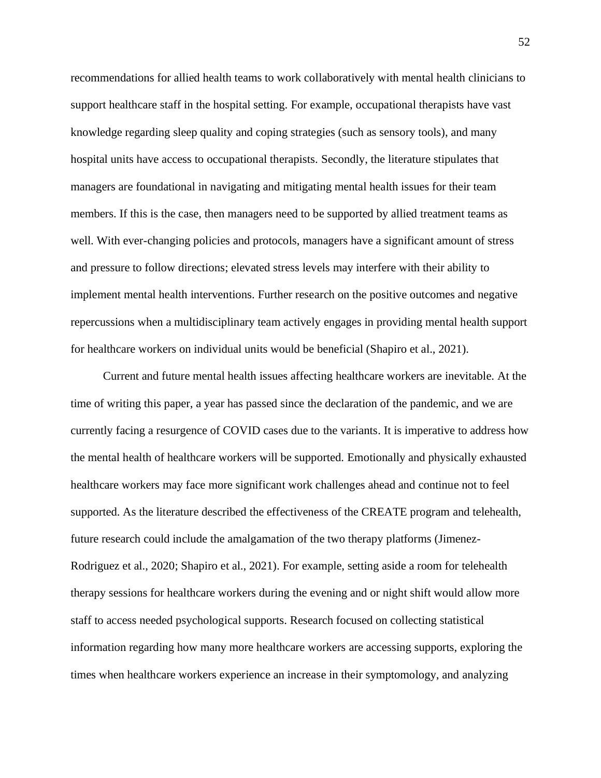recommendations for allied health teams to work collaboratively with mental health clinicians to support healthcare staff in the hospital setting. For example, occupational therapists have vast knowledge regarding sleep quality and coping strategies (such as sensory tools), and many hospital units have access to occupational therapists. Secondly, the literature stipulates that managers are foundational in navigating and mitigating mental health issues for their team members. If this is the case, then managers need to be supported by allied treatment teams as well. With ever-changing policies and protocols, managers have a significant amount of stress and pressure to follow directions; elevated stress levels may interfere with their ability to implement mental health interventions. Further research on the positive outcomes and negative repercussions when a multidisciplinary team actively engages in providing mental health support for healthcare workers on individual units would be beneficial (Shapiro et al., 2021).

 Current and future mental health issues affecting healthcare workers are inevitable. At the time of writing this paper, a year has passed since the declaration of the pandemic, and we are currently facing a resurgence of COVID cases due to the variants. It is imperative to address how the mental health of healthcare workers will be supported. Emotionally and physically exhausted healthcare workers may face more significant work challenges ahead and continue not to feel supported. As the literature described the effectiveness of the CREATE program and telehealth, future research could include the amalgamation of the two therapy platforms (Jimenez-Rodriguez et al., 2020; Shapiro et al., 2021). For example, setting aside a room for telehealth therapy sessions for healthcare workers during the evening and or night shift would allow more staff to access needed psychological supports. Research focused on collecting statistical information regarding how many more healthcare workers are accessing supports, exploring the times when healthcare workers experience an increase in their symptomology, and analyzing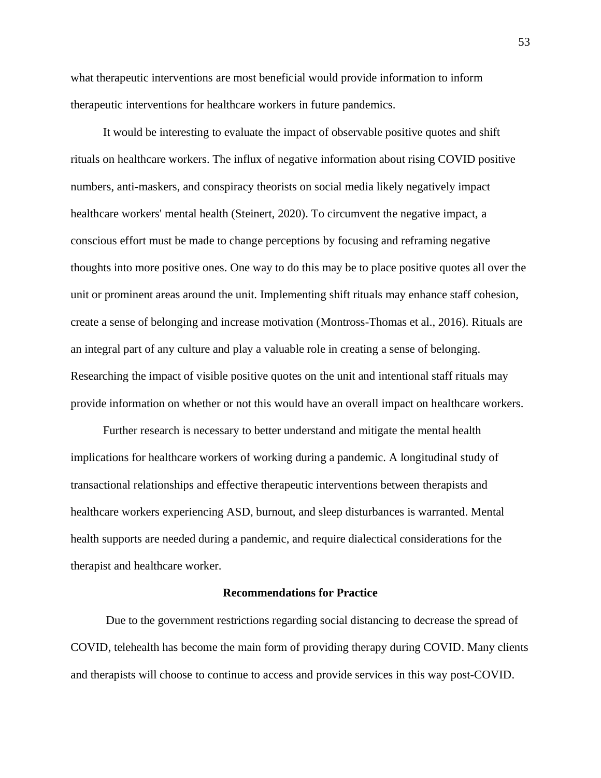what therapeutic interventions are most beneficial would provide information to inform therapeutic interventions for healthcare workers in future pandemics.

 It would be interesting to evaluate the impact of observable positive quotes and shift rituals on healthcare workers. The influx of negative information about rising COVID positive numbers, anti-maskers, and conspiracy theorists on social media likely negatively impact healthcare workers' mental health (Steinert, 2020). To circumvent the negative impact, a conscious effort must be made to change perceptions by focusing and reframing negative thoughts into more positive ones. One way to do this may be to place positive quotes all over the unit or prominent areas around the unit. Implementing shift rituals may enhance staff cohesion, create a sense of belonging and increase motivation (Montross-Thomas et al., 2016). Rituals are an integral part of any culture and play a valuable role in creating a sense of belonging. Researching the impact of visible positive quotes on the unit and intentional staff rituals may provide information on whether or not this would have an overall impact on healthcare workers.

 Further research is necessary to better understand and mitigate the mental health implications for healthcare workers of working during a pandemic. A longitudinal study of transactional relationships and effective therapeutic interventions between therapists and healthcare workers experiencing ASD, burnout, and sleep disturbances is warranted. Mental health supports are needed during a pandemic, and require dialectical considerations for the therapist and healthcare worker.

#### **Recommendations for Practice**

Due to the government restrictions regarding social distancing to decrease the spread of COVID, telehealth has become the main form of providing therapy during COVID. Many clients and therapists will choose to continue to access and provide services in this way post-COVID.

53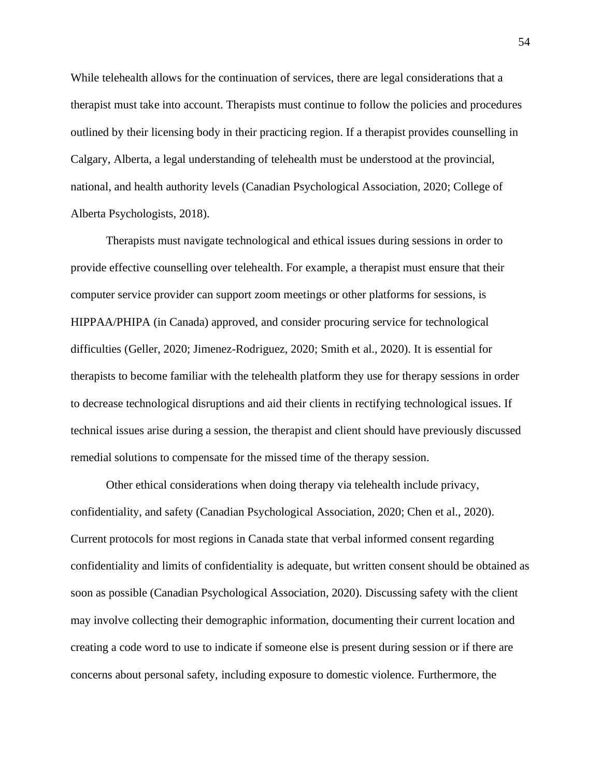While telehealth allows for the continuation of services, there are legal considerations that a therapist must take into account. Therapists must continue to follow the policies and procedures outlined by their licensing body in their practicing region. If a therapist provides counselling in Calgary, Alberta, a legal understanding of telehealth must be understood at the provincial, national, and health authority levels (Canadian Psychological Association, 2020; College of Alberta Psychologists, 2018).

Therapists must navigate technological and ethical issues during sessions in order to provide effective counselling over telehealth. For example, a therapist must ensure that their computer service provider can support zoom meetings or other platforms for sessions, is HIPPAA/PHIPA (in Canada) approved, and consider procuring service for technological difficulties (Geller, 2020; Jimenez-Rodriguez, 2020; Smith et al., 2020). It is essential for therapists to become familiar with the telehealth platform they use for therapy sessions in order to decrease technological disruptions and aid their clients in rectifying technological issues. If technical issues arise during a session, the therapist and client should have previously discussed remedial solutions to compensate for the missed time of the therapy session.

Other ethical considerations when doing therapy via telehealth include privacy, confidentiality, and safety (Canadian Psychological Association, 2020; Chen et al., 2020). Current protocols for most regions in Canada state that verbal informed consent regarding confidentiality and limits of confidentiality is adequate, but written consent should be obtained as soon as possible (Canadian Psychological Association, 2020). Discussing safety with the client may involve collecting their demographic information, documenting their current location and creating a code word to use to indicate if someone else is present during session or if there are concerns about personal safety, including exposure to domestic violence. Furthermore, the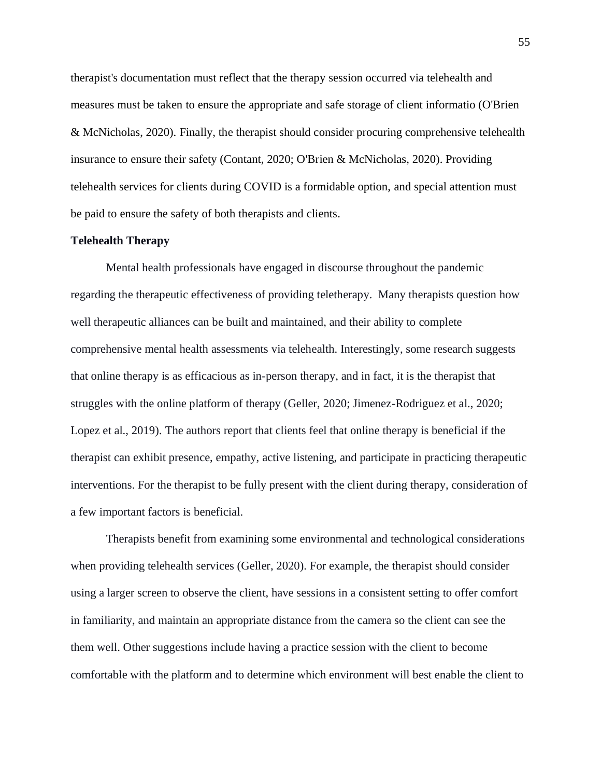therapist's documentation must reflect that the therapy session occurred via telehealth and measures must be taken to ensure the appropriate and safe storage of client informatio (O'Brien & McNicholas, 2020). Finally, the therapist should consider procuring comprehensive telehealth insurance to ensure their safety (Contant, 2020; O'Brien & McNicholas, 2020). Providing telehealth services for clients during COVID is a formidable option, and special attention must be paid to ensure the safety of both therapists and clients.

## **Telehealth Therapy**

Mental health professionals have engaged in discourse throughout the pandemic regarding the therapeutic effectiveness of providing teletherapy. Many therapists question how well therapeutic alliances can be built and maintained, and their ability to complete comprehensive mental health assessments via telehealth. Interestingly, some research suggests that online therapy is as efficacious as in-person therapy, and in fact, it is the therapist that struggles with the online platform of therapy (Geller, 2020; Jimenez-Rodriguez et al., 2020; Lopez et al., 2019). The authors report that clients feel that online therapy is beneficial if the therapist can exhibit presence, empathy, active listening, and participate in practicing therapeutic interventions. For the therapist to be fully present with the client during therapy, consideration of a few important factors is beneficial.

Therapists benefit from examining some environmental and technological considerations when providing telehealth services (Geller, 2020). For example, the therapist should consider using a larger screen to observe the client, have sessions in a consistent setting to offer comfort in familiarity, and maintain an appropriate distance from the camera so the client can see the them well. Other suggestions include having a practice session with the client to become comfortable with the platform and to determine which environment will best enable the client to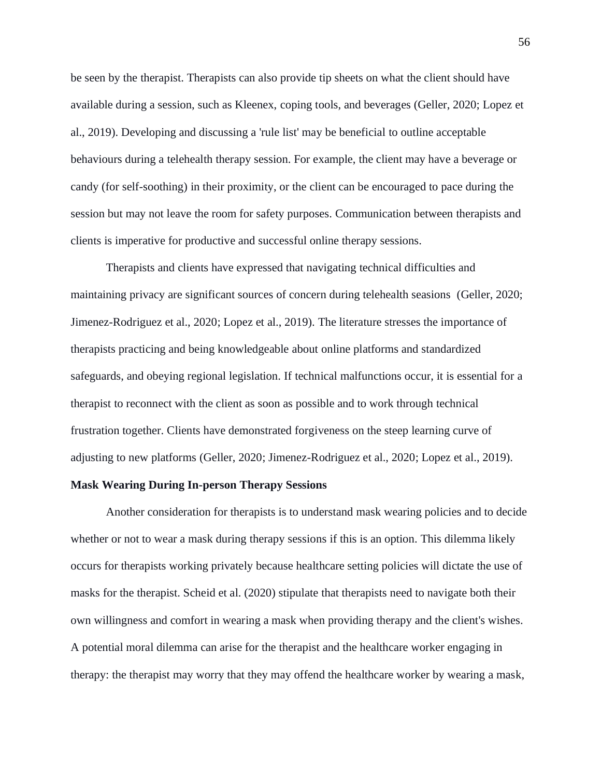be seen by the therapist. Therapists can also provide tip sheets on what the client should have available during a session, such as Kleenex, coping tools, and beverages (Geller, 2020; Lopez et al., 2019). Developing and discussing a 'rule list' may be beneficial to outline acceptable behaviours during a telehealth therapy session. For example, the client may have a beverage or candy (for self-soothing) in their proximity, or the client can be encouraged to pace during the session but may not leave the room for safety purposes. Communication between therapists and clients is imperative for productive and successful online therapy sessions.

Therapists and clients have expressed that navigating technical difficulties and maintaining privacy are significant sources of concern during telehealth seasions (Geller, 2020; Jimenez-Rodriguez et al., 2020; Lopez et al., 2019). The literature stresses the importance of therapists practicing and being knowledgeable about online platforms and standardized safeguards, and obeying regional legislation. If technical malfunctions occur, it is essential for a therapist to reconnect with the client as soon as possible and to work through technical frustration together. Clients have demonstrated forgiveness on the steep learning curve of adjusting to new platforms (Geller, 2020; Jimenez-Rodriguez et al., 2020; Lopez et al., 2019).

#### **Mask Wearing During In-person Therapy Sessions**

Another consideration for therapists is to understand mask wearing policies and to decide whether or not to wear a mask during therapy sessions if this is an option. This dilemma likely occurs for therapists working privately because healthcare setting policies will dictate the use of masks for the therapist. Scheid et al. (2020) stipulate that therapists need to navigate both their own willingness and comfort in wearing a mask when providing therapy and the client's wishes. A potential moral dilemma can arise for the therapist and the healthcare worker engaging in therapy: the therapist may worry that they may offend the healthcare worker by wearing a mask,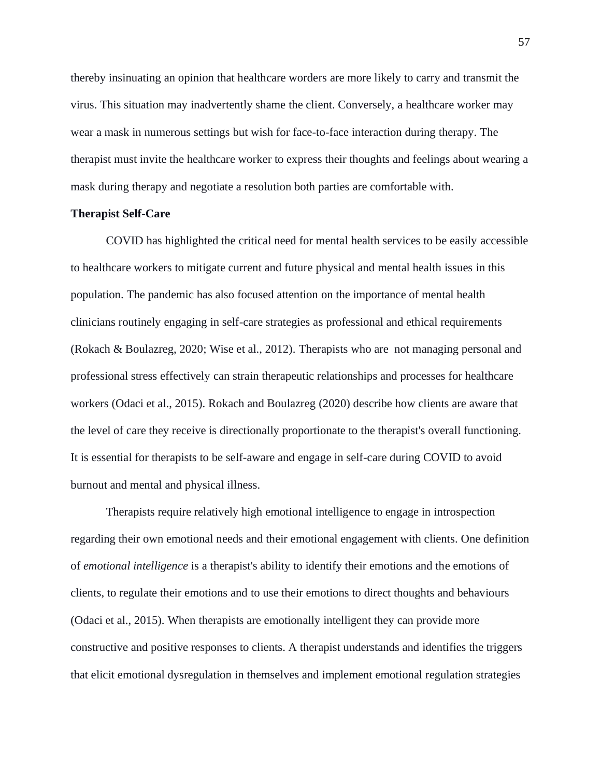thereby insinuating an opinion that healthcare worders are more likely to carry and transmit the virus. This situation may inadvertently shame the client. Conversely, a healthcare worker may wear a mask in numerous settings but wish for face-to-face interaction during therapy. The therapist must invite the healthcare worker to express their thoughts and feelings about wearing a mask during therapy and negotiate a resolution both parties are comfortable with.

## **Therapist Self-Care**

COVID has highlighted the critical need for mental health services to be easily accessible to healthcare workers to mitigate current and future physical and mental health issues in this population. The pandemic has also focused attention on the importance of mental health clinicians routinely engaging in self-care strategies as professional and ethical requirements (Rokach & Boulazreg, 2020; Wise et al., 2012). Therapists who are not managing personal and professional stress effectively can strain therapeutic relationships and processes for healthcare workers (Odaci et al., 2015). Rokach and Boulazreg (2020) describe how clients are aware that the level of care they receive is directionally proportionate to the therapist's overall functioning. It is essential for therapists to be self-aware and engage in self-care during COVID to avoid burnout and mental and physical illness.

Therapists require relatively high emotional intelligence to engage in introspection regarding their own emotional needs and their emotional engagement with clients. One definition of *emotional intelligence* is a therapist's ability to identify their emotions and the emotions of clients, to regulate their emotions and to use their emotions to direct thoughts and behaviours (Odaci et al., 2015). When therapists are emotionally intelligent they can provide more constructive and positive responses to clients. A therapist understands and identifies the triggers that elicit emotional dysregulation in themselves and implement emotional regulation strategies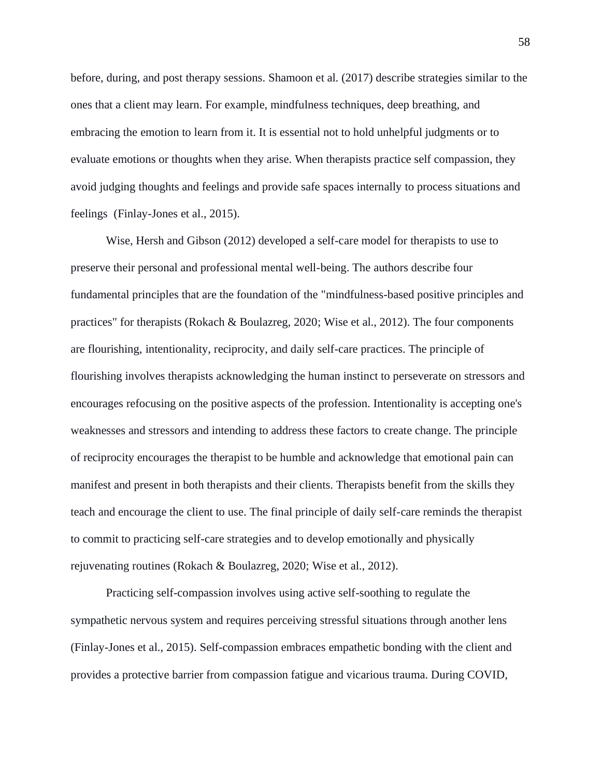before, during, and post therapy sessions. Shamoon et al. (2017) describe strategies similar to the ones that a client may learn. For example, mindfulness techniques, deep breathing, and embracing the emotion to learn from it. It is essential not to hold unhelpful judgments or to evaluate emotions or thoughts when they arise. When therapists practice self compassion, they avoid judging thoughts and feelings and provide safe spaces internally to process situations and feelings (Finlay-Jones et al., 2015).

Wise, Hersh and Gibson (2012) developed a self-care model for therapists to use to preserve their personal and professional mental well-being. The authors describe four fundamental principles that are the foundation of the "mindfulness-based positive principles and practices" for therapists (Rokach & Boulazreg, 2020; Wise et al., 2012). The four components are flourishing, intentionality, reciprocity, and daily self-care practices. The principle of flourishing involves therapists acknowledging the human instinct to perseverate on stressors and encourages refocusing on the positive aspects of the profession. Intentionality is accepting one's weaknesses and stressors and intending to address these factors to create change. The principle of reciprocity encourages the therapist to be humble and acknowledge that emotional pain can manifest and present in both therapists and their clients. Therapists benefit from the skills they teach and encourage the client to use. The final principle of daily self-care reminds the therapist to commit to practicing self-care strategies and to develop emotionally and physically rejuvenating routines (Rokach & Boulazreg, 2020; Wise et al., 2012).

Practicing self-compassion involves using active self-soothing to regulate the sympathetic nervous system and requires perceiving stressful situations through another lens (Finlay-Jones et al., 2015). Self-compassion embraces empathetic bonding with the client and provides a protective barrier from compassion fatigue and vicarious trauma. During COVID,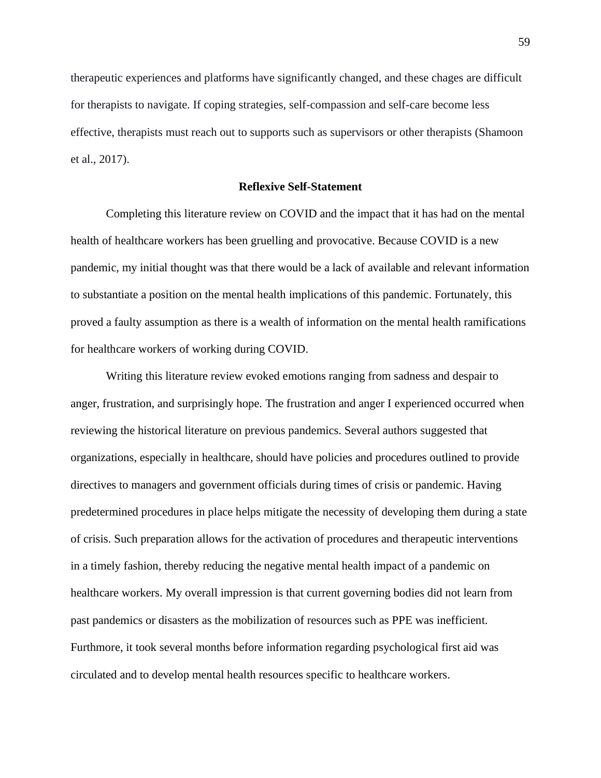therapeutic experiences and platforms have significantly changed, and these chages are difficult for therapists to navigate. If coping strategies, self-compassion and self-care become less effective, therapists must reach out to supports such as supervisors or other therapists (Shamoon et al., 2017).

## **Reflexive Self-Statement**

Completing this literature review on COVID and the impact that it has had on the mental health of healthcare workers has been gruelling and provocative. Because COVID is a new pandemic, my initial thought was that there would be a lack of available and relevant information to substantiate a position on the mental health implications of this pandemic. Fortunately, this proved a faulty assumption as there is a wealth of information on the mental health ramifications for healthcare workers of working during COVID.

Writing this literature review evoked emotions ranging from sadness and despair to anger, frustration, and surprisingly hope. The frustration and anger I experienced occurred when reviewing the historical literature on previous pandemics. Several authors suggested that organizations, especially in healthcare, should have policies and procedures outlined to provide directives to managers and government officials during times of crisis or pandemic. Having predetermined procedures in place helps mitigate the necessity of developing them during a state of crisis. Such preparation allows for the activation of procedures and therapeutic interventions in a timely fashion, thereby reducing the negative mental health impact of a pandemic on healthcare workers. My overall impression is that current governing bodies did not learn from past pandemics or disasters as the mobilization of resources such as PPE was inefficient. Furthmore, it took several months before information regarding psychological first aid was circulated and to develop mental health resources specific to healthcare workers.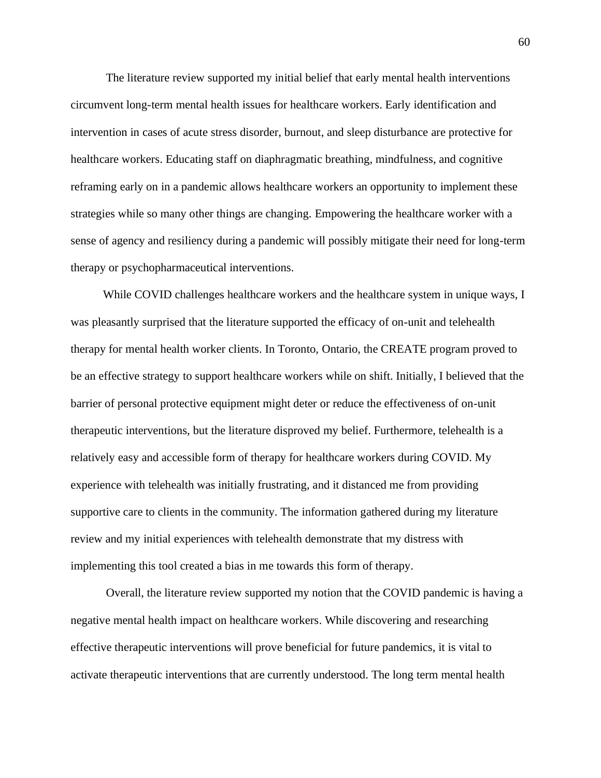The literature review supported my initial belief that early mental health interventions circumvent long-term mental health issues for healthcare workers. Early identification and intervention in cases of acute stress disorder, burnout, and sleep disturbance are protective for healthcare workers. Educating staff on diaphragmatic breathing, mindfulness, and cognitive reframing early on in a pandemic allows healthcare workers an opportunity to implement these strategies while so many other things are changing. Empowering the healthcare worker with a sense of agency and resiliency during a pandemic will possibly mitigate their need for long-term therapy or psychopharmaceutical interventions.

 While COVID challenges healthcare workers and the healthcare system in unique ways, I was pleasantly surprised that the literature supported the efficacy of on-unit and telehealth therapy for mental health worker clients. In Toronto, Ontario, the CREATE program proved to be an effective strategy to support healthcare workers while on shift. Initially, I believed that the barrier of personal protective equipment might deter or reduce the effectiveness of on-unit therapeutic interventions, but the literature disproved my belief. Furthermore, telehealth is a relatively easy and accessible form of therapy for healthcare workers during COVID. My experience with telehealth was initially frustrating, and it distanced me from providing supportive care to clients in the community. The information gathered during my literature review and my initial experiences with telehealth demonstrate that my distress with implementing this tool created a bias in me towards this form of therapy.

Overall, the literature review supported my notion that the COVID pandemic is having a negative mental health impact on healthcare workers. While discovering and researching effective therapeutic interventions will prove beneficial for future pandemics, it is vital to activate therapeutic interventions that are currently understood. The long term mental health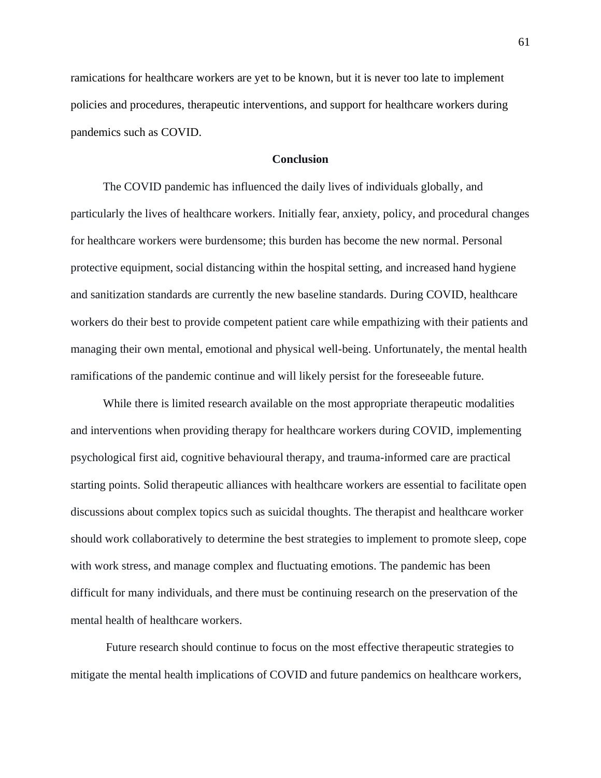ramications for healthcare workers are yet to be known, but it is never too late to implement policies and procedures, therapeutic interventions, and support for healthcare workers during pandemics such as COVID.

## **Conclusion**

The COVID pandemic has influenced the daily lives of individuals globally, and particularly the lives of healthcare workers. Initially fear, anxiety, policy, and procedural changes for healthcare workers were burdensome; this burden has become the new normal. Personal protective equipment, social distancing within the hospital setting, and increased hand hygiene and sanitization standards are currently the new baseline standards. During COVID, healthcare workers do their best to provide competent patient care while empathizing with their patients and managing their own mental, emotional and physical well-being. Unfortunately, the mental health ramifications of the pandemic continue and will likely persist for the foreseeable future.

 While there is limited research available on the most appropriate therapeutic modalities and interventions when providing therapy for healthcare workers during COVID, implementing psychological first aid, cognitive behavioural therapy, and trauma-informed care are practical starting points. Solid therapeutic alliances with healthcare workers are essential to facilitate open discussions about complex topics such as suicidal thoughts. The therapist and healthcare worker should work collaboratively to determine the best strategies to implement to promote sleep, cope with work stress, and manage complex and fluctuating emotions. The pandemic has been difficult for many individuals, and there must be continuing research on the preservation of the mental health of healthcare workers.

Future research should continue to focus on the most effective therapeutic strategies to mitigate the mental health implications of COVID and future pandemics on healthcare workers,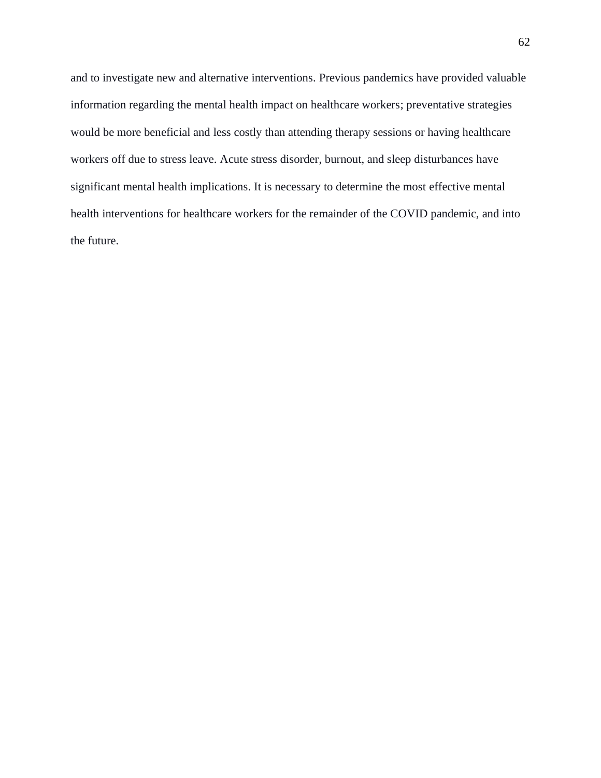and to investigate new and alternative interventions. Previous pandemics have provided valuable information regarding the mental health impact on healthcare workers; preventative strategies would be more beneficial and less costly than attending therapy sessions or having healthcare workers off due to stress leave. Acute stress disorder, burnout, and sleep disturbances have significant mental health implications. It is necessary to determine the most effective mental health interventions for healthcare workers for the remainder of the COVID pandemic, and into the future.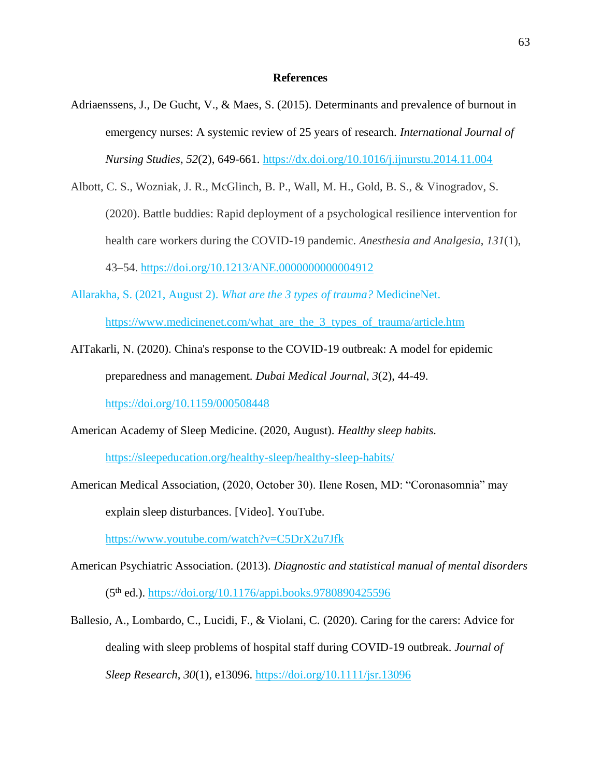### **References**

- Adriaenssens, J., De Gucht, V., & Maes, S. (2015). Determinants and prevalence of burnout in emergency nurses: A systemic review of 25 years of research. *International Journal of Nursing Studies*, *52*(2), 649-661. <https://dx.doi.org/10.1016/j.ijnurstu.2014.11.004>
- Albott, C. S., Wozniak, J. R., McGlinch, B. P., Wall, M. H., Gold, B. S., & Vinogradov, S. (2020). Battle buddies: Rapid deployment of a psychological resilience intervention for health care workers during the COVID-19 pandemic. *Anesthesia and Analgesia*, *131*(1), 43–54.<https://doi.org/10.1213/ANE.0000000000004912>
- Allarakha, S. (2021, August 2). *What are the 3 types of trauma?* MedicineNet. https://www.medicinenet.com/what\_are\_the\_3\_types\_of\_trauma/article.htm
- AITakarli, N. (2020). China's response to the COVID-19 outbreak: A model for epidemic preparedness and management. *Dubai Medical Journal*, *3*(2), 44-49.

<https://doi.org/10.1159/000508448>

American Academy of Sleep Medicine. (2020, August). *Healthy sleep habits.*

<https://sleepeducation.org/healthy-sleep/healthy-sleep-habits/>

American Medical Association, (2020, October 30). Ilene Rosen, MD: "Coronasomnia" may explain sleep disturbances. [Video]. YouTube.

https://www.youtube.com/watch?v=C5DrX2u7Jfk

- American Psychiatric Association. (2013). *Diagnostic and statistical manual of mental disorders* (5th ed.).<https://doi.org/10.1176/appi.books.9780890425596>
- Ballesio, A., Lombardo, C., Lucidi, F., & Violani, C. (2020). Caring for the carers: Advice for dealing with sleep problems of hospital staff during COVID-19 outbreak. *Journal of Sleep Research*, *30*(1), e13096.<https://doi.org/10.1111/jsr.13096>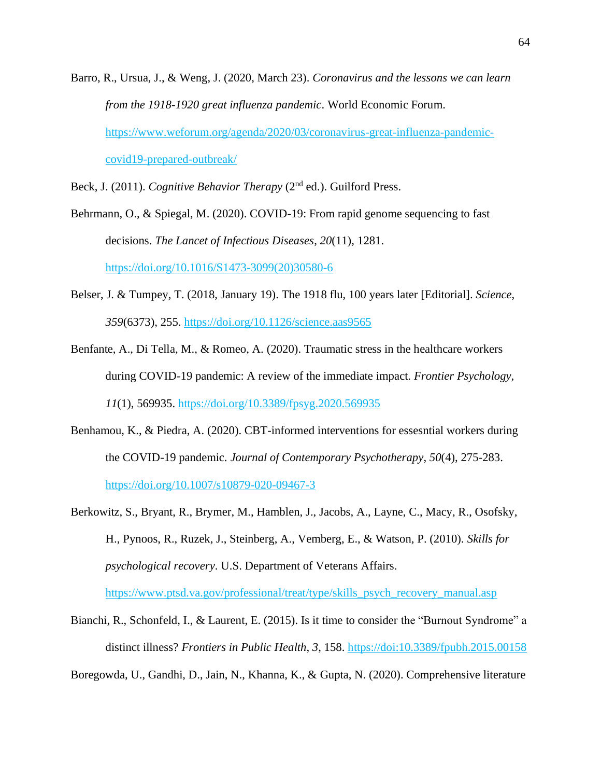Barro, R., Ursua, J., & Weng, J. (2020, March 23). *Coronavirus and the lessons we can learn from the 1918-1920 great influenza pandemic*. World Economic Forum. https://www.weforum.org/agenda/2020/03/coronavirus-great-influenza-pandemiccovid19-prepared-outbreak/

Beck, J. (2011). *Cognitive Behavior Therapy* (2nd ed.). Guilford Press.

Behrmann, O., & Spiegal, M. (2020). COVID-19: From rapid genome sequencing to fast decisions. *The Lancet of Infectious Diseases*, *20*(11), 1281. [https://doi.org/10.1016/S1473-3099\(20\)30580-6](https://doi.org/10.1016/S1473-3099(20)30580-6)

- Belser, J. & Tumpey, T. (2018, January 19). The 1918 flu, 100 years later [Editorial]. *Science*, *359*(6373), 255. https://doi.org/10.1126/science.aas9565
- Benfante, A., Di Tella, M., & Romeo, A. (2020). Traumatic stress in the healthcare workers during COVID-19 pandemic: A review of the immediate impact. *Frontier Psychology*, *11*(1), 569935.<https://doi.org/10.3389/fpsyg.2020.569935>
- Benhamou, K., & Piedra, A. (2020). CBT-informed interventions for essesntial workers during the COVID-19 pandemic. *Journal of Contemporary Psychotherapy*, *50*(4), 275-283. https://doi.org/10.1007/s10879-020-09467-3
- Berkowitz, S., Bryant, R., Brymer, M., Hamblen, J., Jacobs, A., Layne, C., Macy, R., Osofsky, H., Pynoos, R., Ruzek, J., Steinberg, A., Vemberg, E., & Watson, P. (2010). *Skills for psychological recovery*. U.S. Department of Veterans Affairs. [https://www.ptsd.va.gov/professional/treat/type/skills\\_psych\\_recovery\\_manual.asp](https://www.ptsd.va.gov/professional/treat/type/skills_psych_recovery_manual.asp)
- Bianchi, R., Schonfeld, I., & Laurent, E. (2015). Is it time to consider the "Burnout Syndrome" a distinct illness? *Frontiers in Public Health*, *3*, 158. https://doi[:10.3389/fpubh.2015.00158](https://dx.doi.org/10.3389%2Ffpubh.2015.00158)

Boregowda, U., Gandhi, D., Jain, N., Khanna, K., & Gupta, N. (2020). Comprehensive literature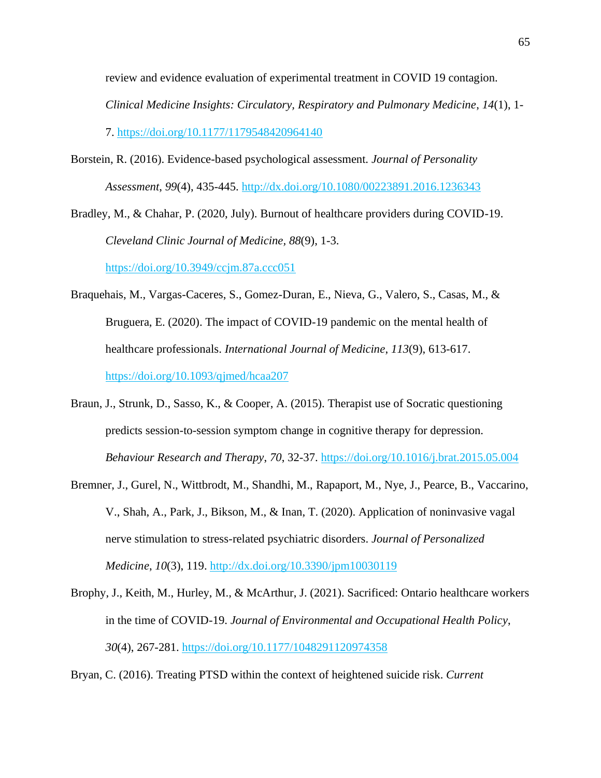review and evidence evaluation of experimental treatment in COVID 19 contagion. *Clinical Medicine Insights: Circulatory, Respiratory and Pulmonary Medicine*, *14*(1), 1- 7. [https://doi.org/10.1177/1179548420964140](https://doi.org/10.1177%2F1179548420964140)

Borstein, R. (2016). Evidence-based psychological assessment. *Journal of Personality Assessment*, *99*(4), 435-445. http://dx.doi.org/10.1080/00223891.2016.1236343

Bradley, M., & Chahar, P. (2020, July). Burnout of healthcare providers during COVID-19. *Cleveland Clinic Journal of Medicine, 88*(9), 1-3.

<https://doi.org/10.3949/ccjm.87a.ccc051>

- Braquehais, M., Vargas-Caceres, S., Gomez-Duran, E., Nieva, G., Valero, S., Casas, M., & Bruguera, E. (2020). The impact of COVID-19 pandemic on the mental health of healthcare professionals. *International Journal of Medicine*, *113*(9), 613-617. https://doi.org/10.1093/qjmed/hcaa207
- Braun, J., Strunk, D., Sasso, K., & Cooper, A. (2015). Therapist use of Socratic questioning predicts session-to-session symptom change in cognitive therapy for depression. *Behaviour Research and Therapy*, *70*, 32-37. https://doi.org/10.1016/j.brat.2015.05.004
- Bremner, J., Gurel, N., Wittbrodt, M., Shandhi, M., Rapaport, M., Nye, J., Pearce, B., Vaccarino, V., Shah, A., Park, J., Bikson, M., & Inan, T. (2020). Application of noninvasive vagal nerve stimulation to stress-related psychiatric disorders. *Journal of Personalized Medicine*, *10*(3), 119. <http://dx.doi.org/10.3390/jpm10030119>
- Brophy, J., Keith, M., Hurley, M., & McArthur, J. (2021). Sacrificed: Ontario healthcare workers in the time of COVID-19. *Journal of Environmental and Occupational Health Policy*, *30*(4), 267-281. [https://doi.org/10.1177/1048291120974358](https://doi.org/10.1177%2F1048291120974358)
- Bryan, C. (2016). Treating PTSD within the context of heightened suicide risk. *Current*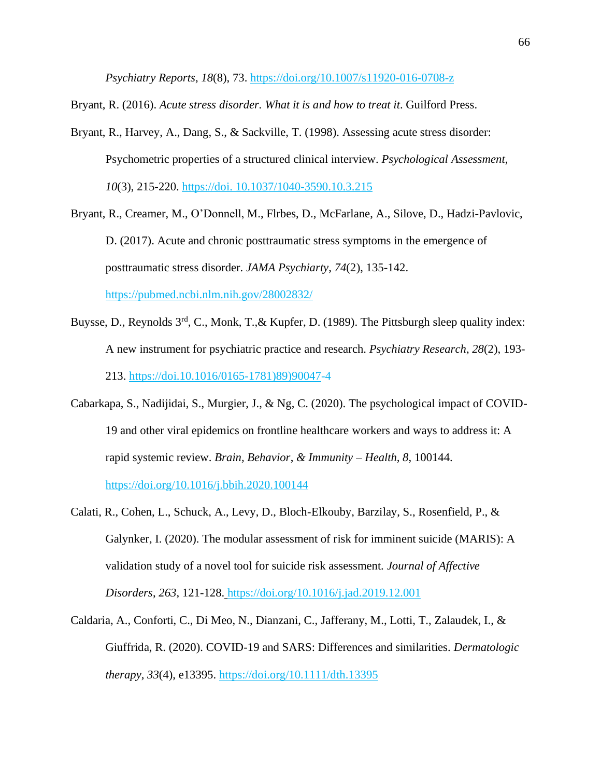*Psychiatry Reports*, *18*(8), 73. <https://doi.org/10.1007/s11920-016-0708-z>

Bryant, R. (2016). *Acute stress disorder. What it is and how to treat it*. Guilford Press.

- Bryant, R., Harvey, A., Dang, S., & Sackville, T. (1998). Assessing acute stress disorder: Psychometric properties of a structured clinical interview. *Psychological Assessment*, *10*(3), 215-220. https://doi. 10.1037/1040-3590.10.3.215
- Bryant, R., Creamer, M., O'Donnell, M., Flrbes, D., McFarlane, A., Silove, D., Hadzi-Pavlovic, D. (2017). Acute and chronic posttraumatic stress symptoms in the emergence of posttraumatic stress disorder. *JAMA Psychiarty*, *74*(2), 135-142. https://pubmed.ncbi.nlm.nih.gov/28002832/
- Buysse, D., Reynolds 3<sup>rd</sup>, C., Monk, T.,& Kupfer, D. (1989). The Pittsburgh sleep quality index: A new instrument for psychiatric practice and research. *Psychiatry Research*, *28*(2), 193- 213. https://doi.10.1016/0165-1781)89)90047-4
- Cabarkapa, S., Nadijidai, S., Murgier, J., & Ng, C. (2020). The psychological impact of COVID-19 and other viral epidemics on frontline healthcare workers and ways to address it: A rapid systemic review. *Brain, Behavior*, *& Immunity – Health, 8*, 100144.

<https://doi.org/10.1016/j.bbih.2020.100144>

- Calati, R., Cohen, L., Schuck, A., Levy, D., Bloch-Elkouby, Barzilay, S., Rosenfield, P., & Galynker, I. (2020). The modular assessment of risk for imminent suicide (MARIS): A validation study of a novel tool for suicide risk assessment. *Journal of Affective Disorders*, *263*, 121-128. https://doi.org/10.1016/j.jad.2019.12.001
- Caldaria, A., Conforti, C., Di Meo, N., Dianzani, C., Jafferany, M., Lotti, T., Zalaudek, I., & Giuffrida, R. (2020). COVID-19 and SARS: Differences and similarities. *Dermatologic therapy*, *33*(4), e13395. <https://doi.org/10.1111/dth.13395>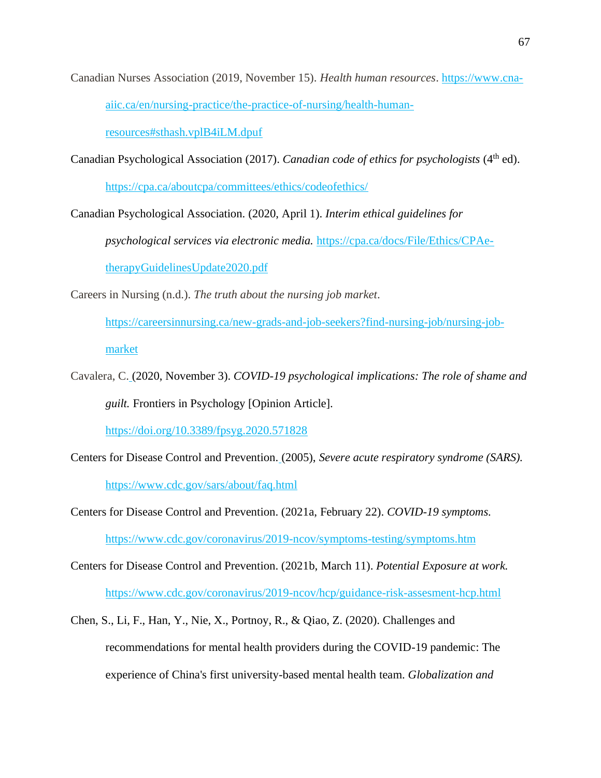Canadian Nurses Association (2019, November 15). *Health human resources*. [https://www.cna](https://www.cna-aiic.ca/en/nursing-practice/the-practice-of-nursing/health-human-resources#sthash.vplB4iLM.dpuf)[aiic.ca/en/nursing-practice/the-practice-of-nursing/health-human-](https://www.cna-aiic.ca/en/nursing-practice/the-practice-of-nursing/health-human-resources#sthash.vplB4iLM.dpuf)

[resources#sthash.vplB4iLM.dpuf](https://www.cna-aiic.ca/en/nursing-practice/the-practice-of-nursing/health-human-resources#sthash.vplB4iLM.dpuf)

Canadian Psychological Association (2017). *Canadian code of ethics for psychologists* (4<sup>th</sup> ed).

<https://cpa.ca/aboutcpa/committees/ethics/codeofethics/>

Canadian Psychological Association. (2020, April 1). *Interim ethical guidelines for* 

*psychological services via electronic media.* [https://cpa.ca/docs/File/Ethics/CPAe](https://cpa.ca/docs/File/Ethics/CPAe-therapyGuidelinesUpdate2020.pdf)[therapyGuidelinesUpdate2020.pdf](https://cpa.ca/docs/File/Ethics/CPAe-therapyGuidelinesUpdate2020.pdf)

Careers in Nursing (n.d.). *The truth about the nursing job market*.

https://careersinnursing.ca/new-grads-and-job-seekers?find-nursing-job/nursing-jobmarket

Cavalera, C. (2020, November 3). *COVID-19 psychological implications: The role of shame and guilt.* Frontiers in Psychology [Opinion Article].

<https://doi.org/10.3389/fpsyg.2020.571828>

- Centers for Disease Control and Prevention. (2005), *Severe acute respiratory syndrome (SARS).* <https://www.cdc.gov/sars/about/faq.html>
- Centers for Disease Control and Prevention. (2021a, February 22). *COVID-19 symptoms.*

https://www.cdc.gov/coronavirus/2019-ncov/symptoms-testing/symptoms.htm

Centers for Disease Control and Prevention. (2021b, March 11). *Potential Exposure at work.* https://www.cdc.gov/coronavirus/2019-ncov/hcp/guidance-risk-assesment-hcp.html

Chen, S., Li, F., Han, Y., Nie, X., Portnoy, R., & Qiao, Z. (2020). Challenges and recommendations for mental health providers during the COVID-19 pandemic: The experience of China's first university-based mental health team. *Globalization and*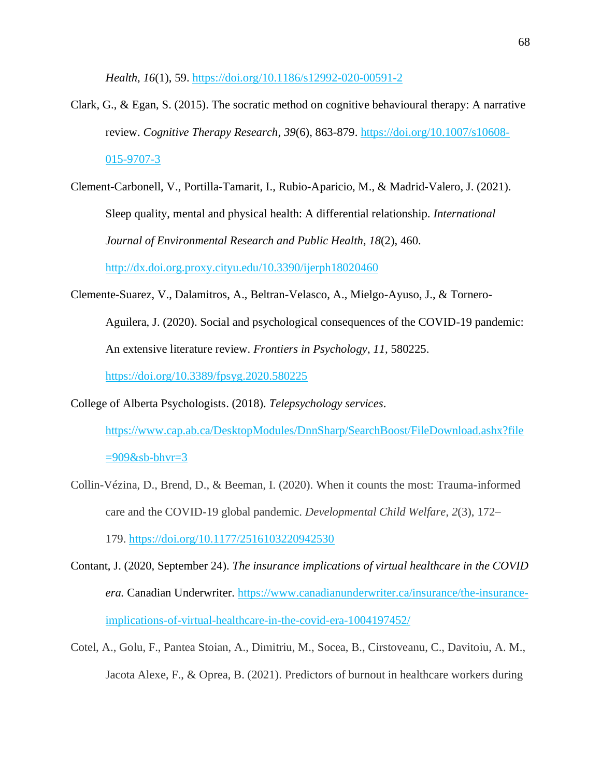*Health*, *16*(1), 59.<https://doi.org/10.1186/s12992-020-00591-2>

- Clark, G., & Egan, S. (2015). The socratic method on cognitive behavioural therapy: A narrative review. *Cognitive Therapy Research*, *39*(6), 863-879. https://doi.org/10.1007/s10608- 015-9707-3
- Clement-Carbonell, V., Portilla-Tamarit, I., Rubio-Aparicio, M., & Madrid-Valero, J. (2021). Sleep quality, mental and physical health: A differential relationship. *International Journal of Environmental Research and Public Health*, *18*(2), 460. http://dx.doi.org.proxy.cityu.edu/10.3390/ijerph18020460
- Clemente-Suarez, V., Dalamitros, A., Beltran-Velasco, A., Mielgo-Ayuso, J., & Tornero-Aguilera, J. (2020). Social and psychological consequences of the COVID-19 pandemic: An extensive literature review. *Frontiers in Psychology*, *11,* 580225. <https://doi.org/10.3389/fpsyg.2020.580225>

College of Alberta Psychologists. (2018). *Telepsychology services*.

[https://www.cap.ab.ca/DesktopModules/DnnSharp/SearchBoost/FileDownload.ashx?file](https://www.cap.ab.ca/DesktopModules/DnnSharp/SearchBoost/UrlFwd.ashx?url=https%3a%2f%2fwww.cap.ab.ca%2fDesktopModules%2fDnnSharp%2fSearchBoost%2fFileDownload.ashx%3ffile%3d909%26sb-bhvr%3d3&ukey=2lgDVGIf77GpGqOGwlGaASnb9dCVVFjSsUCAsV6ds60GP%2fua9jMXLkd65Zbp3q91u2WV%2fJfTPh%2bbHvActJSWOBVyY%2f1dG3B7i0JpOSvhr7QlYMIS5jaVLSzYqC3X1Cfy&logid=49921-abh3vfbq8e7kjmjz)  $=909$ &sb-bhvr=3

- Collin-Vézina, D., Brend, D., & Beeman, I. (2020). When it counts the most: Trauma-informed care and the COVID-19 global pandemic. *Developmental Child Welfare*, *2*(3), 172– 179. <https://doi.org/10.1177/2516103220942530>
- Contant, J. (2020, September 24). *The insurance implications of virtual healthcare in the COVID era.* Canadian Underwriter. [https://www.canadianunderwriter.ca/insurance/the-insurance](https://www.canadianunderwriter.ca/insurance/the-insurance-implications-of-virtual-healthcare-in-the-covid-era-1004197452/)[implications-of-virtual-healthcare-in-the-covid-era-1004197452/](https://www.canadianunderwriter.ca/insurance/the-insurance-implications-of-virtual-healthcare-in-the-covid-era-1004197452/)
- Cotel, A., Golu, F., Pantea Stoian, A., Dimitriu, M., Socea, B., Cirstoveanu, C., Davitoiu, A. M., Jacota Alexe, F., & Oprea, B. (2021). Predictors of burnout in healthcare workers during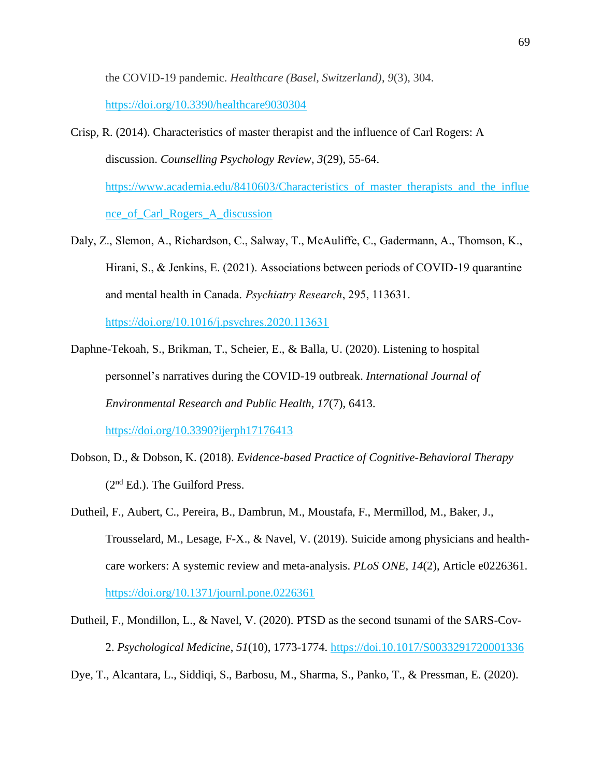the COVID-19 pandemic. *Healthcare (Basel, Switzerland)*, *9*(3), 304.

https://doi.org/10.3390/healthcare9030304

Crisp, R. (2014). Characteristics of master therapist and the influence of Carl Rogers: A discussion. *Counselling Psychology Review*, *3*(29), 55-64. [https://www.academia.edu/8410603/Characteristics\\_of\\_master\\_therapists\\_and\\_the\\_influe](https://www.academia.edu/8410603/Characteristics_of_master_therapists_and_the_influence_of_Carl_Rogers_A_discussion)

[nce\\_of\\_Carl\\_Rogers\\_A\\_discussion](https://www.academia.edu/8410603/Characteristics_of_master_therapists_and_the_influence_of_Carl_Rogers_A_discussion)

Daly, Z., Slemon, A., Richardson, C., Salway, T., McAuliffe, C., Gadermann, A., Thomson, K., Hirani, S., & Jenkins, E. (2021). Associations between periods of COVID-19 quarantine and mental health in Canada. *Psychiatry Research*, 295, 113631.

<https://doi.org/10.1016/j.psychres.2020.113631>

- Daphne-Tekoah, S., Brikman, T., Scheier, E., & Balla, U. (2020). Listening to hospital personnel's narratives during the COVID-19 outbreak. *International Journal of Environmental Research and Public Health, 17*(7), 6413. <https://doi.org/10.3390?ijerph17176413>
- Dobson, D., & Dobson, K. (2018). *Evidence-based Practice of Cognitive-Behavioral Therapy* (2nd Ed.). The Guilford Press.
- Dutheil, F., Aubert, C., Pereira, B., Dambrun, M., Moustafa, F., Mermillod, M., Baker, J., Trousselard, M., Lesage, F-X., & Navel, V. (2019). Suicide among physicians and healthcare workers: A systemic review and meta-analysis. *PLoS ONE*, *14*(2), Article e0226361. <https://doi.org/10.1371/journl.pone.0226361>
- Dutheil, F., Mondillon, L., & Navel, V. (2020). PTSD as the second tsunami of the SARS-Cov-2. *Psychological Medicine*, *51*(10), 1773-1774. https://doi.10.1017/S0033291720001336

Dye, T., Alcantara, L., Siddiqi, S., Barbosu, M., Sharma, S., Panko, T., & Pressman, E. (2020).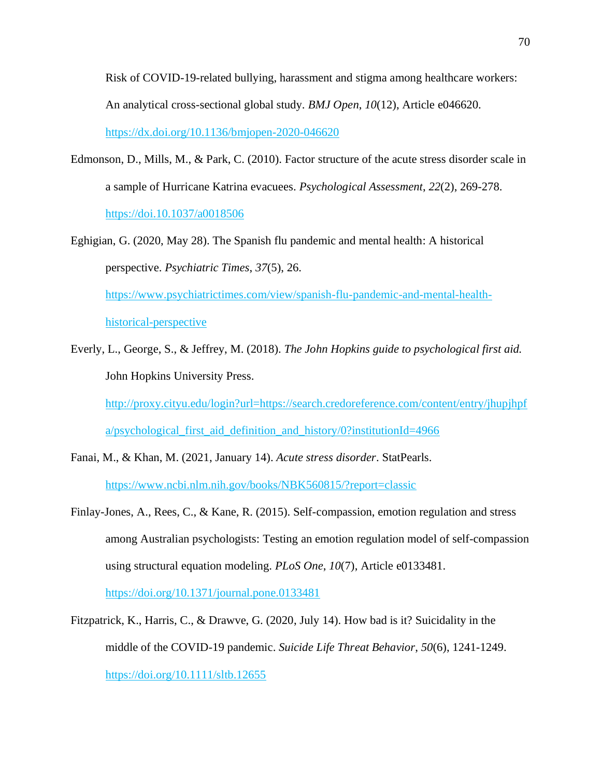Risk of COVID-19-related bullying, harassment and stigma among healthcare workers: An analytical cross-sectional global study. *BMJ Open*, *10*(12), Article e046620. https://dx.doi.org/10.1136/bmjopen-2020-046620

- Edmonson, D., Mills, M., & Park, C. (2010). Factor structure of the acute stress disorder scale in a sample of Hurricane Katrina evacuees. *Psychological Assessment*, *22*(2), 269-278. https://doi.10.1037/a0018506
- Eghigian, G. (2020, May 28). The Spanish flu pandemic and mental health: A historical perspective. *Psychiatric Times*, *37*(5), 26. [https://www.psychiatrictimes.com/view/spanish-flu-pandemic-and-mental-health](https://www.psychiatrictimes.com/view/spanish-flu-pandemic-and-mental-health-historical-perspective)[historical-perspective](https://www.psychiatrictimes.com/view/spanish-flu-pandemic-and-mental-health-historical-perspective) Everly, L., George, S., & Jeffrey, M. (2018). *The John Hopkins guide to psychological first aid.*
- John Hopkins University Press. http://proxy.cityu.edu/login?url=https://search.credoreference.com/content/entry/jhupjhpf a/psychological\_first\_aid\_definition\_and\_history/0?institutionId=4966
- Fanai, M., & Khan, M. (2021, January 14). *Acute stress disorder*. StatPearls. <https://www.ncbi.nlm.nih.gov/books/NBK560815/?report=classic>
- Finlay-Jones, A., Rees, C., & Kane, R. (2015). Self-compassion, emotion regulation and stress among Australian psychologists: Testing an emotion regulation model of self-compassion using structural equation modeling. *PLoS One*, *10*(7), Article e0133481. https://doi.org/10.1371/journal.pone.0133481
- Fitzpatrick, K., Harris, C., & Drawve, G. (2020, July 14). How bad is it? Suicidality in the middle of the COVID-19 pandemic. *Suicide Life Threat Behavior*, *50*(6), 1241-1249. <https://doi.org/10.1111/sltb.12655>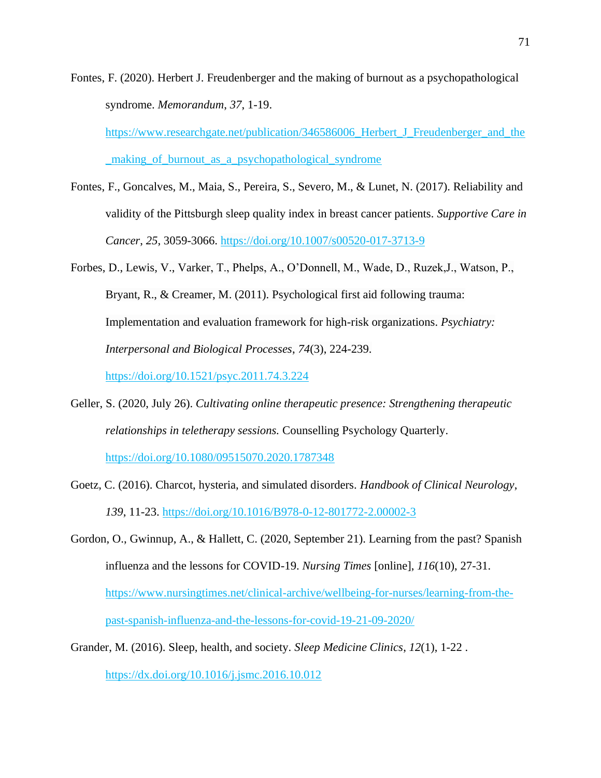Fontes, F. (2020). Herbert J. Freudenberger and the making of burnout as a psychopathological syndrome. *Memorandum*, *37*, 1-19.

https://www.researchgate.net/publication/346586006\_Herbert\_J\_Freudenberger\_and\_the \_making\_of\_burnout\_as\_a\_psychopathological\_syndrome

Fontes, F., Goncalves, M., Maia, S., Pereira, S., Severo, M., & Lunet, N. (2017). Reliability and validity of the Pittsburgh sleep quality index in breast cancer patients. *Supportive Care in Cancer*, *25*, 3059-3066.<https://doi.org/10.1007/s00520-017-3713-9>

Forbes, D., Lewis, V., Varker, T., Phelps, A., O'Donnell, M., Wade, D., Ruzek,J., Watson, P., Bryant, R., & Creamer, M. (2011). Psychological first aid following trauma: Implementation and evaluation framework for high-risk organizations. *Psychiatry: Interpersonal and Biological Processes*, *74*(3), 224-239. <https://doi.org/10.1521/psyc.2011.74.3.224>

Geller, S. (2020, July 26). *Cultivating online therapeutic presence: Strengthening therapeutic relationships in teletherapy sessions.* Counselling Psychology Quarterly. <https://doi.org/10.1080/09515070.2020.1787348>

- Goetz, C. (2016). Charcot, hysteria, and simulated disorders. *Handbook of Clinical Neurology*, *139*, 11-23. <https://doi.org/10.1016/B978-0-12-801772-2.00002-3>
- Gordon, O., Gwinnup, A., & Hallett, C. (2020, September 21). Learning from the past? Spanish influenza and the lessons for COVID-19. *Nursing Times* [online], *116*(10), 27-31. [https://www.nursingtimes.net/clinical-archive/wellbeing-for-nurses/learning-from-the](https://www.nursingtimes.net/clinical-archive/wellbeing-for-nurses/learning-from-the-past-spanish-influenza-and-the-lessons-for-covid-19-21-09-2020/)[past-spanish-influenza-and-the-lessons-for-covid-19-21-09-2020/](https://www.nursingtimes.net/clinical-archive/wellbeing-for-nurses/learning-from-the-past-spanish-influenza-and-the-lessons-for-covid-19-21-09-2020/)
- Grander, M. (2016). Sleep, health, and society. *Sleep Medicine Clinics*, *12*(1), 1-22 . https://dx.doi.org/10.1016/j.jsmc.2016.10.012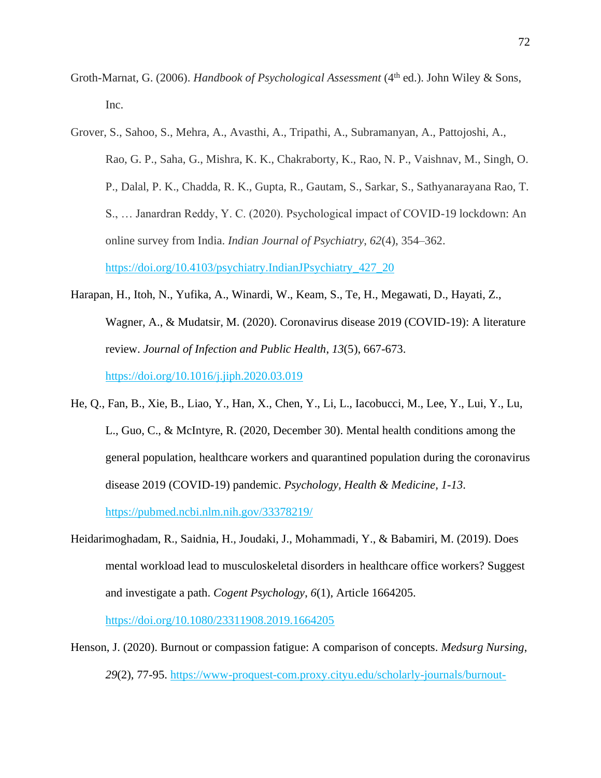- Groth-Marnat, G. (2006). *Handbook of Psychological Assessment* (4<sup>th</sup> ed.). John Wiley & Sons, Inc.
- Grover, S., Sahoo, S., Mehra, A., Avasthi, A., Tripathi, A., Subramanyan, A., Pattojoshi, A., Rao, G. P., Saha, G., Mishra, K. K., Chakraborty, K., Rao, N. P., Vaishnav, M., Singh, O. P., Dalal, P. K., Chadda, R. K., Gupta, R., Gautam, S., Sarkar, S., Sathyanarayana Rao, T. S., … Janardran Reddy, Y. C. (2020). Psychological impact of COVID-19 lockdown: An online survey from India. *Indian Journal of Psychiatry*, *62*(4), 354–362. https://doi.org/10.4103/psychiatry.IndianJPsychiatry\_427\_20
- Harapan, H., Itoh, N., Yufika, A., Winardi, W., Keam, S., Te, H., Megawati, D., Hayati, Z., Wagner, A., & Mudatsir, M. (2020). Coronavirus disease 2019 (COVID-19): A literature review. *Journal of Infection and Public Health*, *13*(5), 667-673. <https://doi.org/10.1016/j.jiph.2020.03.019>
- He, Q., Fan, B., Xie, B., Liao, Y., Han, X., Chen, Y., Li, L., Iacobucci, M., Lee, Y., Lui, Y., Lu, L., Guo, C., & McIntyre, R. (2020, December 30). Mental health conditions among the general population, healthcare workers and quarantined population during the coronavirus disease 2019 (COVID-19) pandemic. *Psychology, Health & Medicine, 1-13*. https://pubmed.ncbi.nlm.nih.gov/33378219/
- Heidarimoghadam, R., Saidnia, H., Joudaki, J., Mohammadi, Y., & Babamiri, M. (2019). Does mental workload lead to musculoskeletal disorders in healthcare office workers? Suggest and investigate a path. *Cogent Psychology*, *6*(1), Article 1664205.

<https://doi.org/10.1080/23311908.2019.1664205>

Henson, J. (2020). Burnout or compassion fatigue: A comparison of concepts. *Medsurg Nursing*, *29*(2), 77-95. [https://www-proquest-com.proxy.cityu.edu/scholarly-journals/burnout-](https://www-proquest-com.proxy.cityu.edu/scholarly-journals/burnout-compassion-fatigue-comparison-concepts/docview/2388933188/se-2?accountid=1230)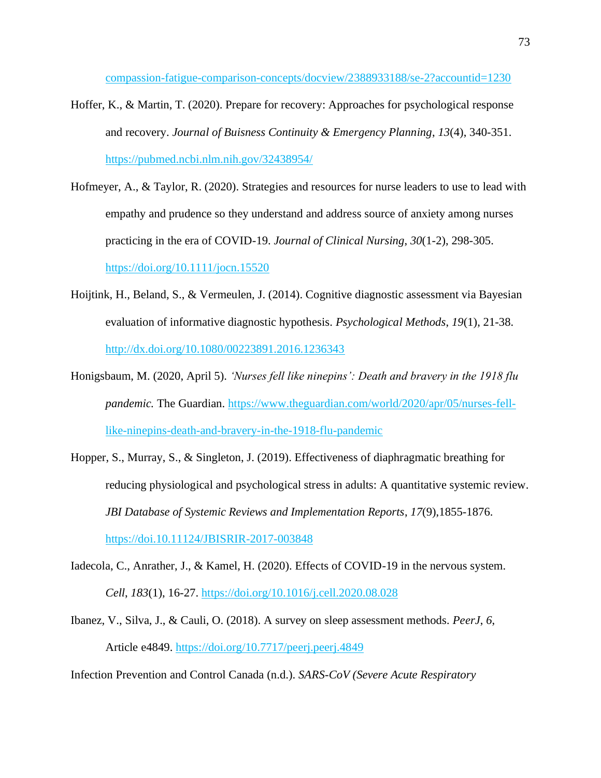[compassion-fatigue-comparison-concepts/docview/2388933188/se-2?accountid=1230](https://www-proquest-com.proxy.cityu.edu/scholarly-journals/burnout-compassion-fatigue-comparison-concepts/docview/2388933188/se-2?accountid=1230)

- Hoffer, K., & Martin, T. (2020). Prepare for recovery: Approaches for psychological response and recovery. *Journal of Buisness Continuity & Emergency Planning*, *13*(4), 340-351. https://pubmed.ncbi.nlm.nih.gov/32438954/
- Hofmeyer, A., & Taylor, R. (2020). Strategies and resources for nurse leaders to use to lead with empathy and prudence so they understand and address source of anxiety among nurses practicing in the era of COVID-19. *Journal of Clinical Nursing*, *30*(1-2), 298-305. https://doi.org/10.1111/jocn.15520
- Hoijtink, H., Beland, S., & Vermeulen, J. (2014). Cognitive diagnostic assessment via Bayesian evaluation of informative diagnostic hypothesis. *Psychological Methods*, *19*(1), 21-38. <http://dx.doi.org/10.1080/00223891.2016.1236343>
- Honigsbaum, M. (2020, April 5). *'Nurses fell like ninepins': Death and bravery in the 1918 flu pandemic.* The Guardian. [https://www.theguardian.com/world/2020/apr/05/nurses-fell](https://www.theguardian.com/world/2020/apr/05/nurses-fell-like-ninepins-death-and-bravery-in-the-1918-flu-pandemic)[like-ninepins-death-and-bravery-in-the-1918-flu-pandemic](https://www.theguardian.com/world/2020/apr/05/nurses-fell-like-ninepins-death-and-bravery-in-the-1918-flu-pandemic)
- Hopper, S., Murray, S., & Singleton, J. (2019). Effectiveness of diaphragmatic breathing for reducing physiological and psychological stress in adults: A quantitative systemic review. *JBI Database of Systemic Reviews and Implementation Reports*, *17*(9),1855-1876. <https://doi.10.11124/JBISRIR-2017-003848>
- Iadecola, C., Anrather, J., & Kamel, H. (2020). Effects of COVID-19 in the nervous system. *Cell*, *183*(1), 16-27. https://doi.org/10.1016/j.cell.2020.08.028
- Ibanez, V., Silva, J., & Cauli, O. (2018). A survey on sleep assessment methods*. PeerJ*, *6*, Article e4849.<https://doi.org/10.7717/peerj.peerj.4849>

Infection Prevention and Control Canada (n.d.). *SARS-CoV (Severe Acute Respiratory*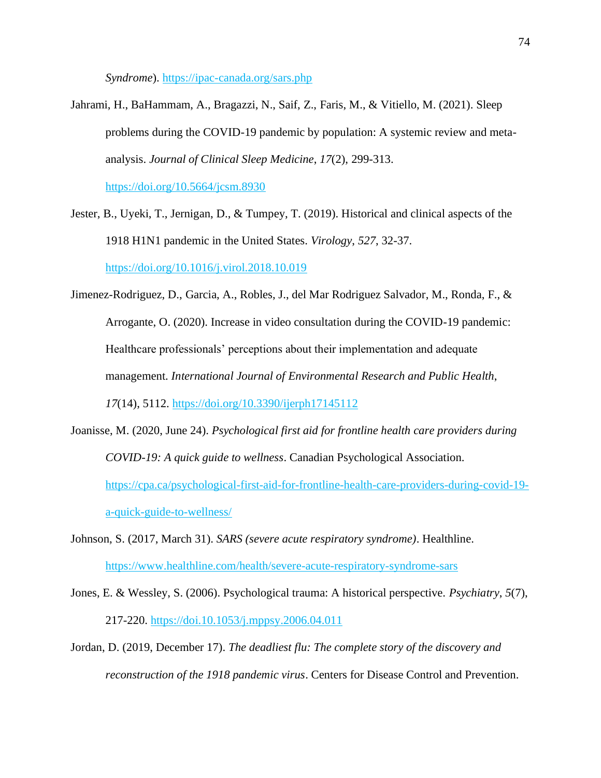*Syndrome*). https://ipac-canada.org/sars.php

Jahrami, H., BaHammam, A., Bragazzi, N., Saif, Z., Faris, M., & Vitiello, M. (2021). Sleep problems during the COVID-19 pandemic by population: A systemic review and metaanalysis. *Journal of Clinical Sleep Medicine*, *17*(2), 299-313.

<https://doi.org/10.5664/jcsm.8930>

- Jester, B., Uyeki, T., Jernigan, D., & Tumpey, T. (2019). Historical and clinical aspects of the 1918 H1N1 pandemic in the United States. *Virology*, *527*, 32-37. https://doi.org[/10.1016/j.virol.2018.10.019](https://doi.org/10.1016/j.virol.2018.10.019)
- Jimenez-Rodriguez, D., Garcia, A., Robles, J., del Mar Rodriguez Salvador, M., Ronda, F., & Arrogante, O. (2020). Increase in video consultation during the COVID-19 pandemic: Healthcare professionals' perceptions about their implementation and adequate management. *International Journal of Environmental Research and Public Health*, *17*(14), 5112. <https://doi.org/10.3390/ijerph17145112>
- Joanisse, M. (2020, June 24). *Psychological first aid for frontline health care providers during COVID-19: A quick guide to wellness*. Canadian Psychological Association. https://cpa.ca/psychological-first-aid-for-frontline-health-care-providers-during-covid-19 a-quick-guide-to-wellness/
- Johnson, S. (2017, March 31). *SARS (severe acute respiratory syndrome)*. Healthline. <https://www.healthline.com/health/severe-acute-respiratory-syndrome-sars>
- Jones, E. & Wessley, S. (2006). Psychological trauma: A historical perspective. *Psychiatry*, *5*(7), 217-220. https://doi.10.1053/j.mppsy.2006.04.011
- Jordan, D. (2019, December 17). *The deadliest flu: The complete story of the discovery and reconstruction of the 1918 pandemic virus*. Centers for Disease Control and Prevention.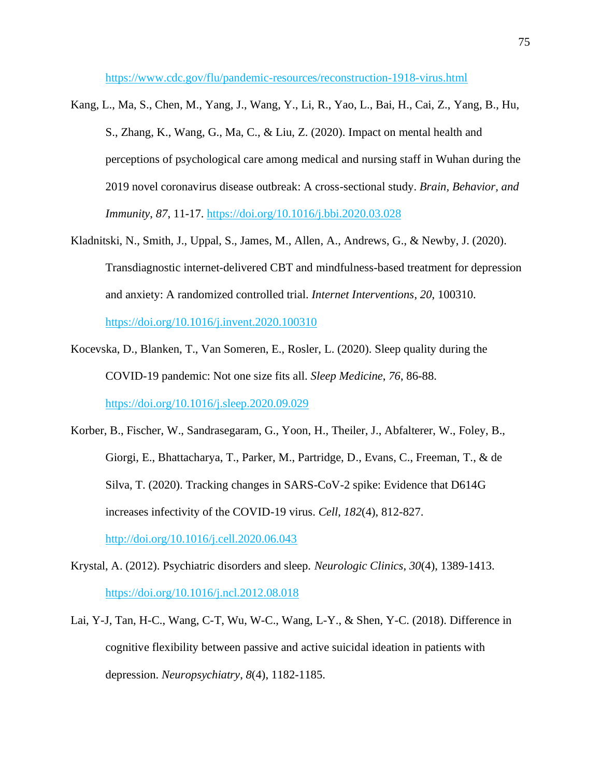https://www.cdc.gov/flu/pandemic-resources/reconstruction-1918-virus.html

- Kang, L., Ma, S., Chen, M., Yang, J., Wang, Y., Li, R., Yao, L., Bai, H., Cai, Z., Yang, B., Hu, S., Zhang, K., Wang, G., Ma, C., & Liu, Z. (2020). Impact on mental health and perceptions of psychological care among medical and nursing staff in Wuhan during the 2019 novel coronavirus disease outbreak: A cross-sectional study. *Brain, Behavior, and Immunity*, *87*, 11-17. https://doi.org[/10.1016/j.bbi.2020.03.028](https://dx.doi.org/10.1016%2Fj.bbi.2020.03.028)
- Kladnitski, N., Smith, J., Uppal, S., James, M., Allen, A., Andrews, G., & Newby, J. (2020). Transdiagnostic internet-delivered CBT and mindfulness-based treatment for depression and anxiety: A randomized controlled trial. *Internet Interventions*, *20*, 100310. <https://doi.org/10.1016/j.invent.2020.100310>

Kocevska, D., Blanken, T., Van Someren, E., Rosler, L. (2020). Sleep quality during the

COVID-19 pandemic: Not one size fits all. *Sleep Medicine*, *76*, 86-88.

https://doi.org/10.1016/j.sleep.2020.09.029

- Korber, B., Fischer, W., Sandrasegaram, G., Yoon, H., Theiler, J., Abfalterer, W., Foley, B., Giorgi, E., Bhattacharya, T., Parker, M., Partridge, D., Evans, C., Freeman, T., & de Silva, T. (2020). Tracking changes in SARS-CoV-2 spike: Evidence that D614G increases infectivity of the COVID-19 virus. *Cell*, *182*(4), 812-827. <http://doi.org/10.1016/j.cell.2020.06.043>
- Krystal, A. (2012). Psychiatric disorders and sleep. *Neurologic Clinics*, *30*(4), 1389-1413. <https://doi.org/10.1016/j.ncl.2012.08.018>
- Lai, Y-J, Tan, H-C., Wang, C-T, Wu, W-C., Wang, L-Y., & Shen, Y-C. (2018). Difference in cognitive flexibility between passive and active suicidal ideation in patients with depression. *Neuropsychiatry*, *8*(4), 1182-1185.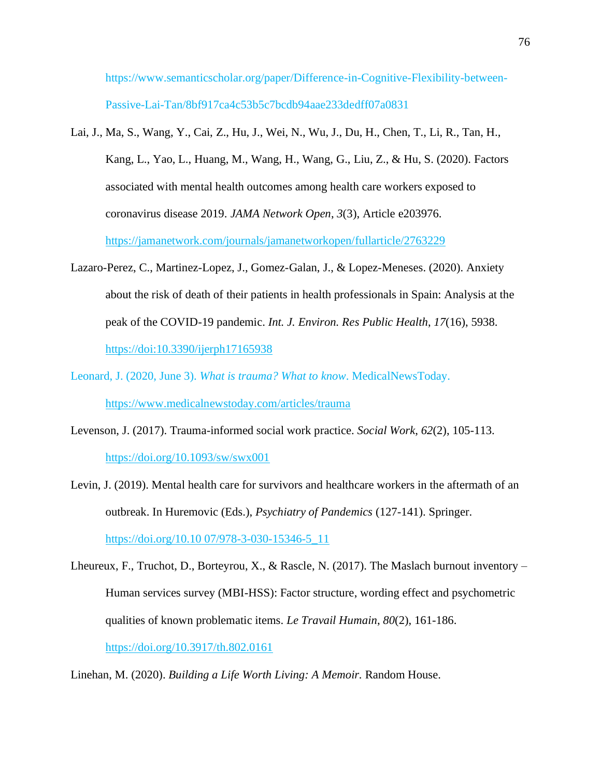https://www.semanticscholar.org/paper/Difference-in-Cognitive-Flexibility-between-Passive-Lai-Tan/8bf917ca4c53b5c7bcdb94aae233dedff07a0831

- Lai, J., Ma, S., Wang, Y., Cai, Z., Hu, J., Wei, N., Wu, J., Du, H., Chen, T., Li, R., Tan, H., Kang, L., Yao, L., Huang, M., Wang, H., Wang, G., Liu, Z., & Hu, S. (2020). Factors associated with mental health outcomes among health care workers exposed to coronavirus disease 2019. *JAMA Network Open*, *3*(3), Article e203976. https://jamanetwork.com/journals/jamanetworkopen/fullarticle/2763229
- Lazaro-Perez, C., Martinez-Lopez, J., Gomez-Galan, J., & Lopez-Meneses. (2020). Anxiety about the risk of death of their patients in health professionals in Spain: Analysis at the peak of the COVID-19 pandemic. *Int. J. Environ. Res Public Health*, *17*(16), 5938. https://doi[:10.3390/ijerph17165938](https://dx.doi.org/10.3390%2Fijerph17165938)
- Leonard, J. (2020, June 3). *What is trauma? What to know*. MedicalNewsToday. https://www.medicalnewstoday.com/articles/trauma
- Levenson, J. (2017). Trauma-informed social work practice. *Social Work*, *62*(2), 105-113. <https://doi.org/10.1093/sw/swx001>
- Levin, J. (2019). Mental health care for survivors and healthcare workers in the aftermath of an outbreak. In Huremovic (Eds.), *Psychiatry of Pandemics* (127-141). Springer. https://doi.org/10.10 07/978-3-030-15346-5\_11
- Lheureux, F., Truchot, D., Borteyrou, X., & Rascle, N. (2017). The Maslach burnout inventory Human services survey (MBI-HSS): Factor structure, wording effect and psychometric qualities of known problematic items. *Le Travail Humain*, *80*(2), 161-186. <https://doi.org/10.3917/th.802.0161>

Linehan, M. (2020). *Building a Life Worth Living: A Memoir.* Random House.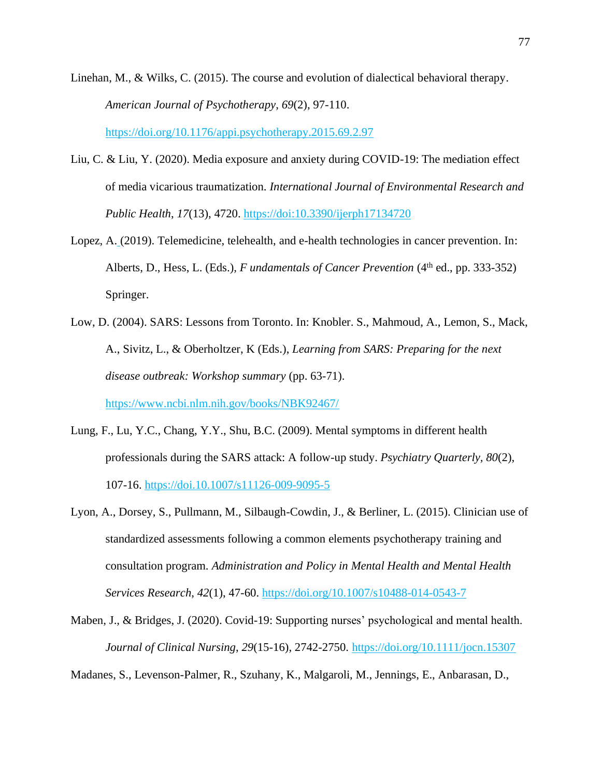- Linehan, M., & Wilks, C. (2015). The course and evolution of dialectical behavioral therapy. *American Journal of Psychotherapy*, *69*(2), 97-110. <https://doi.org/10.1176/appi.psychotherapy.2015.69.2.97>
- Liu, C. & Liu, Y. (2020). Media exposure and anxiety during COVID-19: The mediation effect of media vicarious traumatization. *International Journal of Environmental Research and Public Health*, *17*(13), 4720. https://doi:10.3390/ijerph17134720
- Lopez, A. (2019). Telemedicine, telehealth, and e-health technologies in cancer prevention. In: Alberts, D., Hess, L. (Eds.), *F undamentals of Cancer Prevention* (4<sup>th</sup> ed., pp. 333-352) Springer.
- Low, D. (2004). SARS: Lessons from Toronto. In: Knobler. S., Mahmoud, A., Lemon, S., Mack, A., Sivitz, L., & Oberholtzer, K (Eds.), *Learning from SARS: Preparing for the next disease outbreak: Workshop summary* (pp. 63-71).

https://www.ncbi.nlm.nih.gov/books/NBK92467/

- Lung, F., Lu, Y.C., Chang, Y.Y., Shu, B.C. (2009). Mental symptoms in different health professionals during the SARS attack: A follow-up study. *Psychiatry Quarterly, 80*(2), 107-16. <https://doi.10.1007/s11126-009-9095-5>
- Lyon, A., Dorsey, S., Pullmann, M., Silbaugh-Cowdin, J., & Berliner, L. (2015). Clinician use of standardized assessments following a common elements psychotherapy training and consultation program. *Administration and Policy in Mental Health and Mental Health Services Research*, *42*(1), 47-60. <https://doi.org/10.1007/s10488-014-0543-7>
- Maben, J., & Bridges, J. (2020). Covid-19: Supporting nurses' psychological and mental health. *Journal of Clinical Nursing*, *29*(15-16), 2742-2750. https://doi.org/10.1111/jocn.15307

Madanes, S., Levenson-Palmer, R., Szuhany, K., Malgaroli, M., Jennings, E., Anbarasan, D.,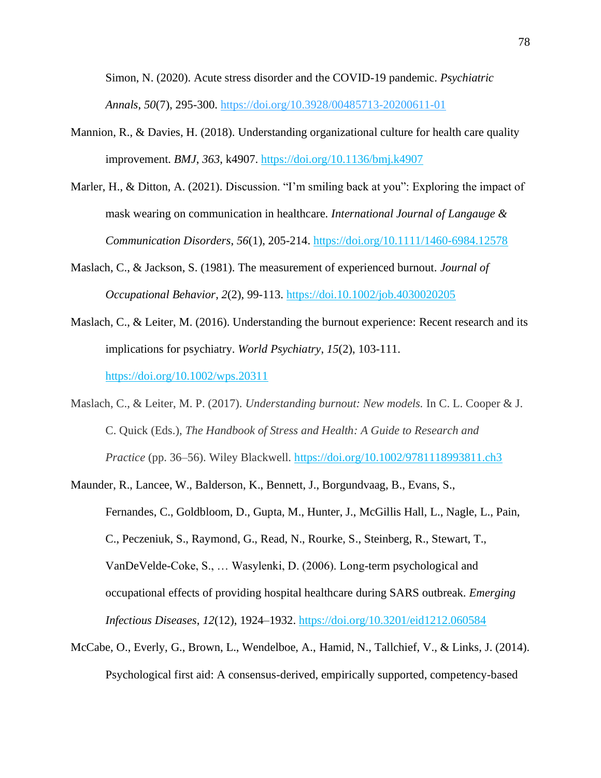Simon, N. (2020). Acute stress disorder and the COVID-19 pandemic. *Psychiatric Annals*, *50*(7), 295-300. <https://doi.org/10.3928/00485713-20200611-01>

- Mannion, R., & Davies, H. (2018). Understanding organizational culture for health care quality improvement. *BMJ*, *363*, k4907.<https://doi.org/10.1136/bmj.k4907>
- Marler, H., & Ditton, A. (2021). Discussion. "I'm smiling back at you": Exploring the impact of mask wearing on communication in healthcare. *International Journal of Langauge & Communication Disorders*, *56*(1), 205-214.<https://doi.org/10.1111/1460-6984.12578>
- Maslach, C., & Jackson, S. (1981). The measurement of experienced burnout. *Journal of Occupational Behavior*, *2*(2), 99-113. https://doi.10.1002/job.4030020205
- Maslach, C., & Leiter, M. (2016). Understanding the burnout experience: Recent research and its implications for psychiatry. *World Psychiatry*, *15*(2), 103-111. https://doi.org[/10.1002/wps.20311](https://dx.doi.org/10.1002%2Fwps.20311)
- Maslach, C., & Leiter, M. P. (2017). *Understanding burnout: New models.* In C. L. Cooper & J. C. Quick (Eds.), *The Handbook of Stress and Health: A Guide to Research and Practice* (pp. 36–56). Wiley Blackwell. [https://doi.org/10.1002/9781118993811.ch3](https://psycnet.apa.org/doi/10.1002/9781118993811.ch3)
- Maunder, R., Lancee, W., Balderson, K., Bennett, J., Borgundvaag, B., Evans, S., Fernandes, C., Goldbloom, D., Gupta, M., Hunter, J., McGillis Hall, L., Nagle, L., Pain, C., Peczeniuk, S., Raymond, G., Read, N., Rourke, S., Steinberg, R., Stewart, T., VanDeVelde-Coke, S., … Wasylenki, D. (2006). Long-term psychological and occupational effects of providing hospital healthcare during SARS outbreak. *Emerging Infectious Diseases*, *12*(12), 1924–1932.<https://doi.org/10.3201/eid1212.060584>
- McCabe, O., Everly, G., Brown, L., Wendelboe, A., Hamid, N., Tallchief, V., & Links, J. (2014). Psychological first aid: A consensus-derived, empirically supported, competency-based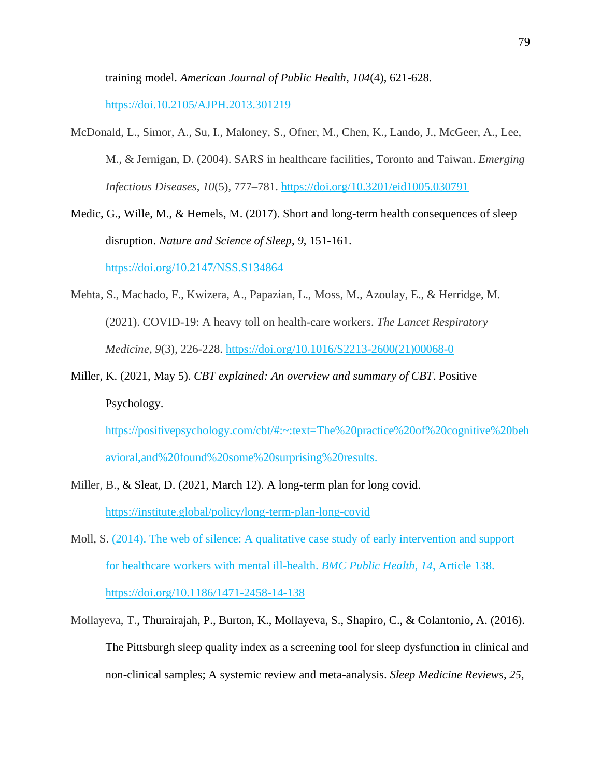training model. *American Journal of Public Health*, *104*(4), 621-628.

https://doi[.10.2105/AJPH.2013.301219](https://dx.doi.org/10.2105%2FAJPH.2013.301219)

- McDonald, L., Simor, A., Su, I., Maloney, S., Ofner, M., Chen, K., Lando, J., McGeer, A., Lee, M., & Jernigan, D. (2004). SARS in healthcare facilities, Toronto and Taiwan. *Emerging Infectious Diseases*, *10*(5), 777–781.<https://doi.org/10.3201/eid1005.030791>
- Medic, G., Wille, M., & Hemels, M. (2017). Short and long-term health consequences of sleep disruption. *Nature and Science of Sleep*, *9*, 151-161.

<https://doi.org/10.2147/NSS.S134864>

- Mehta, S., Machado, F., Kwizera, A., Papazian, L., Moss, M., Azoulay, E., & Herridge, M. (2021). COVID-19: A heavy toll on health-care workers. *The Lancet Respiratory Medicine*, *9*(3), 226-228. [https://doi.org/10.1016/S2213-2600\(21\)00068-0](https://doi.org/10.1016/S2213-2600(21)00068-0)
- Miller, K. (2021, May 5). *CBT explained: An overview and summary of CBT*. Positive Psychology.

https://positivepsychology.com/cbt/#:~:text=The%20practice%20of%20cognitive%20beh avioral,and%20found%20some%20surprising%20results.

- Miller, B., & Sleat, D. (2021, March 12). A long-term plan for long covid. <https://institute.global/policy/long-term-plan-long-covid>
- Moll, S. (2014). The web of silence: A qualitative case study of early intervention and support for healthcare workers with mental ill-health. *BMC Public Health*, *14*, Article 138. <https://doi.org/10.1186/1471-2458-14-138>
- Mollayeva, T., Thurairajah, P., Burton, K., Mollayeva, S., Shapiro, C., & Colantonio, A. (2016). The Pittsburgh sleep quality index as a screening tool for sleep dysfunction in clinical and non-clinical samples; A systemic review and meta-analysis. *Sleep Medicine Reviews*, *25*,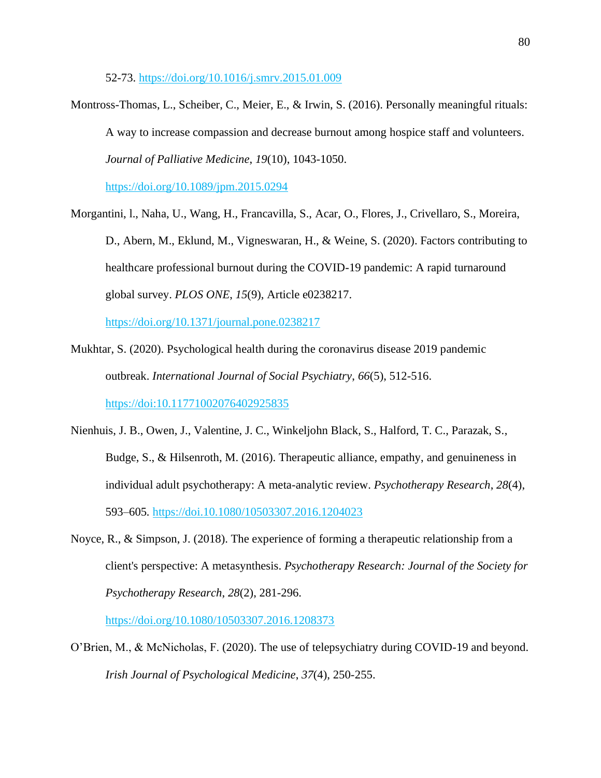52-73. https://doi.org/10.1016/j.smrv.2015.01.009

Montross-Thomas, L., Scheiber, C., Meier, E., & Irwin, S. (2016). Personally meaningful rituals: A way to increase compassion and decrease burnout among hospice staff and volunteers. *Journal of Palliative Medicine*, *19*(10), 1043-1050.

https://doi.org/10.1089/jpm.2015.0294

Morgantini, l., Naha, U., Wang, H., Francavilla, S., Acar, O., Flores, J., Crivellaro, S., Moreira, D., Abern, M., Eklund, M., Vigneswaran, H., & Weine, S. (2020). Factors contributing to healthcare professional burnout during the COVID-19 pandemic: A rapid turnaround global survey. *PLOS ONE*, *15*(9), Article e0238217.

<https://doi.org/10.1371/journal.pone.0238217>

- Mukhtar, S. (2020). Psychological health during the coronavirus disease 2019 pandemic outbreak. *International Journal of Social Psychiatry*, *66*(5), 512-516. https://doi:10.11771002076402925835
- Nienhuis, J. B., Owen, J., Valentine, J. C., Winkeljohn Black, S., Halford, T. C., Parazak, S., Budge, S., & Hilsenroth, M. (2016). Therapeutic alliance, empathy, and genuineness in individual adult psychotherapy: A meta-analytic review. *Psychotherapy Research*, *28*(4), 593–605*.* https://doi.10.1080/10503307.2016.1204023
- Noyce, R., & Simpson, J. (2018). The experience of forming a therapeutic relationship from a client's perspective: A metasynthesis. *Psychotherapy Research: Journal of the Society for Psychotherapy Research*, *28*(2), 281-296.

https://doi.org/10.1080/10503307.2016.1208373

O'Brien, M., & McNicholas, F. (2020). The use of telepsychiatry during COVID-19 and beyond. *Irish Journal of Psychological Medicine*, *37*(4), 250-255.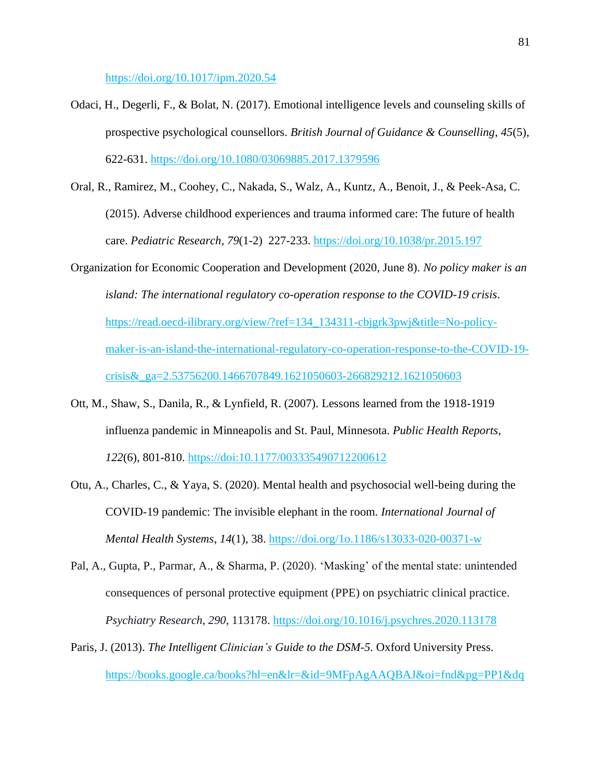https://doi.org/10.1017/ipm.2020.54

- Odaci, H., Degerli, F., & Bolat, N. (2017). Emotional intelligence levels and counseling skills of prospective psychological counsellors. *British Journal of Guidance & Counselling*, *45*(5), 622-631.<https://doi.org/10.1080/03069885.2017.1379596>
- Oral, R., Ramirez, M., Coohey, C., Nakada, S., Walz, A., Kuntz, A., Benoit, J., & Peek-Asa, C. (2015). Adverse childhood experiences and trauma informed care: The future of health care. *Pediatric Research*, *79*(1-2) 227-233. <https://doi.org/10.1038/pr.2015.197>
- Organization for Economic Cooperation and Development (2020, June 8). *No policy maker is an island: The international regulatory co-operation response to the COVID-19 crisis*. https://read.oecd-ilibrary.org/view/?ref=134\_134311-cbjgrk3pwj&title=No-policymaker-is-an-island-the-international-regulatory-co-operation-response-to-the-COVID-19 crisis&\_ga=2.53756200.1466707849.1621050603-266829212.1621050603
- Ott, M., Shaw, S., Danila, R., & Lynfield, R. (2007). Lessons learned from the 1918-1919 influenza pandemic in Minneapolis and St. Paul, Minnesota. *Public Health Reports*, *122*(6), 801-810. https://doi[:10.1177/003335490712200612](https://dx.doi.org/10.1177%2F003335490712200612)
- Otu, A., Charles, C., & Yaya, S. (2020). Mental health and psychosocial well-being during the COVID-19 pandemic: The invisible elephant in the room. *International Journal of Mental Health Systems*, *14*(1), 38. https://doi.org/1o.1186/s13033-020-00371-w
- Pal, A., Gupta, P., Parmar, A., & Sharma, P. (2020). 'Masking' of the mental state: unintended consequences of personal protective equipment (PPE) on psychiatric clinical practice. *Psychiatry Research*, *290*, 113178.<https://doi.org/10.1016/j.psychres.2020.113178>
- Paris, J. (2013). *The Intelligent Clinician's Guide to the DSM-5*. Oxford University Press. https://books.google.ca/books?hl=en&lr=&id=9MFpAgAAQBAJ&oi=fnd&pg=PP1&dq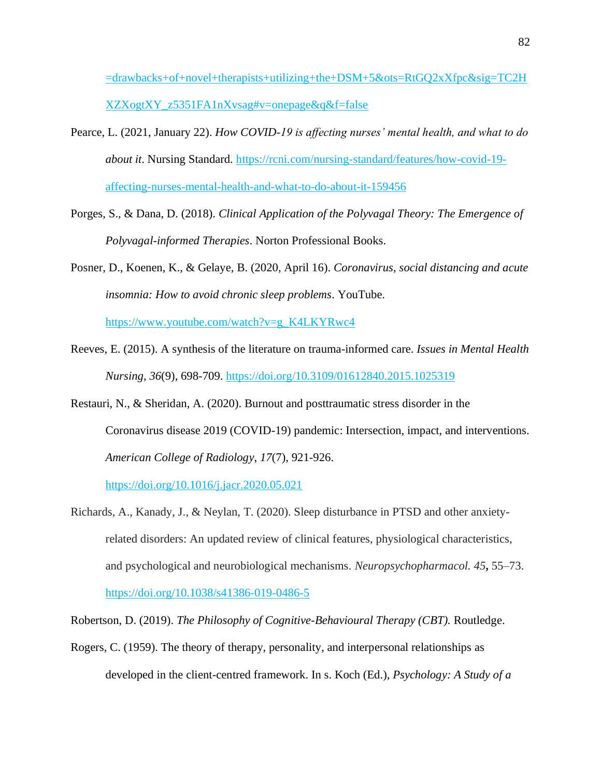=drawbacks+of+novel+therapists+utilizing+the+DSM+5&ots=RtGQ2xXfpc&sig=TC2H XZXogtXY\_z5351FA1nXvsag#v=onepage&q&f=false

- Pearce, L. (2021, January 22). *How COVID-19 is affecting nurses' mental health, and what to do about it*. Nursing Standard. [https://rcni.com/nursing-standard/features/how-covid-19](https://rcni.com/nursing-standard/features/how-covid-19-affecting-nurses-mental-health-and-what-to-do-about-it-159456) [affecting-nurses-mental-health-and-what-to-do-about-it-159456](https://rcni.com/nursing-standard/features/how-covid-19-affecting-nurses-mental-health-and-what-to-do-about-it-159456)
- Porges, S., & Dana, D. (2018). *Clinical Application of the Polyvagal Theory: The Emergence of Polyvagal-informed Therapies*. Norton Professional Books.
- Posner, D., Koenen, K., & Gelaye, B. (2020, April 16). *Coronavirus, social distancing and acute insomnia: How to avoid chronic sleep problems*. YouTube.

https://www.youtube.com/watch?v=g\_K4LKYRwc4

- Reeves, E. (2015). A synthesis of the literature on trauma-informed care. *Issues in Mental Health Nursing*, *36*(9), 698-709. https://doi.org/10.3109/01612840.2015.1025319
- Restauri, N., & Sheridan, A. (2020). Burnout and posttraumatic stress disorder in the Coronavirus disease 2019 (COVID-19) pandemic: Intersection, impact, and interventions. *American College of Radiology*, *17*(7), 921-926.

<https://doi.org/10.1016/j.jacr.2020.05.021>

Richards, A., Kanady, J., & Neylan, T. (2020). Sleep disturbance in PTSD and other anxietyrelated disorders: An updated review of clinical features, physiological characteristics, and psychological and neurobiological mechanisms. *Neuropsychopharmacol. 45***,** 55–73. https://doi.org/10.1038/s41386-019-0486-5

Robertson, D. (2019). *The Philosophy of Cognitive-Behavioural Therapy (CBT).* Routledge.

Rogers, C. (1959). The theory of therapy, personality, and interpersonal relationships as developed in the client-centred framework. In s. Koch (Ed.), *Psychology: A Study of a*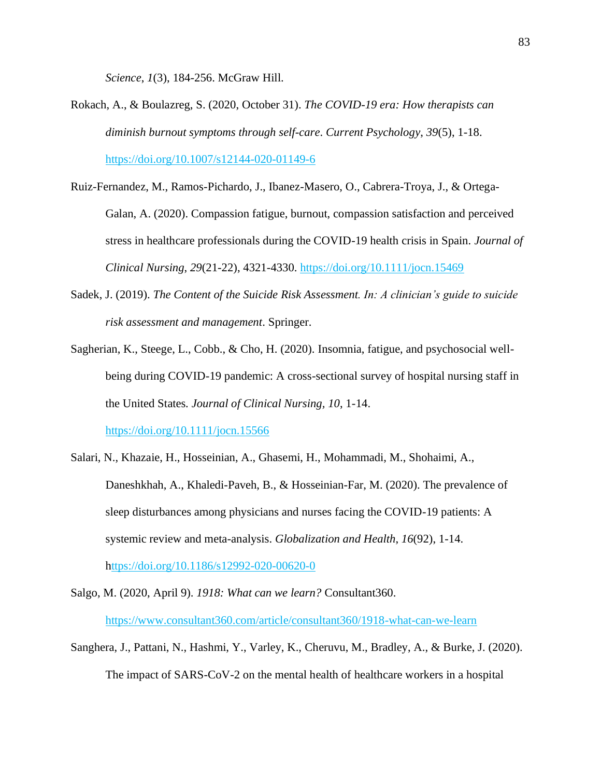*Science*, *1*(3), 184-256. McGraw Hill.

- Rokach, A., & Boulazreg, S. (2020, October 31). *The COVID-19 era: How therapists can diminish burnout symptoms through self-care*. *Current Psychology*, *39*(5), 1-18. https://doi.org/10.1007/s12144-020-01149-6
- Ruiz-Fernandez, M., Ramos-Pichardo, J., Ibanez-Masero, O., Cabrera-Troya, J., & Ortega-Galan, A. (2020). Compassion fatigue, burnout, compassion satisfaction and perceived stress in healthcare professionals during the COVID-19 health crisis in Spain. *Journal of Clinical Nursing*, *29*(21-22), 4321-4330.<https://doi.org/10.1111/jocn.15469>
- Sadek, J. (2019). *The Content of the Suicide Risk Assessment. In: A clinician's guide to suicide risk assessment and management*. Springer.
- Sagherian, K., Steege, L., Cobb., & Cho, H. (2020). Insomnia, fatigue, and psychosocial wellbeing during COVID-19 pandemic: A cross-sectional survey of hospital nursing staff in the United States*. Journal of Clinical Nursing, 10*, 1-14.

https://doi.org/10.1111/jocn.15566

- Salari, N., Khazaie, H., Hosseinian, A., Ghasemi, H., Mohammadi, M., Shohaimi, A., Daneshkhah, A., Khaledi-Paveh, B., & Hosseinian-Far, M. (2020). The prevalence of sleep disturbances among physicians and nurses facing the COVID-19 patients: A systemic review and meta-analysis. *Globalization and Health*, *16*(92), 1-14. <https://doi.org/10.1186/s12992-020-00620-0>
- Salgo, M. (2020, April 9). *1918: What can we learn?* Consultant360. <https://www.consultant360.com/article/consultant360/1918-what-can-we-learn>
- Sanghera, J., Pattani, N., Hashmi, Y., Varley, K., Cheruvu, M., Bradley, A., & Burke, J. (2020). The impact of SARS-CoV-2 on the mental health of healthcare workers in a hospital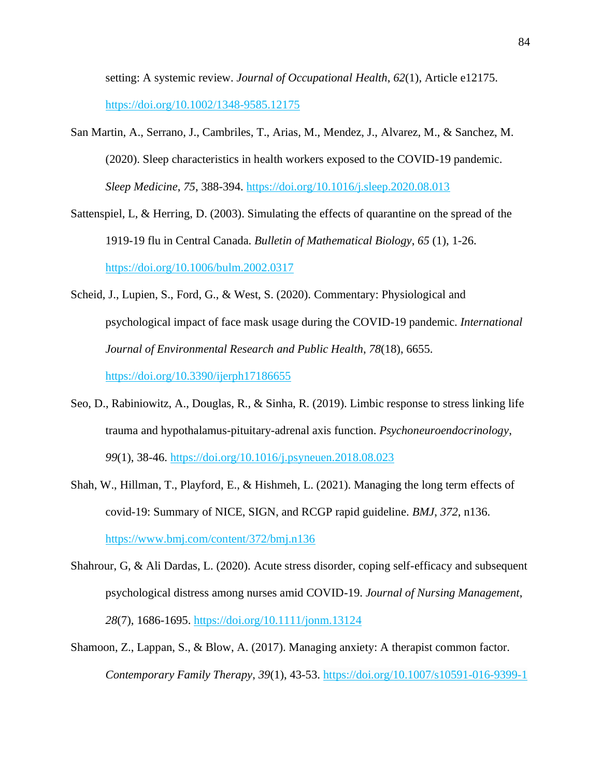setting: A systemic review. *Journal of Occupational Health*, *62*(1), Article e12175. https://doi.org/10.1002/1348-9585.12175

- San Martin, A., Serrano, J., Cambriles, T., Arias, M., Mendez, J., Alvarez, M., & Sanchez, M. (2020). Sleep characteristics in health workers exposed to the COVID-19 pandemic. *Sleep Medicine*, *75*, 388-394. https://doi.org/10.1016/j.sleep.2020.08.013
- Sattenspiel, L, & Herring, D. (2003). Simulating the effects of quarantine on the spread of the 1919-19 flu in Central Canada. *Bulletin of Mathematical Biology*, *65* (1), 1-26. <https://doi.org/10.1006/bulm.2002.0317>
- Scheid, J., Lupien, S., Ford, G., & West, S. (2020). Commentary: Physiological and psychological impact of face mask usage during the COVID-19 pandemic. *International Journal of Environmental Research and Public Health*, *78*(18), 6655. https://doi.org/10.3390/ijerph17186655
- Seo, D., Rabiniowitz, A., Douglas, R., & Sinha, R. (2019). Limbic response to stress linking life trauma and hypothalamus-pituitary-adrenal axis function. *Psychoneuroendocrinology*, *99*(1), 38-46. <https://doi.org/10.1016/j.psyneuen.2018.08.023>
- Shah, W., Hillman, T., Playford, E., & Hishmeh, L. (2021). Managing the long term effects of covid-19: Summary of NICE, SIGN, and RCGP rapid guideline. *BMJ*, *372*, n136. <https://www.bmj.com/content/372/bmj.n136>
- Shahrour, G, & Ali Dardas, L. (2020). Acute stress disorder, coping self-efficacy and subsequent psychological distress among nurses amid COVID-19. *Journal of Nursing Management*, *28*(7), 1686-1695. <https://doi.org/10.1111/jonm.13124>
- Shamoon, Z., Lappan, S., & Blow, A. (2017). Managing anxiety: A therapist common factor. *Contemporary Family Therapy*, *39*(1), 43-53. <https://doi.org/10.1007/s10591-016-9399-1>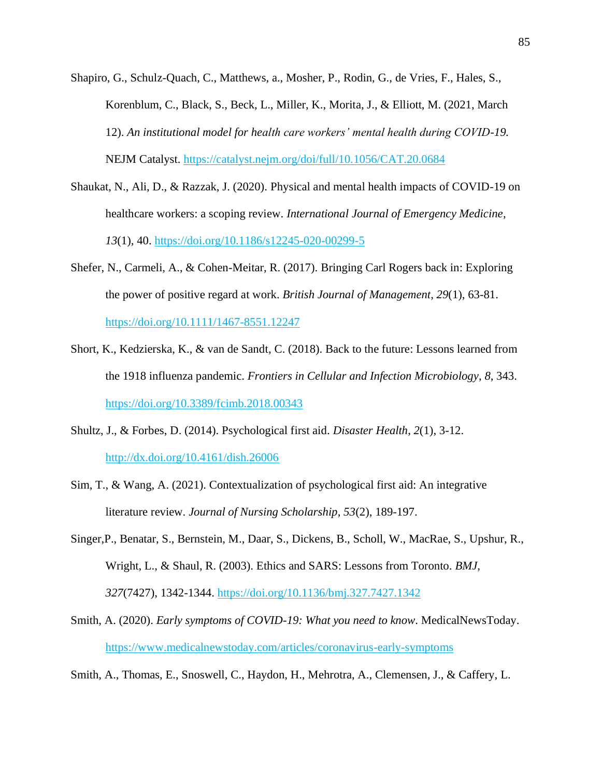- Shapiro, G., Schulz-Quach, C., Matthews, a., Mosher, P., Rodin, G., de Vries, F., Hales, S., Korenblum, C., Black, S., Beck, L., Miller, K., Morita, J., & Elliott, M. (2021, March 12). *An institutional model for health care workers' mental health during COVID-19.* NEJM Catalyst. https://catalyst.nejm.org/doi/full/10.1056/CAT.20.0684
- Shaukat, N., Ali, D., & Razzak, J. (2020). Physical and mental health impacts of COVID-19 on healthcare workers: a scoping review. *International Journal of Emergency Medicine*, *13*(1), 40. https://doi.org[/10.1186/s12245-020-00299-5](https://doi.org/10.1186/s12245-020-00299-5)
- Shefer, N., Carmeli, A., & Cohen-Meitar, R. (2017). Bringing Carl Rogers back in: Exploring the power of positive regard at work. *British Journal of Management*, *29*(1), 63-81. https://doi.org/10.1111/1467-8551.12247
- Short, K., Kedzierska, K., & van de Sandt, C. (2018). Back to the future: Lessons learned from the 1918 influenza pandemic. *Frontiers in Cellular and Infection Microbiology*, *8*, 343. <https://doi.org/10.3389/fcimb.2018.00343>
- Shultz, J., & Forbes, D. (2014). Psychological first aid. *Disaster Health*, *2*(1), 3-12. <http://dx.doi.org/10.4161/dish.26006>
- Sim, T., & Wang, A. (2021). Contextualization of psychological first aid: An integrative literature review. *Journal of Nursing Scholarship*, *53*(2), 189-197.
- Singer,P., Benatar, S., Bernstein, M., Daar, S., Dickens, B., Scholl, W., MacRae, S., Upshur, R., Wright, L., & Shaul, R. (2003). Ethics and SARS: Lessons from Toronto. *BMJ*, *327*(7427), 1342-1344.<https://doi.org/10.1136/bmj.327.7427.1342>
- Smith, A. (2020). *Early symptoms of COVID-19: What you need to know*. MedicalNewsToday. <https://www.medicalnewstoday.com/articles/coronavirus-early-symptoms>
- Smith, A., Thomas, E., Snoswell, C., Haydon, H., Mehrotra, A., Clemensen, J., & Caffery, L.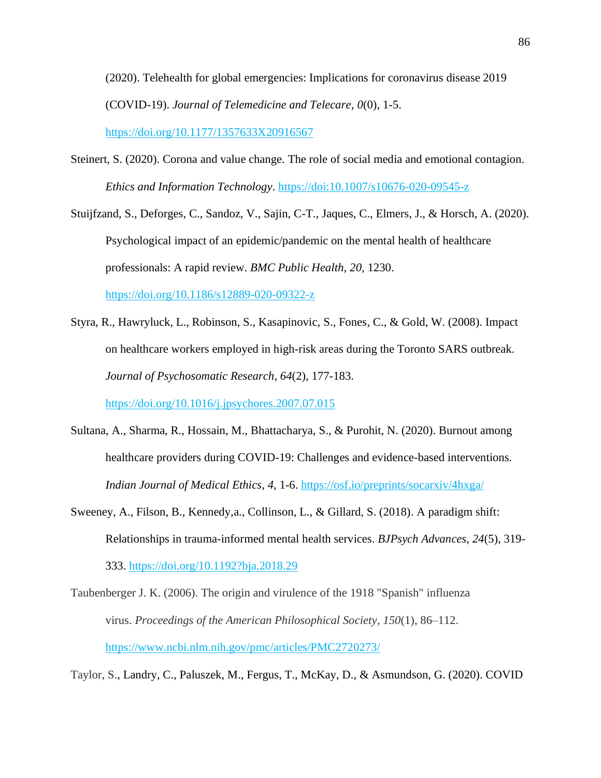(2020). Telehealth for global emergencies: Implications for coronavirus disease 2019 (COVID-19). *Journal of Telemedicine and Telecare*, *0*(0), 1-5. [https://doi.org/10.1177/1357633X20916567](https://doi.org/10.1177%2F1357633X20916567)

Steinert, S. (2020). Corona and value change. The role of social media and emotional contagion*. Ethics and Information Technology*. https://doi[:10.1007/s10676-020-09545-z](https://dx.doi.org/10.1007%2Fs10676-020-09545-z)

Stuijfzand, S., Deforges, C., Sandoz, V., Sajin, C-T., Jaques, C., Elmers, J., & Horsch, A. (2020). Psychological impact of an epidemic/pandemic on the mental health of healthcare professionals: A rapid review. *BMC Public Health*, *20*, 1230. https://doi.org/10.1186/s12889-020-09322-z

Styra, R., Hawryluck, L., Robinson, S., Kasapinovic, S., Fones, C., & Gold, W. (2008). Impact on healthcare workers employed in high-risk areas during the Toronto SARS outbreak. *Journal of Psychosomatic Research*, *64*(2), 177-183.

https://doi.org/10.1016/j.jpsychores.2007.07.015

- Sultana, A., Sharma, R., Hossain, M., Bhattacharya, S., & Purohit, N. (2020). Burnout among healthcare providers during COVID-19: Challenges and evidence-based interventions*. Indian Journal of Medical Ethics*, *4*, 1-6. https://osf.io/preprints/socarxiv/4hxga/
- Sweeney, A., Filson, B., Kennedy,a., Collinson, L., & Gillard, S. (2018). A paradigm shift: Relationships in trauma-informed mental health services. *BJPsych Advances*, *24*(5), 319- 333. https://doi.org/10.1192?bja.2018.29
- Taubenberger J. K. (2006). The origin and virulence of the 1918 "Spanish" influenza virus. *Proceedings of the American Philosophical Society*, *150*(1), 86–112. <https://www.ncbi.nlm.nih.gov/pmc/articles/PMC2720273/>

Taylor, S., Landry, C., Paluszek, M., Fergus, T., McKay, D., & Asmundson, G. (2020). COVID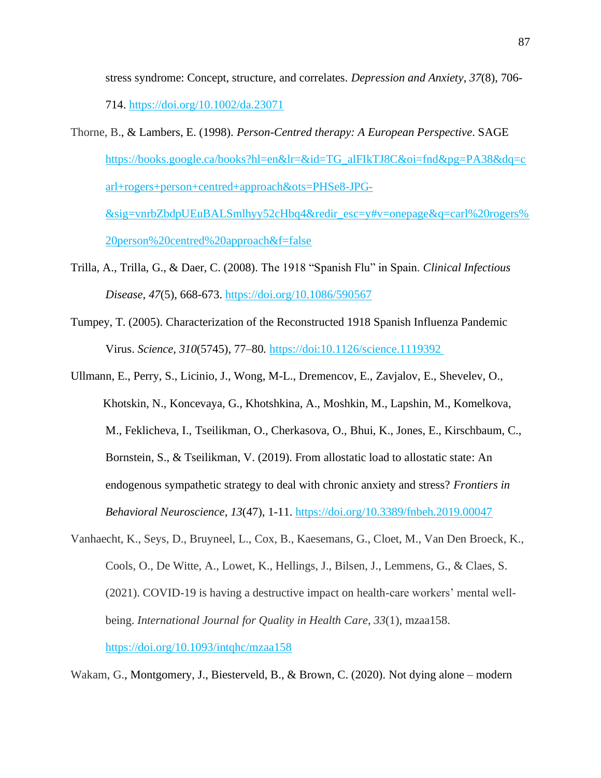stress syndrome: Concept, structure, and correlates. *Depression and Anxiety*, *37*(8), 706-

714. <https://doi.org/10.1002/da.23071>

- Thorne, B., & Lambers, E. (1998). *Person-Centred therapy: A European Perspective*. SAGE [https://books.google.ca/books?hl=en&lr=&id=TG\\_alFIkTJ8C&oi=fnd&pg=PA38&dq=c](https://books.google.ca/books?hl=en&lr=&id=TG_alFIkTJ8C&oi=fnd&pg=PA38&dq=carl+rogers+person+centred+approach&ots=PHSe8-JPG-&sig=vnrbZbdpUEuBALSmlhyy52cHbq4&redir_esc=y#v=onepage&q=carl%20rogers%20person%20centred%20approach&f=false) [arl+rogers+person+centred+approach&ots=PHSe8-JPG-](https://books.google.ca/books?hl=en&lr=&id=TG_alFIkTJ8C&oi=fnd&pg=PA38&dq=carl+rogers+person+centred+approach&ots=PHSe8-JPG-&sig=vnrbZbdpUEuBALSmlhyy52cHbq4&redir_esc=y#v=onepage&q=carl%20rogers%20person%20centred%20approach&f=false) [&sig=vnrbZbdpUEuBALSmlhyy52cHbq4&redir\\_esc=y#v=onepage&q=carl%20rogers%](https://books.google.ca/books?hl=en&lr=&id=TG_alFIkTJ8C&oi=fnd&pg=PA38&dq=carl+rogers+person+centred+approach&ots=PHSe8-JPG-&sig=vnrbZbdpUEuBALSmlhyy52cHbq4&redir_esc=y#v=onepage&q=carl%20rogers%20person%20centred%20approach&f=false) [20person%20centred%20approach&f=false](https://books.google.ca/books?hl=en&lr=&id=TG_alFIkTJ8C&oi=fnd&pg=PA38&dq=carl+rogers+person+centred+approach&ots=PHSe8-JPG-&sig=vnrbZbdpUEuBALSmlhyy52cHbq4&redir_esc=y#v=onepage&q=carl%20rogers%20person%20centred%20approach&f=false)
- Trilla, A., Trilla, G., & Daer, C. (2008). The 1918 "Spanish Flu" in Spain. *Clinical Infectious Disease*, *47*(5), 668-673.<https://doi.org/10.1086/590567>
- Tumpey, T. (2005). Characterization of the Reconstructed 1918 Spanish Influenza Pandemic Virus. *Science*, *310*(5745), 77–80*.* https://doi:10.1126/science.1119392
- Ullmann, E., Perry, S., Licinio, J., Wong, M-L., Dremencov, E., Zavjalov, E., Shevelev, O., Khotskin, N., Koncevaya, G., Khotshkina, A., Moshkin, M., Lapshin, M., Komelkova, M., Feklicheva, I., Tseilikman, O., Cherkasova, O., Bhui, K., Jones, E., Kirschbaum, C., Bornstein, S., & Tseilikman, V. (2019). From allostatic load to allostatic state: An endogenous sympathetic strategy to deal with chronic anxiety and stress? *Frontiers in Behavioral Neuroscience*, *13*(47), 1-11.<https://doi.org/10.3389/fnbeh.2019.00047>
- Vanhaecht, K., Seys, D., Bruyneel, L., Cox, B., Kaesemans, G., Cloet, M., Van Den Broeck, K., Cools, O., De Witte, A., Lowet, K., Hellings, J., Bilsen, J., Lemmens, G., & Claes, S. (2021). COVID-19 is having a destructive impact on health-care workers' mental wellbeing. *International Journal for Quality in Health Care*, *33*(1), mzaa158. <https://doi.org/10.1093/intqhc/mzaa158>

Wakam, G., Montgomery, J., Biesterveld, B., & Brown, C. (2020). Not dying alone – modern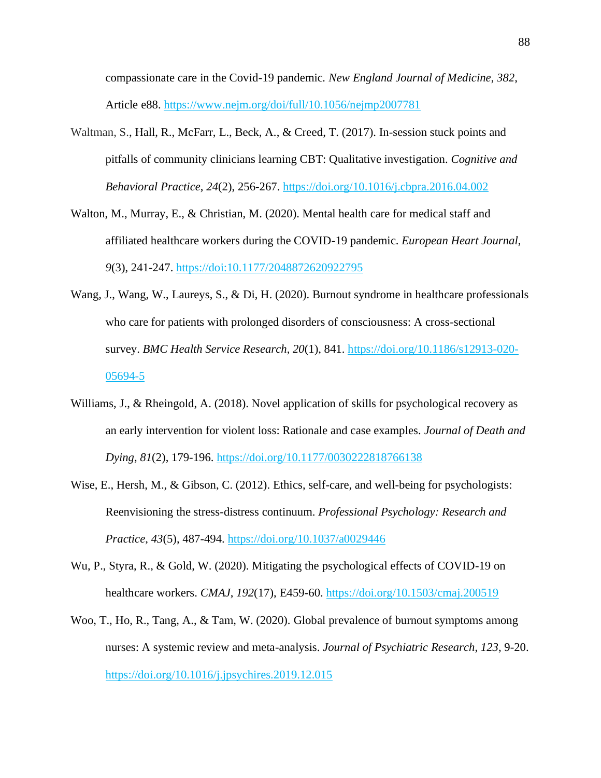compassionate care in the Covid-19 pandemic*. New England Journal of Medicine*, *382*, Article e88. <https://www.nejm.org/doi/full/10.1056/nejmp2007781>

- Waltman, S., Hall, R., McFarr, L., Beck, A., & Creed, T. (2017). In-session stuck points and pitfalls of community clinicians learning CBT: Qualitative investigation. *Cognitive and Behavioral Practice*, *24*(2), 256-267.<https://doi.org/10.1016/j.cbpra.2016.04.002>
- Walton, M., Murray, E., & Christian, M. (2020). Mental health care for medical staff and affiliated healthcare workers during the COVID-19 pandemic. *European Heart Journal*, *9*(3), 241-247. https://doi:10.1177/2048872620922795
- Wang, J., Wang, W., Laureys, S., & Di, H. (2020). Burnout syndrome in healthcare professionals who care for patients with prolonged disorders of consciousness: A cross-sectional survey. *BMC Health Service Research*, *20*(1), 841. https://doi.org/10.1186/s12913-020- 05694-5
- Williams, J., & Rheingold, A. (2018). Novel application of skills for psychological recovery as an early intervention for violent loss: Rationale and case examples. *Journal of Death and Dying*, *81*(2), 179-196.<https://doi.org/10.1177/0030222818766138>
- Wise, E., Hersh, M., & Gibson, C. (2012). Ethics, self-care, and well-being for psychologists: Reenvisioning the stress-distress continuum. *Professional Psychology: Research and Practice*, *43*(5), 487-494. [https://doi.org/10.1037/a0029446](https://psycnet.apa.org/doi/10.1037/a0029446)
- Wu, P., Styra, R., & Gold, W. (2020). Mitigating the psychological effects of COVID-19 on healthcare workers. *CMAJ*, *192*(17), E459-60. https://doi.org/10.1503/cmaj.200519
- Woo, T., Ho, R., Tang, A., & Tam, W. (2020). Global prevalence of burnout symptoms among nurses: A systemic review and meta-analysis. *Journal of Psychiatric Research*, *123*, 9-20. <https://doi.org/10.1016/j.jpsychires.2019.12.015>